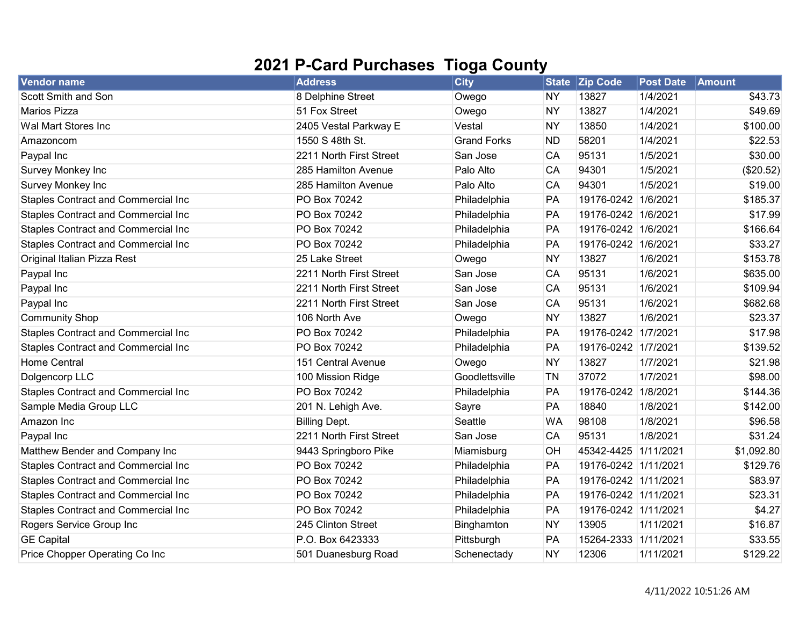## 2021 P-Card Purchases Tioga County

| <b>Vendor name</b>                         | <b>Address</b>          | <b>City</b>        |           | State Zip Code       | <b>Post Date</b> | Amount     |
|--------------------------------------------|-------------------------|--------------------|-----------|----------------------|------------------|------------|
| Scott Smith and Son                        | 8 Delphine Street       | Owego              | <b>NY</b> | 13827                | 1/4/2021         | \$43.73    |
| <b>Marios Pizza</b>                        | 51 Fox Street           | Owego              | <b>NY</b> | 13827                | 1/4/2021         | \$49.69    |
| Wal Mart Stores Inc                        | 2405 Vestal Parkway E   | Vestal             | <b>NY</b> | 13850                | 1/4/2021         | \$100.00   |
| Amazoncom                                  | 1550 S 48th St.         | <b>Grand Forks</b> | <b>ND</b> | 58201                | 1/4/2021         | \$22.53    |
| Paypal Inc                                 | 2211 North First Street | San Jose           | CA        | 95131                | 1/5/2021         | \$30.00    |
| Survey Monkey Inc                          | 285 Hamilton Avenue     | Palo Alto          | CA        | 94301                | 1/5/2021         | (\$20.52)  |
| Survey Monkey Inc                          | 285 Hamilton Avenue     | Palo Alto          | CA        | 94301                | 1/5/2021         | \$19.00    |
| <b>Staples Contract and Commercial Inc</b> | PO Box 70242            | Philadelphia       | PA        | 19176-0242 1/6/2021  |                  | \$185.37   |
| <b>Staples Contract and Commercial Inc</b> | PO Box 70242            | Philadelphia       | PA        | 19176-0242 1/6/2021  |                  | \$17.99    |
| Staples Contract and Commercial Inc        | PO Box 70242            | Philadelphia       | PA        | 19176-0242 1/6/2021  |                  | \$166.64   |
| Staples Contract and Commercial Inc        | PO Box 70242            | Philadelphia       | PA        | 19176-0242 1/6/2021  |                  | \$33.27    |
| Original Italian Pizza Rest                | 25 Lake Street          | Owego              | <b>NY</b> | 13827                | 1/6/2021         | \$153.78   |
| Paypal Inc                                 | 2211 North First Street | San Jose           | CA        | 95131                | 1/6/2021         | \$635.00   |
| Paypal Inc                                 | 2211 North First Street | San Jose           | CA        | 95131                | 1/6/2021         | \$109.94   |
| Paypal Inc                                 | 2211 North First Street | San Jose           | CA        | 95131                | 1/6/2021         | \$682.68   |
| <b>Community Shop</b>                      | 106 North Ave           | Owego              | <b>NY</b> | 13827                | 1/6/2021         | \$23.37    |
| Staples Contract and Commercial Inc        | PO Box 70242            | Philadelphia       | PA        | 19176-0242 1/7/2021  |                  | \$17.98    |
| Staples Contract and Commercial Inc        | PO Box 70242            | Philadelphia       | PA        | 19176-0242 1/7/2021  |                  | \$139.52   |
| <b>Home Central</b>                        | 151 Central Avenue      | Owego              | <b>NY</b> | 13827                | 1/7/2021         | \$21.98    |
| Dolgencorp LLC                             | 100 Mission Ridge       | Goodlettsville     | TN        | 37072                | 1/7/2021         | \$98.00    |
| <b>Staples Contract and Commercial Inc</b> | PO Box 70242            | Philadelphia       | PA        | 19176-0242 1/8/2021  |                  | \$144.36   |
| Sample Media Group LLC                     | 201 N. Lehigh Ave.      | Sayre              | PA        | 18840                | 1/8/2021         | \$142.00   |
| Amazon Inc                                 | <b>Billing Dept.</b>    | Seattle            | <b>WA</b> | 98108                | 1/8/2021         | \$96.58    |
| Paypal Inc                                 | 2211 North First Street | San Jose           | CA        | 95131                | 1/8/2021         | \$31.24    |
| Matthew Bender and Company Inc             | 9443 Springboro Pike    | Miamisburg         | OH        | 45342-4425 1/11/2021 |                  | \$1,092.80 |
| <b>Staples Contract and Commercial Inc</b> | PO Box 70242            | Philadelphia       | PA        | 19176-0242 1/11/2021 |                  | \$129.76   |
| <b>Staples Contract and Commercial Inc</b> | PO Box 70242            | Philadelphia       | PA        | 19176-0242 1/11/2021 |                  | \$83.97    |
| <b>Staples Contract and Commercial Inc</b> | PO Box 70242            | Philadelphia       | PA        | 19176-0242 1/11/2021 |                  | \$23.31    |
| <b>Staples Contract and Commercial Inc</b> | PO Box 70242            | Philadelphia       | PA        | 19176-0242 1/11/2021 |                  | \$4.27     |
| Rogers Service Group Inc                   | 245 Clinton Street      | Binghamton         | <b>NY</b> | 13905                | 1/11/2021        | \$16.87    |
| <b>GE Capital</b>                          | P.O. Box 6423333        | Pittsburgh         | PA        | 15264-2333 1/11/2021 |                  | \$33.55    |
| Price Chopper Operating Co Inc             | 501 Duanesburg Road     | Schenectady        | <b>NY</b> | 12306                | 1/11/2021        | \$129.22   |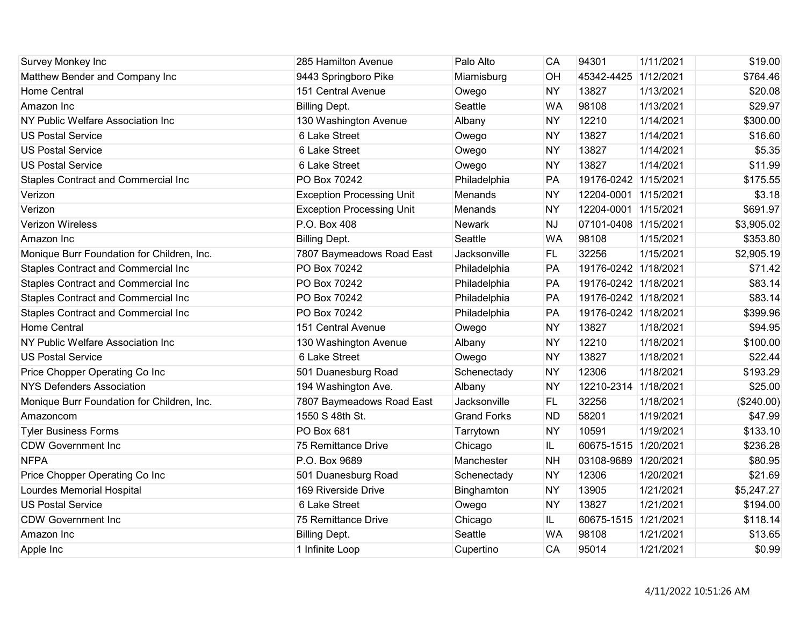| Survey Monkey Inc                          | 285 Hamilton Avenue              | Palo Alto          | CA        | 94301                | 1/11/2021 | \$19.00    |
|--------------------------------------------|----------------------------------|--------------------|-----------|----------------------|-----------|------------|
| Matthew Bender and Company Inc             | 9443 Springboro Pike             | Miamisburg         | OH        | 45342-4425           | 1/12/2021 | \$764.46   |
| <b>Home Central</b>                        | 151 Central Avenue               | Owego              | <b>NY</b> | 13827                | 1/13/2021 | \$20.08    |
| Amazon Inc                                 | <b>Billing Dept.</b>             | Seattle            | <b>WA</b> | 98108                | 1/13/2021 | \$29.97    |
| NY Public Welfare Association Inc          | 130 Washington Avenue            | Albany             | <b>NY</b> | 12210                | 1/14/2021 | \$300.00   |
| <b>US Postal Service</b>                   | 6 Lake Street                    | Owego              | <b>NY</b> | 13827                | 1/14/2021 | \$16.60    |
| <b>US Postal Service</b>                   | 6 Lake Street                    | Owego              | <b>NY</b> | 13827                | 1/14/2021 | \$5.35     |
| <b>US Postal Service</b>                   | 6 Lake Street                    | Owego              | <b>NY</b> | 13827                | 1/14/2021 | \$11.99    |
| <b>Staples Contract and Commercial Inc</b> | PO Box 70242                     | Philadelphia       | PA        | 19176-0242 1/15/2021 |           | \$175.55   |
| Verizon                                    | <b>Exception Processing Unit</b> | Menands            | <b>NY</b> | 12204-0001 1/15/2021 |           | \$3.18     |
| Verizon                                    | <b>Exception Processing Unit</b> | Menands            | <b>NY</b> | 12204-0001 1/15/2021 |           | \$691.97   |
| <b>Verizon Wireless</b>                    | P.O. Box 408                     | <b>Newark</b>      | <b>NJ</b> | 07101-0408 1/15/2021 |           | \$3,905.02 |
| Amazon Inc                                 | <b>Billing Dept.</b>             | Seattle            | <b>WA</b> | 98108                | 1/15/2021 | \$353.80   |
| Monique Burr Foundation for Children, Inc. | 7807 Baymeadows Road East        | Jacksonville       | <b>FL</b> | 32256                | 1/15/2021 | \$2,905.19 |
| <b>Staples Contract and Commercial Inc</b> | PO Box 70242                     | Philadelphia       | PA        | 19176-0242 1/18/2021 |           | \$71.42    |
| Staples Contract and Commercial Inc        | PO Box 70242                     | Philadelphia       | PA        | 19176-0242 1/18/2021 |           | \$83.14    |
| Staples Contract and Commercial Inc        | PO Box 70242                     | Philadelphia       | PA        | 19176-0242 1/18/2021 |           | \$83.14    |
| Staples Contract and Commercial Inc        | PO Box 70242                     | Philadelphia       | PA        | 19176-0242 1/18/2021 |           | \$399.96   |
| <b>Home Central</b>                        | 151 Central Avenue               | Owego              | <b>NY</b> | 13827                | 1/18/2021 | \$94.95    |
| NY Public Welfare Association Inc          | 130 Washington Avenue            | Albany             | <b>NY</b> | 12210                | 1/18/2021 | \$100.00   |
| <b>US Postal Service</b>                   | 6 Lake Street                    | Owego              | <b>NY</b> | 13827                | 1/18/2021 | \$22.44    |
| Price Chopper Operating Co Inc             | 501 Duanesburg Road              | Schenectady        | <b>NY</b> | 12306                | 1/18/2021 | \$193.29   |
| <b>NYS Defenders Association</b>           | 194 Washington Ave.              | Albany             | <b>NY</b> | 12210-2314           | 1/18/2021 | \$25.00    |
| Monique Burr Foundation for Children, Inc. | 7807 Baymeadows Road East        | Jacksonville       | <b>FL</b> | 32256                | 1/18/2021 | (\$240.00) |
| Amazoncom                                  | 1550 S 48th St.                  | <b>Grand Forks</b> | <b>ND</b> | 58201                | 1/19/2021 | \$47.99    |
| <b>Tyler Business Forms</b>                | PO Box 681                       | Tarrytown          | <b>NY</b> | 10591                | 1/19/2021 | \$133.10   |
| <b>CDW Government Inc</b>                  | 75 Remittance Drive              | Chicago            | IL.       | 60675-1515 1/20/2021 |           | \$236.28   |
| <b>NFPA</b>                                | P.O. Box 9689                    | Manchester         | <b>NH</b> | 03108-9689 1/20/2021 |           | \$80.95    |
| Price Chopper Operating Co Inc             | 501 Duanesburg Road              | Schenectady        | <b>NY</b> | 12306                | 1/20/2021 | \$21.69    |
| <b>Lourdes Memorial Hospital</b>           | 169 Riverside Drive              | Binghamton         | <b>NY</b> | 13905                | 1/21/2021 | \$5,247.27 |
| <b>US Postal Service</b>                   | 6 Lake Street                    | Owego              | <b>NY</b> | 13827                | 1/21/2021 | \$194.00   |
| <b>CDW Government Inc</b>                  | 75 Remittance Drive              | Chicago            | IL.       | 60675-1515 1/21/2021 |           | \$118.14   |
| Amazon Inc                                 | <b>Billing Dept.</b>             | Seattle            | <b>WA</b> | 98108                | 1/21/2021 | \$13.65    |
| Apple Inc                                  | 1 Infinite Loop                  | Cupertino          | CA        | 95014                | 1/21/2021 | \$0.99     |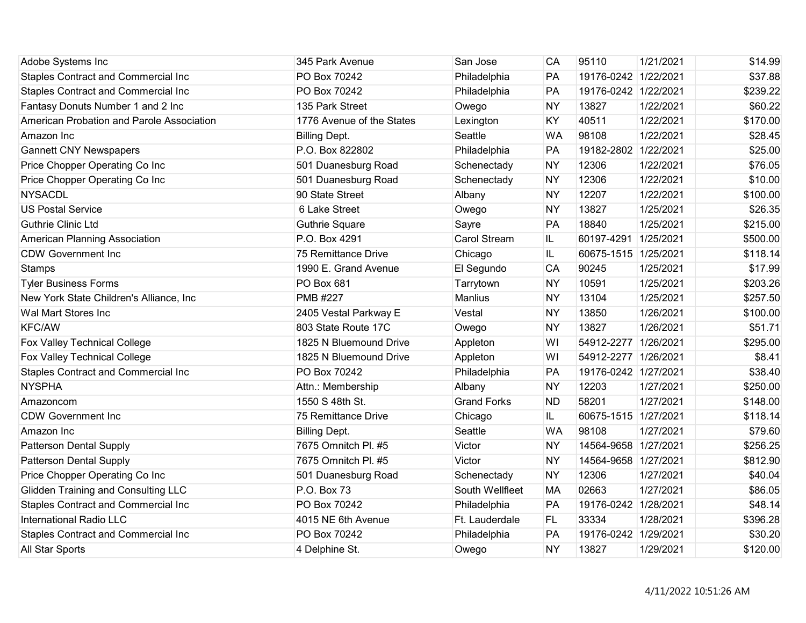| Adobe Systems Inc                          | 345 Park Avenue           | San Jose            | CA        | 95110                | 1/21/2021 | \$14.99  |
|--------------------------------------------|---------------------------|---------------------|-----------|----------------------|-----------|----------|
| <b>Staples Contract and Commercial Inc</b> | PO Box 70242              | Philadelphia        | PA        | 19176-0242 1/22/2021 |           | \$37.88  |
| Staples Contract and Commercial Inc        | PO Box 70242              | Philadelphia        | PA        | 19176-0242 1/22/2021 |           | \$239.22 |
| Fantasy Donuts Number 1 and 2 Inc          | 135 Park Street           | Owego               | <b>NY</b> | 13827                | 1/22/2021 | \$60.22  |
| American Probation and Parole Association  | 1776 Avenue of the States | Lexington           | KY        | 40511                | 1/22/2021 | \$170.00 |
| Amazon Inc                                 | <b>Billing Dept.</b>      | Seattle             | <b>WA</b> | 98108                | 1/22/2021 | \$28.45  |
| <b>Gannett CNY Newspapers</b>              | P.O. Box 822802           | Philadelphia        | PA        | 19182-2802 1/22/2021 |           | \$25.00  |
| Price Chopper Operating Co Inc             | 501 Duanesburg Road       | Schenectady         | <b>NY</b> | 12306                | 1/22/2021 | \$76.05  |
| Price Chopper Operating Co Inc             | 501 Duanesburg Road       | Schenectady         | <b>NY</b> | 12306                | 1/22/2021 | \$10.00  |
| <b>NYSACDL</b>                             | 90 State Street           | Albany              | <b>NY</b> | 12207                | 1/22/2021 | \$100.00 |
| <b>US Postal Service</b>                   | 6 Lake Street             | Owego               | <b>NY</b> | 13827                | 1/25/2021 | \$26.35  |
| <b>Guthrie Clinic Ltd</b>                  | <b>Guthrie Square</b>     | Sayre               | PA        | 18840                | 1/25/2021 | \$215.00 |
| American Planning Association              | P.O. Box 4291             | <b>Carol Stream</b> | IL.       | 60197-4291           | 1/25/2021 | \$500.00 |
| <b>CDW Government Inc</b>                  | 75 Remittance Drive       | Chicago             | IL        | 60675-1515 1/25/2021 |           | \$118.14 |
| Stamps                                     | 1990 E. Grand Avenue      | El Segundo          | <b>CA</b> | 90245                | 1/25/2021 | \$17.99  |
| <b>Tyler Business Forms</b>                | PO Box 681                | Tarrytown           | <b>NY</b> | 10591                | 1/25/2021 | \$203.26 |
| New York State Children's Alliance, Inc    | <b>PMB #227</b>           | Manlius             | <b>NY</b> | 13104                | 1/25/2021 | \$257.50 |
| Wal Mart Stores Inc                        | 2405 Vestal Parkway E     | Vestal              | <b>NY</b> | 13850                | 1/26/2021 | \$100.00 |
| <b>KFC/AW</b>                              | 803 State Route 17C       | Owego               | <b>NY</b> | 13827                | 1/26/2021 | \$51.71  |
| Fox Valley Technical College               | 1825 N Bluemound Drive    | Appleton            | WI        | 54912-2277 1/26/2021 |           | \$295.00 |
| Fox Valley Technical College               | 1825 N Bluemound Drive    | Appleton            | WI        | 54912-2277 1/26/2021 |           | \$8.41   |
| <b>Staples Contract and Commercial Inc</b> | PO Box 70242              | Philadelphia        | PA        | 19176-0242 1/27/2021 |           | \$38.40  |
| <b>NYSPHA</b>                              | Attn.: Membership         | Albany              | <b>NY</b> | 12203                | 1/27/2021 | \$250.00 |
| Amazoncom                                  | 1550 S 48th St.           | <b>Grand Forks</b>  | <b>ND</b> | 58201                | 1/27/2021 | \$148.00 |
| <b>CDW Government Inc</b>                  | 75 Remittance Drive       | Chicago             | IL        | 60675-1515 1/27/2021 |           | \$118.14 |
| Amazon Inc                                 | <b>Billing Dept.</b>      | Seattle             | <b>WA</b> | 98108                | 1/27/2021 | \$79.60  |
| <b>Patterson Dental Supply</b>             | 7675 Omnitch Pl. #5       | Victor              | <b>NY</b> | 14564-9658 1/27/2021 |           | \$256.25 |
| <b>Patterson Dental Supply</b>             | 7675 Omnitch Pl. #5       | Victor              | <b>NY</b> | 14564-9658 1/27/2021 |           | \$812.90 |
| Price Chopper Operating Co Inc             | 501 Duanesburg Road       | Schenectady         | <b>NY</b> | 12306                | 1/27/2021 | \$40.04  |
| <b>Glidden Training and Consulting LLC</b> | P.O. Box 73               | South Wellfleet     | <b>MA</b> | 02663                | 1/27/2021 | \$86.05  |
| Staples Contract and Commercial Inc        | PO Box 70242              | Philadelphia        | PA        | 19176-0242 1/28/2021 |           | \$48.14  |
| <b>International Radio LLC</b>             | 4015 NE 6th Avenue        | Ft. Lauderdale      | FL.       | 33334                | 1/28/2021 | \$396.28 |
| <b>Staples Contract and Commercial Inc</b> | PO Box 70242              | Philadelphia        | PA        | 19176-0242 1/29/2021 |           | \$30.20  |
| All Star Sports                            | 4 Delphine St.            | Owego               | <b>NY</b> | 13827                | 1/29/2021 | \$120.00 |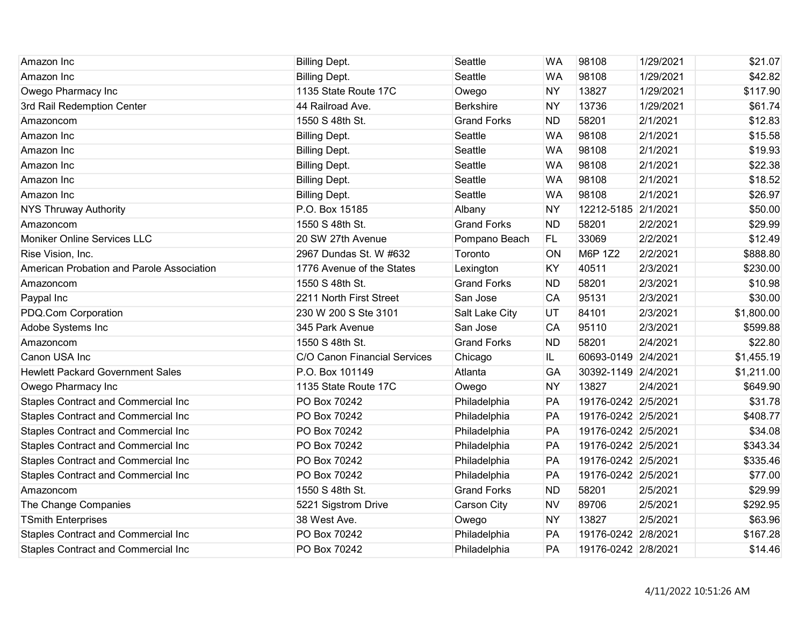| Amazon Inc                                 | <b>Billing Dept.</b>         | Seattle            | <b>WA</b> | 98108               | 1/29/2021 | \$21.07    |
|--------------------------------------------|------------------------------|--------------------|-----------|---------------------|-----------|------------|
| Amazon Inc                                 | <b>Billing Dept.</b>         | Seattle            | <b>WA</b> | 98108               | 1/29/2021 | \$42.82    |
| Owego Pharmacy Inc                         | 1135 State Route 17C         | Owego              | <b>NY</b> | 13827               | 1/29/2021 | \$117.90   |
| 3rd Rail Redemption Center                 | 44 Railroad Ave.             | <b>Berkshire</b>   | <b>NY</b> | 13736               | 1/29/2021 | \$61.74    |
| Amazoncom                                  | 1550 S 48th St.              | <b>Grand Forks</b> | <b>ND</b> | 58201               | 2/1/2021  | \$12.83    |
| Amazon Inc                                 | <b>Billing Dept.</b>         | Seattle            | <b>WA</b> | 98108               | 2/1/2021  | \$15.58    |
| Amazon Inc                                 | <b>Billing Dept.</b>         | Seattle            | <b>WA</b> | 98108               | 2/1/2021  | \$19.93    |
| Amazon Inc                                 | <b>Billing Dept.</b>         | Seattle            | <b>WA</b> | 98108               | 2/1/2021  | \$22.38    |
| Amazon Inc                                 | <b>Billing Dept.</b>         | Seattle            | <b>WA</b> | 98108               | 2/1/2021  | \$18.52    |
| Amazon Inc                                 | <b>Billing Dept.</b>         | Seattle            | <b>WA</b> | 98108               | 2/1/2021  | \$26.97    |
| <b>NYS Thruway Authority</b>               | P.O. Box 15185               | Albany             | <b>NY</b> | 12212-5185 2/1/2021 |           | \$50.00    |
| Amazoncom                                  | 1550 S 48th St.              | <b>Grand Forks</b> | <b>ND</b> | 58201               | 2/2/2021  | \$29.99    |
| Moniker Online Services LLC                | 20 SW 27th Avenue            | Pompano Beach      | <b>FL</b> | 33069               | 2/2/2021  | \$12.49    |
| Rise Vision, Inc.                          | 2967 Dundas St. W #632       | Toronto            | ON        | M6P 1Z2             | 2/2/2021  | \$888.80   |
| American Probation and Parole Association  | 1776 Avenue of the States    | Lexington          | KY        | 40511               | 2/3/2021  | \$230.00   |
| Amazoncom                                  | 1550 S 48th St.              | <b>Grand Forks</b> | <b>ND</b> | 58201               | 2/3/2021  | \$10.98    |
| Paypal Inc                                 | 2211 North First Street      | San Jose           | CA        | 95131               | 2/3/2021  | \$30.00    |
| PDQ.Com Corporation                        | 230 W 200 S Ste 3101         | Salt Lake City     | UT        | 84101               | 2/3/2021  | \$1,800.00 |
| Adobe Systems Inc                          | 345 Park Avenue              | San Jose           | CA        | 95110               | 2/3/2021  | \$599.88   |
| Amazoncom                                  | 1550 S 48th St.              | <b>Grand Forks</b> | <b>ND</b> | 58201               | 2/4/2021  | \$22.80    |
| Canon USA Inc                              | C/O Canon Financial Services | Chicago            | IL.       | 60693-0149 2/4/2021 |           | \$1,455.19 |
| <b>Hewlett Packard Government Sales</b>    | P.O. Box 101149              | Atlanta            | GA        | 30392-1149 2/4/2021 |           | \$1,211.00 |
| Owego Pharmacy Inc                         | 1135 State Route 17C         | Owego              | <b>NY</b> | 13827               | 2/4/2021  | \$649.90   |
| <b>Staples Contract and Commercial Inc</b> | PO Box 70242                 | Philadelphia       | PA        | 19176-0242 2/5/2021 |           | \$31.78    |
| <b>Staples Contract and Commercial Inc</b> | PO Box 70242                 | Philadelphia       | PA        | 19176-0242 2/5/2021 |           | \$408.77   |
| <b>Staples Contract and Commercial Inc</b> | PO Box 70242                 | Philadelphia       | PA        | 19176-0242 2/5/2021 |           | \$34.08    |
| <b>Staples Contract and Commercial Inc</b> | PO Box 70242                 | Philadelphia       | PA        | 19176-0242 2/5/2021 |           | \$343.34   |
| <b>Staples Contract and Commercial Inc</b> | PO Box 70242                 | Philadelphia       | PA        | 19176-0242 2/5/2021 |           | \$335.46   |
| <b>Staples Contract and Commercial Inc</b> | PO Box 70242                 | Philadelphia       | PA        | 19176-0242 2/5/2021 |           | \$77.00    |
| Amazoncom                                  | 1550 S 48th St.              | <b>Grand Forks</b> | <b>ND</b> | 58201               | 2/5/2021  | \$29.99    |
| The Change Companies                       | 5221 Sigstrom Drive          | Carson City        | <b>NV</b> | 89706               | 2/5/2021  | \$292.95   |
| <b>TSmith Enterprises</b>                  | 38 West Ave.                 | Owego              | <b>NY</b> | 13827               | 2/5/2021  | \$63.96    |
| <b>Staples Contract and Commercial Inc</b> | PO Box 70242                 | Philadelphia       | PA        | 19176-0242 2/8/2021 |           | \$167.28   |
| <b>Staples Contract and Commercial Inc</b> | PO Box 70242                 | Philadelphia       | PA        | 19176-0242 2/8/2021 |           | \$14.46    |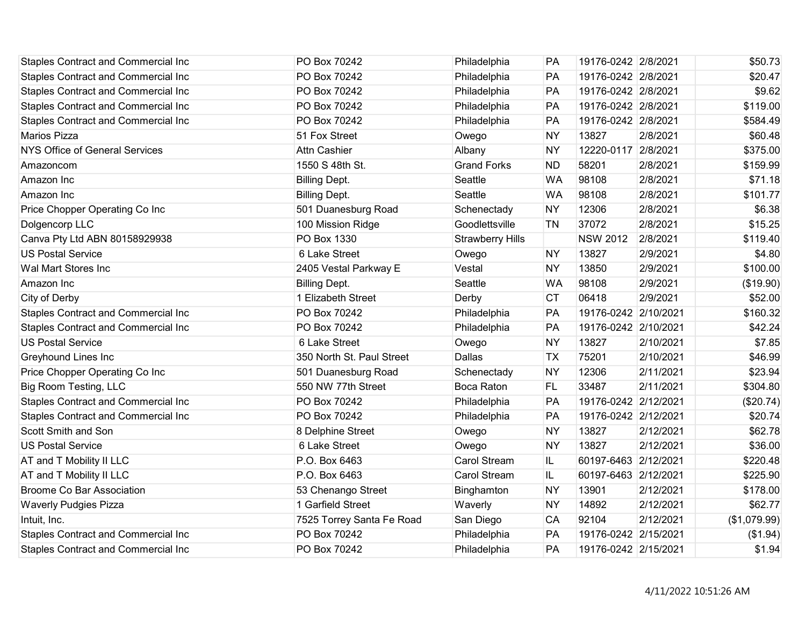| <b>Staples Contract and Commercial Inc</b> | PO Box 70242              | Philadelphia            | PA        | 19176-0242 2/8/2021  |           | \$50.73      |
|--------------------------------------------|---------------------------|-------------------------|-----------|----------------------|-----------|--------------|
| Staples Contract and Commercial Inc        | PO Box 70242              | Philadelphia            | PA        | 19176-0242 2/8/2021  |           | \$20.47      |
| Staples Contract and Commercial Inc        | PO Box 70242              | Philadelphia            | PA        | 19176-0242 2/8/2021  |           | \$9.62       |
| Staples Contract and Commercial Inc        | PO Box 70242              | Philadelphia            | PA        | 19176-0242 2/8/2021  |           | \$119.00     |
| Staples Contract and Commercial Inc        | PO Box 70242              | Philadelphia            | PA        | 19176-0242 2/8/2021  |           | \$584.49     |
| Marios Pizza                               | 51 Fox Street             | Owego                   | <b>NY</b> | 13827                | 2/8/2021  | \$60.48      |
| <b>NYS Office of General Services</b>      | <b>Attn Cashier</b>       | Albany                  | <b>NY</b> | 12220-0117           | 2/8/2021  | \$375.00     |
| Amazoncom                                  | 1550 S 48th St.           | <b>Grand Forks</b>      | <b>ND</b> | 58201                | 2/8/2021  | \$159.99     |
| Amazon Inc                                 | <b>Billing Dept.</b>      | Seattle                 | <b>WA</b> | 98108                | 2/8/2021  | \$71.18      |
| Amazon Inc                                 | <b>Billing Dept.</b>      | Seattle                 | <b>WA</b> | 98108                | 2/8/2021  | \$101.77     |
| Price Chopper Operating Co Inc             | 501 Duanesburg Road       | Schenectady             | <b>NY</b> | 12306                | 2/8/2021  | \$6.38       |
| Dolgencorp LLC                             | 100 Mission Ridge         | Goodlettsville          | <b>TN</b> | 37072                | 2/8/2021  | \$15.25      |
| Canva Pty Ltd ABN 80158929938              | PO Box 1330               | <b>Strawberry Hills</b> |           | <b>NSW 2012</b>      | 2/8/2021  | \$119.40     |
| <b>US Postal Service</b>                   | 6 Lake Street             | Owego                   | <b>NY</b> | 13827                | 2/9/2021  | \$4.80       |
| Wal Mart Stores Inc                        | 2405 Vestal Parkway E     | Vestal                  | <b>NY</b> | 13850                | 2/9/2021  | \$100.00     |
| Amazon Inc                                 | <b>Billing Dept.</b>      | Seattle                 | <b>WA</b> | 98108                | 2/9/2021  | (\$19.90)    |
| City of Derby                              | 1 Elizabeth Street        | Derby                   | <b>CT</b> | 06418                | 2/9/2021  | \$52.00      |
| Staples Contract and Commercial Inc        | PO Box 70242              | Philadelphia            | PA        | 19176-0242 2/10/2021 |           | \$160.32     |
| <b>Staples Contract and Commercial Inc</b> | PO Box 70242              | Philadelphia            | PA        | 19176-0242 2/10/2021 |           | \$42.24      |
| <b>US Postal Service</b>                   | 6 Lake Street             | Owego                   | <b>NY</b> | 13827                | 2/10/2021 | \$7.85       |
| <b>Greyhound Lines Inc</b>                 | 350 North St. Paul Street | Dallas                  | <b>TX</b> | 75201                | 2/10/2021 | \$46.99      |
| Price Chopper Operating Co Inc             | 501 Duanesburg Road       | Schenectady             | <b>NY</b> | 12306                | 2/11/2021 | \$23.94      |
| Big Room Testing, LLC                      | 550 NW 77th Street        | <b>Boca Raton</b>       | <b>FL</b> | 33487                | 2/11/2021 | \$304.80     |
| <b>Staples Contract and Commercial Inc</b> | PO Box 70242              | Philadelphia            | PA        | 19176-0242 2/12/2021 |           | (\$20.74)    |
| Staples Contract and Commercial Inc        | PO Box 70242              | Philadelphia            | PA        | 19176-0242 2/12/2021 |           | \$20.74      |
| Scott Smith and Son                        | 8 Delphine Street         | Owego                   | <b>NY</b> | 13827                | 2/12/2021 | \$62.78      |
| <b>US Postal Service</b>                   | 6 Lake Street             | Owego                   | <b>NY</b> | 13827                | 2/12/2021 | \$36.00      |
| AT and T Mobility II LLC                   | P.O. Box 6463             | <b>Carol Stream</b>     | IL        | 60197-6463 2/12/2021 |           | \$220.48     |
| AT and T Mobility II LLC                   | P.O. Box 6463             | <b>Carol Stream</b>     | IL        | 60197-6463 2/12/2021 |           | \$225.90     |
| <b>Broome Co Bar Association</b>           | 53 Chenango Street        | Binghamton              | <b>NY</b> | 13901                | 2/12/2021 | \$178.00     |
| <b>Waverly Pudgies Pizza</b>               | 1 Garfield Street         | Waverly                 | <b>NY</b> | 14892                | 2/12/2021 | \$62.77      |
| Intuit, Inc.                               | 7525 Torrey Santa Fe Road | San Diego               | CA        | 92104                | 2/12/2021 | (\$1,079.99) |
| Staples Contract and Commercial Inc        | PO Box 70242              | Philadelphia            | PA        | 19176-0242 2/15/2021 |           | (\$1.94)     |
| <b>Staples Contract and Commercial Inc</b> | PO Box 70242              | Philadelphia            | PA        | 19176-0242 2/15/2021 |           | \$1.94       |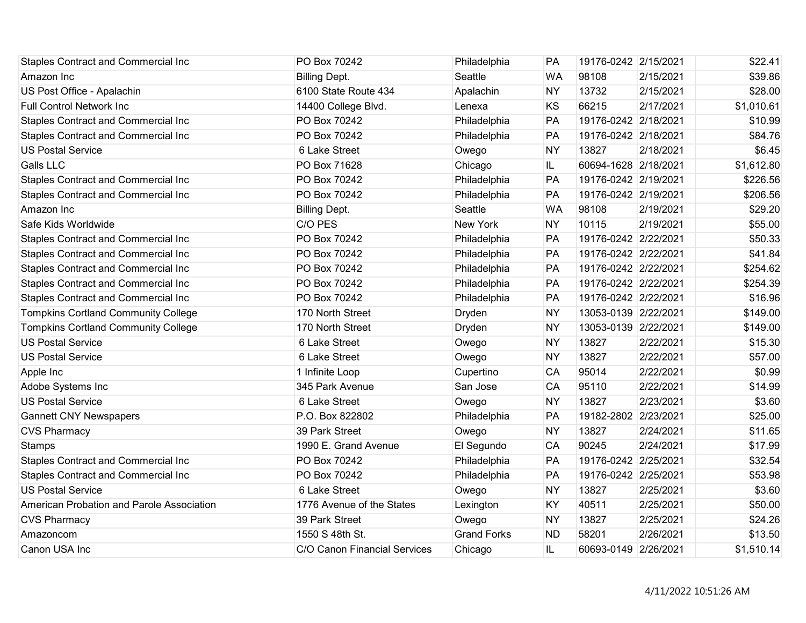| <b>Staples Contract and Commercial Inc</b> | PO Box 70242                 | Philadelphia       | <b>PA</b> | 19176-0242 2/15/2021 |           | \$22.41    |
|--------------------------------------------|------------------------------|--------------------|-----------|----------------------|-----------|------------|
| Amazon Inc                                 | <b>Billing Dept.</b>         | Seattle            | <b>WA</b> | 98108                | 2/15/2021 | \$39.86    |
| US Post Office - Apalachin                 | 6100 State Route 434         | Apalachin          | <b>NY</b> | 13732                | 2/15/2021 | \$28.00    |
| <b>Full Control Network Inc</b>            | 14400 College Blvd.          | Lenexa             | KS        | 66215                | 2/17/2021 | \$1,010.61 |
| <b>Staples Contract and Commercial Inc</b> | PO Box 70242                 | Philadelphia       | PA        | 19176-0242 2/18/2021 |           | \$10.99    |
| Staples Contract and Commercial Inc        | PO Box 70242                 | Philadelphia       | PA        | 19176-0242 2/18/2021 |           | \$84.76    |
| <b>US Postal Service</b>                   | 6 Lake Street                | Owego              | <b>NY</b> | 13827                | 2/18/2021 | \$6.45     |
| <b>Galls LLC</b>                           | PO Box 71628                 | Chicago            | IL.       | 60694-1628 2/18/2021 |           | \$1,612.80 |
| Staples Contract and Commercial Inc        | PO Box 70242                 | Philadelphia       | PA        | 19176-0242 2/19/2021 |           | \$226.56   |
| <b>Staples Contract and Commercial Inc</b> | PO Box 70242                 | Philadelphia       | PA        | 19176-0242 2/19/2021 |           | \$206.56   |
| Amazon Inc                                 | <b>Billing Dept.</b>         | Seattle            | <b>WA</b> | 98108                | 2/19/2021 | \$29.20    |
| Safe Kids Worldwide                        | C/O PES                      | New York           | <b>NY</b> | 10115                | 2/19/2021 | \$55.00    |
| <b>Staples Contract and Commercial Inc</b> | PO Box 70242                 | Philadelphia       | PA        | 19176-0242 2/22/2021 |           | \$50.33    |
| <b>Staples Contract and Commercial Inc</b> | PO Box 70242                 | Philadelphia       | PA        | 19176-0242 2/22/2021 |           | \$41.84    |
| <b>Staples Contract and Commercial Inc</b> | PO Box 70242                 | Philadelphia       | PA        | 19176-0242 2/22/2021 |           | \$254.62   |
| <b>Staples Contract and Commercial Inc</b> | PO Box 70242                 | Philadelphia       | PA        | 19176-0242 2/22/2021 |           | \$254.39   |
| Staples Contract and Commercial Inc        | PO Box 70242                 | Philadelphia       | PA        | 19176-0242 2/22/2021 |           | \$16.96    |
| <b>Tompkins Cortland Community College</b> | 170 North Street             | Dryden             | <b>NY</b> | 13053-0139 2/22/2021 |           | \$149.00   |
| <b>Tompkins Cortland Community College</b> | 170 North Street             | Dryden             | <b>NY</b> | 13053-0139 2/22/2021 |           | \$149.00   |
| <b>US Postal Service</b>                   | 6 Lake Street                | Owego              | <b>NY</b> | 13827                | 2/22/2021 | \$15.30    |
| <b>US Postal Service</b>                   | 6 Lake Street                | Owego              | <b>NY</b> | 13827                | 2/22/2021 | \$57.00    |
| Apple Inc                                  | 1 Infinite Loop              | Cupertino          | CA        | 95014                | 2/22/2021 | \$0.99     |
| Adobe Systems Inc                          | 345 Park Avenue              | San Jose           | CA        | 95110                | 2/22/2021 | \$14.99    |
| <b>US Postal Service</b>                   | 6 Lake Street                | Owego              | <b>NY</b> | 13827                | 2/23/2021 | \$3.60     |
| <b>Gannett CNY Newspapers</b>              | P.O. Box 822802              | Philadelphia       | PA        | 19182-2802 2/23/2021 |           | \$25.00    |
| <b>CVS Pharmacy</b>                        | 39 Park Street               | Owego              | <b>NY</b> | 13827                | 2/24/2021 | \$11.65    |
| <b>Stamps</b>                              | 1990 E. Grand Avenue         | El Segundo         | CA        | 90245                | 2/24/2021 | \$17.99    |
| <b>Staples Contract and Commercial Inc</b> | PO Box 70242                 | Philadelphia       | PA        | 19176-0242 2/25/2021 |           | \$32.54    |
| Staples Contract and Commercial Inc        | PO Box 70242                 | Philadelphia       | PA        | 19176-0242 2/25/2021 |           | \$53.98    |
| <b>US Postal Service</b>                   | 6 Lake Street                | Owego              | <b>NY</b> | 13827                | 2/25/2021 | \$3.60     |
| American Probation and Parole Association  | 1776 Avenue of the States    | Lexington          | KY        | 40511                | 2/25/2021 | \$50.00    |
| <b>CVS Pharmacy</b>                        | 39 Park Street               | Owego              | <b>NY</b> | 13827                | 2/25/2021 | \$24.26    |
| Amazoncom                                  | 1550 S 48th St.              | <b>Grand Forks</b> | <b>ND</b> | 58201                | 2/26/2021 | \$13.50    |
| Canon USA Inc                              | C/O Canon Financial Services | Chicago            | IL.       | 60693-0149 2/26/2021 |           | \$1,510.14 |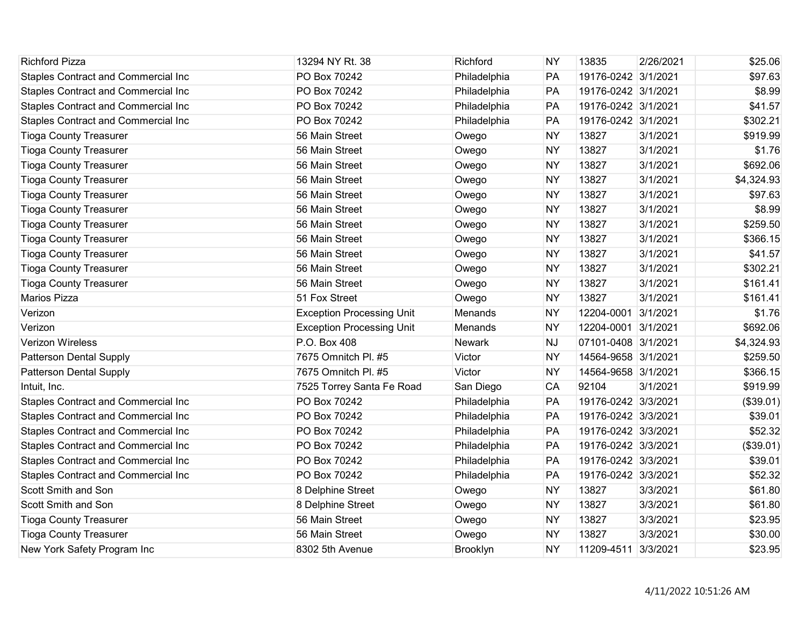| <b>Richford Pizza</b>                      | 13294 NY Rt. 38                  | Richford        | <b>NY</b> | 13835               | 2/26/2021 | \$25.06    |
|--------------------------------------------|----------------------------------|-----------------|-----------|---------------------|-----------|------------|
| <b>Staples Contract and Commercial Inc</b> | PO Box 70242                     | Philadelphia    | PA        | 19176-0242 3/1/2021 |           | \$97.63    |
| <b>Staples Contract and Commercial Inc</b> | PO Box 70242                     | Philadelphia    | PA        | 19176-0242 3/1/2021 |           | \$8.99     |
| Staples Contract and Commercial Inc        | PO Box 70242                     | Philadelphia    | PA        | 19176-0242 3/1/2021 |           | \$41.57    |
| <b>Staples Contract and Commercial Inc</b> | PO Box 70242                     | Philadelphia    | PA        | 19176-0242 3/1/2021 |           | \$302.21   |
| <b>Tioga County Treasurer</b>              | 56 Main Street                   | Owego           | <b>NY</b> | 13827               | 3/1/2021  | \$919.99   |
| <b>Tioga County Treasurer</b>              | 56 Main Street                   | Owego           | <b>NY</b> | 13827               | 3/1/2021  | \$1.76     |
| <b>Tioga County Treasurer</b>              | 56 Main Street                   | Owego           | <b>NY</b> | 13827               | 3/1/2021  | \$692.06   |
| <b>Tioga County Treasurer</b>              | 56 Main Street                   | Owego           | <b>NY</b> | 13827               | 3/1/2021  | \$4,324.93 |
| <b>Tioga County Treasurer</b>              | 56 Main Street                   | Owego           | <b>NY</b> | 13827               | 3/1/2021  | \$97.63    |
| <b>Tioga County Treasurer</b>              | 56 Main Street                   | Owego           | <b>NY</b> | 13827               | 3/1/2021  | \$8.99     |
| <b>Tioga County Treasurer</b>              | 56 Main Street                   | Owego           | <b>NY</b> | 13827               | 3/1/2021  | \$259.50   |
| <b>Tioga County Treasurer</b>              | 56 Main Street                   | Owego           | <b>NY</b> | 13827               | 3/1/2021  | \$366.15   |
| <b>Tioga County Treasurer</b>              | 56 Main Street                   | Owego           | <b>NY</b> | 13827               | 3/1/2021  | \$41.57    |
| <b>Tioga County Treasurer</b>              | 56 Main Street                   | Owego           | <b>NY</b> | 13827               | 3/1/2021  | \$302.21   |
| <b>Tioga County Treasurer</b>              | 56 Main Street                   | Owego           | <b>NY</b> | 13827               | 3/1/2021  | \$161.41   |
| <b>Marios Pizza</b>                        | 51 Fox Street                    | Owego           | <b>NY</b> | 13827               | 3/1/2021  | \$161.41   |
| Verizon                                    | <b>Exception Processing Unit</b> | Menands         | <b>NY</b> | 12204-0001          | 3/1/2021  | \$1.76     |
| Verizon                                    | <b>Exception Processing Unit</b> | Menands         | <b>NY</b> | 12204-0001 3/1/2021 |           | \$692.06   |
| <b>Verizon Wireless</b>                    | P.O. Box 408                     | <b>Newark</b>   | <b>NJ</b> | 07101-0408 3/1/2021 |           | \$4,324.93 |
| <b>Patterson Dental Supply</b>             | 7675 Omnitch Pl. #5              | Victor          | <b>NY</b> | 14564-9658 3/1/2021 |           | \$259.50   |
| Patterson Dental Supply                    | 7675 Omnitch Pl. #5              | Victor          | <b>NY</b> | 14564-9658 3/1/2021 |           | \$366.15   |
| Intuit, Inc.                               | 7525 Torrey Santa Fe Road        | San Diego       | CA        | 92104               | 3/1/2021  | \$919.99   |
| <b>Staples Contract and Commercial Inc</b> | PO Box 70242                     | Philadelphia    | PA        | 19176-0242 3/3/2021 |           | (\$39.01)  |
| Staples Contract and Commercial Inc        | PO Box 70242                     | Philadelphia    | PA        | 19176-0242 3/3/2021 |           | \$39.01    |
| <b>Staples Contract and Commercial Inc</b> | PO Box 70242                     | Philadelphia    | PA        | 19176-0242 3/3/2021 |           | \$52.32    |
| <b>Staples Contract and Commercial Inc</b> | PO Box 70242                     | Philadelphia    | PA        | 19176-0242 3/3/2021 |           | (\$39.01)  |
| <b>Staples Contract and Commercial Inc</b> | PO Box 70242                     | Philadelphia    | PA        | 19176-0242 3/3/2021 |           | \$39.01    |
| <b>Staples Contract and Commercial Inc</b> | PO Box 70242                     | Philadelphia    | PA        | 19176-0242 3/3/2021 |           | \$52.32    |
| Scott Smith and Son                        | 8 Delphine Street                | Owego           | <b>NY</b> | 13827               | 3/3/2021  | \$61.80    |
| Scott Smith and Son                        | 8 Delphine Street                | Owego           | <b>NY</b> | 13827               | 3/3/2021  | \$61.80    |
| <b>Tioga County Treasurer</b>              | 56 Main Street                   | Owego           | <b>NY</b> | 13827               | 3/3/2021  | \$23.95    |
| <b>Tioga County Treasurer</b>              | 56 Main Street                   | Owego           | <b>NY</b> | 13827               | 3/3/2021  | \$30.00    |
| New York Safety Program Inc                | 8302 5th Avenue                  | <b>Brooklyn</b> | <b>NY</b> | 11209-4511 3/3/2021 |           | \$23.95    |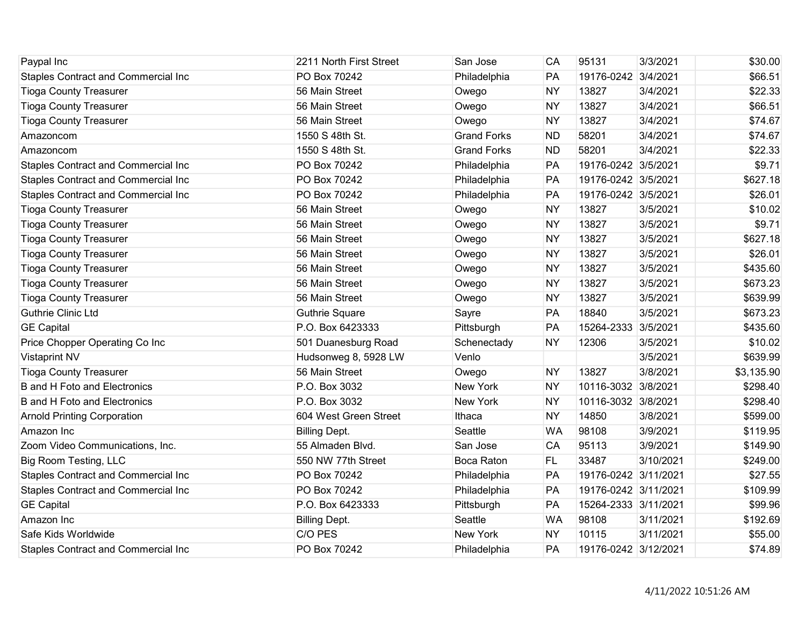| Paypal Inc                                 | 2211 North First Street | San Jose           | CA        | 95131                | 3/3/2021  | \$30.00    |
|--------------------------------------------|-------------------------|--------------------|-----------|----------------------|-----------|------------|
| <b>Staples Contract and Commercial Inc</b> | PO Box 70242            | Philadelphia       | PA        | 19176-0242 3/4/2021  |           | \$66.51    |
| <b>Tioga County Treasurer</b>              | 56 Main Street          | Owego              | <b>NY</b> | 13827                | 3/4/2021  | \$22.33    |
| <b>Tioga County Treasurer</b>              | 56 Main Street          | Owego              | <b>NY</b> | 13827                | 3/4/2021  | \$66.51    |
| <b>Tioga County Treasurer</b>              | 56 Main Street          | Owego              | <b>NY</b> | 13827                | 3/4/2021  | \$74.67    |
| Amazoncom                                  | 1550 S 48th St.         | <b>Grand Forks</b> | <b>ND</b> | 58201                | 3/4/2021  | \$74.67    |
| Amazoncom                                  | 1550 S 48th St.         | <b>Grand Forks</b> | <b>ND</b> | 58201                | 3/4/2021  | \$22.33    |
| <b>Staples Contract and Commercial Inc</b> | PO Box 70242            | Philadelphia       | PA        | 19176-0242 3/5/2021  |           | \$9.71     |
| Staples Contract and Commercial Inc        | PO Box 70242            | Philadelphia       | PA        | 19176-0242 3/5/2021  |           | \$627.18   |
| <b>Staples Contract and Commercial Inc</b> | PO Box 70242            | Philadelphia       | PA        | 19176-0242 3/5/2021  |           | \$26.01    |
| <b>Tioga County Treasurer</b>              | 56 Main Street          | Owego              | <b>NY</b> | 13827                | 3/5/2021  | \$10.02    |
| <b>Tioga County Treasurer</b>              | 56 Main Street          | Owego              | <b>NY</b> | 13827                | 3/5/2021  | \$9.71     |
| <b>Tioga County Treasurer</b>              | 56 Main Street          | Owego              | <b>NY</b> | 13827                | 3/5/2021  | \$627.18   |
| <b>Tioga County Treasurer</b>              | 56 Main Street          | Owego              | <b>NY</b> | 13827                | 3/5/2021  | \$26.01    |
| <b>Tioga County Treasurer</b>              | 56 Main Street          | Owego              | <b>NY</b> | 13827                | 3/5/2021  | \$435.60   |
| <b>Tioga County Treasurer</b>              | 56 Main Street          | Owego              | <b>NY</b> | 13827                | 3/5/2021  | \$673.23   |
| <b>Tioga County Treasurer</b>              | 56 Main Street          | Owego              | <b>NY</b> | 13827                | 3/5/2021  | \$639.99   |
| <b>Guthrie Clinic Ltd</b>                  | <b>Guthrie Square</b>   | Sayre              | PA        | 18840                | 3/5/2021  | \$673.23   |
| <b>GE Capital</b>                          | P.O. Box 6423333        | Pittsburgh         | PA        | 15264-2333           | 3/5/2021  | \$435.60   |
| Price Chopper Operating Co Inc             | 501 Duanesburg Road     | Schenectady        | <b>NY</b> | 12306                | 3/5/2021  | \$10.02    |
| <b>Vistaprint NV</b>                       | Hudsonweg 8, 5928 LW    | Venlo              |           |                      | 3/5/2021  | \$639.99   |
| <b>Tioga County Treasurer</b>              | 56 Main Street          | Owego              | <b>NY</b> | 13827                | 3/8/2021  | \$3,135.90 |
| <b>B</b> and H Foto and Electronics        | P.O. Box 3032           | <b>New York</b>    | <b>NY</b> | 10116-3032 3/8/2021  |           | \$298.40   |
| <b>B</b> and H Foto and Electronics        | P.O. Box 3032           | <b>New York</b>    | <b>NY</b> | 10116-3032 3/8/2021  |           | \$298.40   |
| <b>Arnold Printing Corporation</b>         | 604 West Green Street   | Ithaca             | <b>NY</b> | 14850                | 3/8/2021  | \$599.00   |
| Amazon Inc                                 | <b>Billing Dept.</b>    | Seattle            | <b>WA</b> | 98108                | 3/9/2021  | \$119.95   |
| Zoom Video Communications, Inc.            | 55 Almaden Blvd.        | San Jose           | CA        | 95113                | 3/9/2021  | \$149.90   |
| <b>Big Room Testing, LLC</b>               | 550 NW 77th Street      | Boca Raton         | <b>FL</b> | 33487                | 3/10/2021 | \$249.00   |
| Staples Contract and Commercial Inc        | PO Box 70242            | Philadelphia       | PA        | 19176-0242 3/11/2021 |           | \$27.55    |
| <b>Staples Contract and Commercial Inc</b> | PO Box 70242            | Philadelphia       | PA        | 19176-0242 3/11/2021 |           | \$109.99   |
| <b>GE Capital</b>                          | P.O. Box 6423333        | Pittsburgh         | PA        | 15264-2333 3/11/2021 |           | \$99.96    |
| Amazon Inc                                 | <b>Billing Dept.</b>    | Seattle            | <b>WA</b> | 98108                | 3/11/2021 | \$192.69   |
| Safe Kids Worldwide                        | C/O PES                 | New York           | <b>NY</b> | 10115                | 3/11/2021 | \$55.00    |
| <b>Staples Contract and Commercial Inc</b> | PO Box 70242            | Philadelphia       | PA        | 19176-0242 3/12/2021 |           | \$74.89    |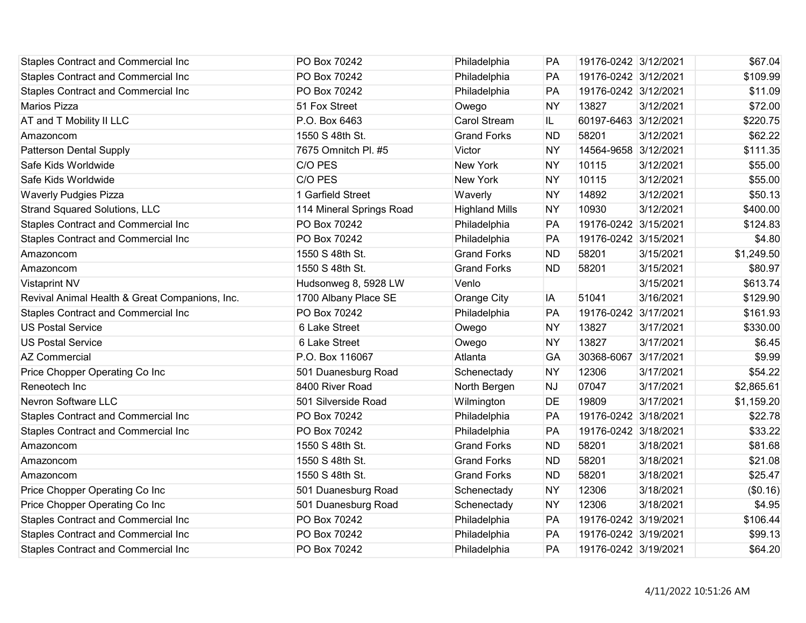| <b>Staples Contract and Commercial Inc</b>     | PO Box 70242             | Philadelphia          | <b>PA</b> | 19176-0242 3/12/2021 |           | \$67.04    |
|------------------------------------------------|--------------------------|-----------------------|-----------|----------------------|-----------|------------|
| Staples Contract and Commercial Inc            | PO Box 70242             | Philadelphia          | PA        | 19176-0242 3/12/2021 |           | \$109.99   |
| <b>Staples Contract and Commercial Inc</b>     | PO Box 70242             | Philadelphia          | PA        | 19176-0242 3/12/2021 |           | \$11.09    |
| <b>Marios Pizza</b>                            | 51 Fox Street            | Owego                 | <b>NY</b> | 13827                | 3/12/2021 | \$72.00    |
| AT and T Mobility II LLC                       | P.O. Box 6463            | <b>Carol Stream</b>   | IL.       | 60197-6463 3/12/2021 |           | \$220.75   |
| Amazoncom                                      | 1550 S 48th St.          | <b>Grand Forks</b>    | <b>ND</b> | 58201                | 3/12/2021 | \$62.22    |
| Patterson Dental Supply                        | 7675 Omnitch Pl. #5      | Victor                | <b>NY</b> | 14564-9658 3/12/2021 |           | \$111.35   |
| Safe Kids Worldwide                            | C/O PES                  | New York              | <b>NY</b> | 10115                | 3/12/2021 | \$55.00    |
| Safe Kids Worldwide                            | C/O PES                  | New York              | <b>NY</b> | 10115                | 3/12/2021 | \$55.00    |
| <b>Waverly Pudgies Pizza</b>                   | 1 Garfield Street        | Waverly               | <b>NY</b> | 14892                | 3/12/2021 | \$50.13    |
| <b>Strand Squared Solutions, LLC</b>           | 114 Mineral Springs Road | <b>Highland Mills</b> | <b>NY</b> | 10930                | 3/12/2021 | \$400.00   |
| <b>Staples Contract and Commercial Inc</b>     | PO Box 70242             | Philadelphia          | PA        | 19176-0242 3/15/2021 |           | \$124.83   |
| Staples Contract and Commercial Inc            | PO Box 70242             | Philadelphia          | PA        | 19176-0242 3/15/2021 |           | \$4.80     |
| Amazoncom                                      | 1550 S 48th St.          | <b>Grand Forks</b>    | <b>ND</b> | 58201                | 3/15/2021 | \$1,249.50 |
| Amazoncom                                      | 1550 S 48th St.          | <b>Grand Forks</b>    | <b>ND</b> | 58201                | 3/15/2021 | \$80.97    |
| <b>Vistaprint NV</b>                           | Hudsonweg 8, 5928 LW     | Venlo                 |           |                      | 3/15/2021 | \$613.74   |
| Revival Animal Health & Great Companions, Inc. | 1700 Albany Place SE     | Orange City           | IA        | 51041                | 3/16/2021 | \$129.90   |
| Staples Contract and Commercial Inc            | PO Box 70242             | Philadelphia          | PA        | 19176-0242 3/17/2021 |           | \$161.93   |
| <b>US Postal Service</b>                       | 6 Lake Street            | Owego                 | <b>NY</b> | 13827                | 3/17/2021 | \$330.00   |
| <b>US Postal Service</b>                       | 6 Lake Street            | Owego                 | <b>NY</b> | 13827                | 3/17/2021 | \$6.45     |
| <b>AZ Commercial</b>                           | P.O. Box 116067          | Atlanta               | GA        | 30368-6067           | 3/17/2021 | \$9.99     |
| Price Chopper Operating Co Inc                 | 501 Duanesburg Road      | Schenectady           | <b>NY</b> | 12306                | 3/17/2021 | \$54.22    |
| Reneotech Inc                                  | 8400 River Road          | North Bergen          | <b>NJ</b> | 07047                | 3/17/2021 | \$2,865.61 |
| Nevron Software LLC                            | 501 Silverside Road      | Wilmington            | DE        | 19809                | 3/17/2021 | \$1,159.20 |
| <b>Staples Contract and Commercial Inc</b>     | PO Box 70242             | Philadelphia          | PA        | 19176-0242 3/18/2021 |           | \$22.78    |
| Staples Contract and Commercial Inc            | PO Box 70242             | Philadelphia          | PA        | 19176-0242 3/18/2021 |           | \$33.22    |
| Amazoncom                                      | 1550 S 48th St.          | <b>Grand Forks</b>    | <b>ND</b> | 58201                | 3/18/2021 | \$81.68    |
| Amazoncom                                      | 1550 S 48th St.          | <b>Grand Forks</b>    | <b>ND</b> | 58201                | 3/18/2021 | \$21.08    |
| Amazoncom                                      | 1550 S 48th St.          | <b>Grand Forks</b>    | <b>ND</b> | 58201                | 3/18/2021 | \$25.47    |
| Price Chopper Operating Co Inc                 | 501 Duanesburg Road      | Schenectady           | <b>NY</b> | 12306                | 3/18/2021 | (\$0.16)   |
| Price Chopper Operating Co Inc                 | 501 Duanesburg Road      | Schenectady           | <b>NY</b> | 12306                | 3/18/2021 | \$4.95     |
| Staples Contract and Commercial Inc            | PO Box 70242             | Philadelphia          | PA        | 19176-0242 3/19/2021 |           | \$106.44   |
| <b>Staples Contract and Commercial Inc</b>     | PO Box 70242             | Philadelphia          | PA        | 19176-0242 3/19/2021 |           | \$99.13    |
| Staples Contract and Commercial Inc            | PO Box 70242             | Philadelphia          | PA        | 19176-0242 3/19/2021 |           | \$64.20    |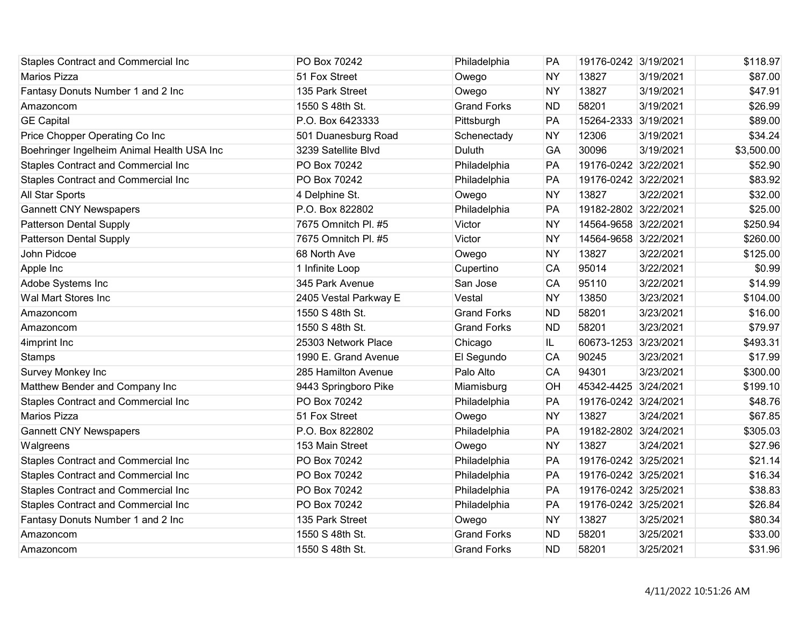| <b>Staples Contract and Commercial Inc</b> | PO Box 70242          | Philadelphia       | PA        | 19176-0242 3/19/2021 |           | \$118.97   |
|--------------------------------------------|-----------------------|--------------------|-----------|----------------------|-----------|------------|
| Marios Pizza                               | 51 Fox Street         | Owego              | <b>NY</b> | 13827                | 3/19/2021 | \$87.00    |
| Fantasy Donuts Number 1 and 2 Inc          | 135 Park Street       | Owego              | <b>NY</b> | 13827                | 3/19/2021 | \$47.91    |
| Amazoncom                                  | 1550 S 48th St.       | <b>Grand Forks</b> | <b>ND</b> | 58201                | 3/19/2021 | \$26.99    |
| <b>GE Capital</b>                          | P.O. Box 6423333      | Pittsburgh         | PA        | 15264-2333 3/19/2021 |           | \$89.00    |
| Price Chopper Operating Co Inc             | 501 Duanesburg Road   | Schenectady        | <b>NY</b> | 12306                | 3/19/2021 | \$34.24    |
| Boehringer Ingelheim Animal Health USA Inc | 3239 Satellite Blvd   | Duluth             | GA        | 30096                | 3/19/2021 | \$3,500.00 |
| <b>Staples Contract and Commercial Inc</b> | PO Box 70242          | Philadelphia       | PA        | 19176-0242 3/22/2021 |           | \$52.90    |
| Staples Contract and Commercial Inc        | PO Box 70242          | Philadelphia       | PA        | 19176-0242 3/22/2021 |           | \$83.92    |
| All Star Sports                            | 4 Delphine St.        | Owego              | <b>NY</b> | 13827                | 3/22/2021 | \$32.00    |
| <b>Gannett CNY Newspapers</b>              | P.O. Box 822802       | Philadelphia       | PA        | 19182-2802 3/22/2021 |           | \$25.00    |
| <b>Patterson Dental Supply</b>             | 7675 Omnitch Pl. #5   | Victor             | <b>NY</b> | 14564-9658 3/22/2021 |           | \$250.94   |
| <b>Patterson Dental Supply</b>             | 7675 Omnitch Pl. #5   | Victor             | <b>NY</b> | 14564-9658 3/22/2021 |           | \$260.00   |
| John Pidcoe                                | 68 North Ave          | Owego              | <b>NY</b> | 13827                | 3/22/2021 | \$125.00   |
| Apple Inc                                  | 1 Infinite Loop       | Cupertino          | CA        | 95014                | 3/22/2021 | \$0.99     |
| Adobe Systems Inc                          | 345 Park Avenue       | San Jose           | CA        | 95110                | 3/22/2021 | \$14.99    |
| Wal Mart Stores Inc                        | 2405 Vestal Parkway E | Vestal             | <b>NY</b> | 13850                | 3/23/2021 | \$104.00   |
| Amazoncom                                  | 1550 S 48th St.       | <b>Grand Forks</b> | <b>ND</b> | 58201                | 3/23/2021 | \$16.00    |
| Amazoncom                                  | 1550 S 48th St.       | <b>Grand Forks</b> | <b>ND</b> | 58201                | 3/23/2021 | \$79.97    |
| 4imprint Inc                               | 25303 Network Place   | Chicago            | IL        | 60673-1253           | 3/23/2021 | \$493.31   |
| <b>Stamps</b>                              | 1990 E. Grand Avenue  | El Segundo         | CA        | 90245                | 3/23/2021 | \$17.99    |
| Survey Monkey Inc                          | 285 Hamilton Avenue   | Palo Alto          | CA        | 94301                | 3/23/2021 | \$300.00   |
| Matthew Bender and Company Inc             | 9443 Springboro Pike  | Miamisburg         | OH        | 45342-4425 3/24/2021 |           | \$199.10   |
| Staples Contract and Commercial Inc        | PO Box 70242          | Philadelphia       | PA        | 19176-0242 3/24/2021 |           | \$48.76    |
| <b>Marios Pizza</b>                        | 51 Fox Street         | Owego              | <b>NY</b> | 13827                | 3/24/2021 | \$67.85    |
| <b>Gannett CNY Newspapers</b>              | P.O. Box 822802       | Philadelphia       | PA        | 19182-2802 3/24/2021 |           | \$305.03   |
| Walgreens                                  | 153 Main Street       | Owego              | <b>NY</b> | 13827                | 3/24/2021 | \$27.96    |
| Staples Contract and Commercial Inc        | PO Box 70242          | Philadelphia       | PA        | 19176-0242 3/25/2021 |           | \$21.14    |
| <b>Staples Contract and Commercial Inc</b> | PO Box 70242          | Philadelphia       | PA        | 19176-0242 3/25/2021 |           | \$16.34    |
| Staples Contract and Commercial Inc        | PO Box 70242          | Philadelphia       | PA        | 19176-0242 3/25/2021 |           | \$38.83    |
| Staples Contract and Commercial Inc        | PO Box 70242          | Philadelphia       | PA        | 19176-0242 3/25/2021 |           | \$26.84    |
| Fantasy Donuts Number 1 and 2 Inc          | 135 Park Street       | Owego              | <b>NY</b> | 13827                | 3/25/2021 | \$80.34    |
| Amazoncom                                  | 1550 S 48th St.       | <b>Grand Forks</b> | <b>ND</b> | 58201                | 3/25/2021 | \$33.00    |
| Amazoncom                                  | 1550 S 48th St.       | <b>Grand Forks</b> | <b>ND</b> | 58201                | 3/25/2021 | \$31.96    |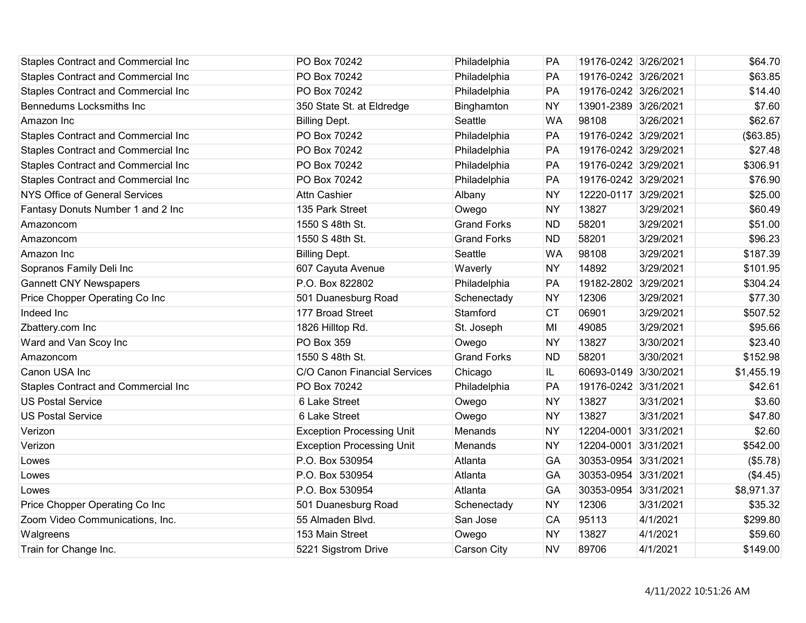| <b>Staples Contract and Commercial Inc</b> | PO Box 70242                     | Philadelphia       | PA        | 19176-0242 3/26/2021 |           | \$64.70    |
|--------------------------------------------|----------------------------------|--------------------|-----------|----------------------|-----------|------------|
| <b>Staples Contract and Commercial Inc</b> | PO Box 70242                     | Philadelphia       | PA        | 19176-0242 3/26/2021 |           | \$63.85    |
| <b>Staples Contract and Commercial Inc</b> | PO Box 70242                     | Philadelphia       | PA        | 19176-0242 3/26/2021 |           | \$14.40    |
| Bennedums Locksmiths Inc                   | 350 State St. at Eldredge        | Binghamton         | <b>NY</b> | 13901-2389 3/26/2021 |           | \$7.60     |
| Amazon Inc                                 | <b>Billing Dept.</b>             | Seattle            | <b>WA</b> | 98108                | 3/26/2021 | \$62.67    |
| Staples Contract and Commercial Inc        | PO Box 70242                     | Philadelphia       | PA        | 19176-0242 3/29/2021 |           | (\$63.85)  |
| <b>Staples Contract and Commercial Inc</b> | PO Box 70242                     | Philadelphia       | PA        | 19176-0242 3/29/2021 |           | \$27.48    |
| <b>Staples Contract and Commercial Inc</b> | PO Box 70242                     | Philadelphia       | PA        | 19176-0242 3/29/2021 |           | \$306.91   |
| Staples Contract and Commercial Inc        | PO Box 70242                     | Philadelphia       | PA        | 19176-0242 3/29/2021 |           | \$76.90    |
| <b>NYS Office of General Services</b>      | <b>Attn Cashier</b>              | Albany             | <b>NY</b> | 12220-0117 3/29/2021 |           | \$25.00    |
| Fantasy Donuts Number 1 and 2 Inc          | 135 Park Street                  | Owego              | <b>NY</b> | 13827                | 3/29/2021 | \$60.49    |
| Amazoncom                                  | 1550 S 48th St.                  | <b>Grand Forks</b> | <b>ND</b> | 58201                | 3/29/2021 | \$51.00    |
| Amazoncom                                  | 1550 S 48th St.                  | <b>Grand Forks</b> | <b>ND</b> | 58201                | 3/29/2021 | \$96.23    |
| Amazon Inc                                 | <b>Billing Dept.</b>             | Seattle            | <b>WA</b> | 98108                | 3/29/2021 | \$187.39   |
| Sopranos Family Deli Inc                   | 607 Cayuta Avenue                | Waverly            | <b>NY</b> | 14892                | 3/29/2021 | \$101.95   |
| <b>Gannett CNY Newspapers</b>              | P.O. Box 822802                  | Philadelphia       | PA        | 19182-2802 3/29/2021 |           | \$304.24   |
| Price Chopper Operating Co Inc             | 501 Duanesburg Road              | Schenectady        | <b>NY</b> | 12306                | 3/29/2021 | \$77.30    |
| Indeed Inc                                 | 177 Broad Street                 | Stamford           | <b>CT</b> | 06901                | 3/29/2021 | \$507.52   |
| Zbattery.com Inc                           | 1826 Hilltop Rd.                 | St. Joseph         | MI        | 49085                | 3/29/2021 | \$95.66    |
| Ward and Van Scoy Inc                      | <b>PO Box 359</b>                | Owego              | <b>NY</b> | 13827                | 3/30/2021 | \$23.40    |
| Amazoncom                                  | 1550 S 48th St.                  | <b>Grand Forks</b> | <b>ND</b> | 58201                | 3/30/2021 | \$152.98   |
| Canon USA Inc                              | C/O Canon Financial Services     | Chicago            | IL.       | 60693-0149 3/30/2021 |           | \$1,455.19 |
| <b>Staples Contract and Commercial Inc</b> | PO Box 70242                     | Philadelphia       | PA        | 19176-0242 3/31/2021 |           | \$42.61    |
| <b>US Postal Service</b>                   | 6 Lake Street                    | Owego              | <b>NY</b> | 13827                | 3/31/2021 | \$3.60     |
| <b>US Postal Service</b>                   | 6 Lake Street                    | Owego              | <b>NY</b> | 13827                | 3/31/2021 | \$47.80    |
| Verizon                                    | <b>Exception Processing Unit</b> | Menands            | <b>NY</b> | 12204-0001           | 3/31/2021 | \$2.60     |
| Verizon                                    | <b>Exception Processing Unit</b> | Menands            | <b>NY</b> | 12204-0001 3/31/2021 |           | \$542.00   |
| Lowes                                      | P.O. Box 530954                  | Atlanta            | GA        | 30353-0954 3/31/2021 |           | (\$5.78)   |
| Lowes                                      | P.O. Box 530954                  | Atlanta            | GA        | 30353-0954 3/31/2021 |           | (\$4.45)   |
| Lowes                                      | P.O. Box 530954                  | Atlanta            | GA        | 30353-0954 3/31/2021 |           | \$8,971.37 |
| Price Chopper Operating Co Inc             | 501 Duanesburg Road              | Schenectady        | <b>NY</b> | 12306                | 3/31/2021 | \$35.32    |
| Zoom Video Communications, Inc.            | 55 Almaden Blvd.                 | San Jose           | CA        | 95113                | 4/1/2021  | \$299.80   |
| Walgreens                                  | 153 Main Street                  | Owego              | <b>NY</b> | 13827                | 4/1/2021  | \$59.60    |
| Train for Change Inc.                      | 5221 Sigstrom Drive              | Carson City        | <b>NV</b> | 89706                | 4/1/2021  | \$149.00   |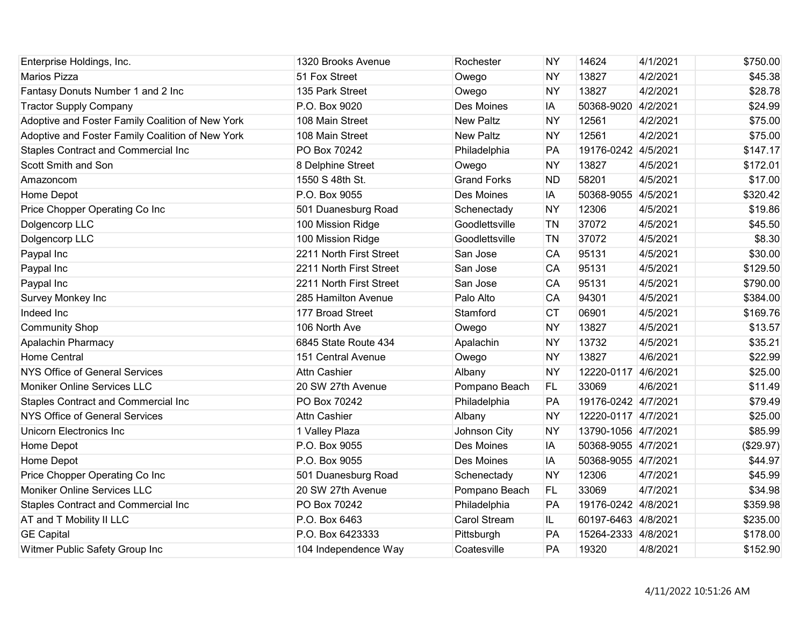| Enterprise Holdings, Inc.                        | 1320 Brooks Avenue      | Rochester           | <b>NY</b> | 14624               | 4/1/2021 | \$750.00  |
|--------------------------------------------------|-------------------------|---------------------|-----------|---------------------|----------|-----------|
| Marios Pizza                                     | 51 Fox Street           | Owego               | <b>NY</b> | 13827               | 4/2/2021 | \$45.38   |
| Fantasy Donuts Number 1 and 2 Inc                | 135 Park Street         | Owego               | <b>NY</b> | 13827               | 4/2/2021 | \$28.78   |
| <b>Tractor Supply Company</b>                    | P.O. Box 9020           | Des Moines          | IA        | 50368-9020          | 4/2/2021 | \$24.99   |
| Adoptive and Foster Family Coalition of New York | 108 Main Street         | <b>New Paltz</b>    | <b>NY</b> | 12561               | 4/2/2021 | \$75.00   |
| Adoptive and Foster Family Coalition of New York | 108 Main Street         | <b>New Paltz</b>    | <b>NY</b> | 12561               | 4/2/2021 | \$75.00   |
| <b>Staples Contract and Commercial Inc</b>       | PO Box 70242            | Philadelphia        | PA        | 19176-0242          | 4/5/2021 | \$147.17  |
| Scott Smith and Son                              | 8 Delphine Street       | Owego               | <b>NY</b> | 13827               | 4/5/2021 | \$172.01  |
| Amazoncom                                        | 1550 S 48th St.         | <b>Grand Forks</b>  | <b>ND</b> | 58201               | 4/5/2021 | \$17.00   |
| Home Depot                                       | P.O. Box 9055           | Des Moines          | IA        | 50368-9055          | 4/5/2021 | \$320.42  |
| Price Chopper Operating Co Inc                   | 501 Duanesburg Road     | Schenectady         | <b>NY</b> | 12306               | 4/5/2021 | \$19.86   |
| Dolgencorp LLC                                   | 100 Mission Ridge       | Goodlettsville      | <b>TN</b> | 37072               | 4/5/2021 | \$45.50   |
| Dolgencorp LLC                                   | 100 Mission Ridge       | Goodlettsville      | TN        | 37072               | 4/5/2021 | \$8.30    |
| Paypal Inc                                       | 2211 North First Street | San Jose            | CA        | 95131               | 4/5/2021 | \$30.00   |
| Paypal Inc                                       | 2211 North First Street | San Jose            | CA        | 95131               | 4/5/2021 | \$129.50  |
| Paypal Inc                                       | 2211 North First Street | San Jose            | CA        | 95131               | 4/5/2021 | \$790.00  |
| Survey Monkey Inc                                | 285 Hamilton Avenue     | Palo Alto           | CA        | 94301               | 4/5/2021 | \$384.00  |
| Indeed Inc                                       | 177 Broad Street        | Stamford            | <b>CT</b> | 06901               | 4/5/2021 | \$169.76  |
| <b>Community Shop</b>                            | 106 North Ave           | Owego               | <b>NY</b> | 13827               | 4/5/2021 | \$13.57   |
| Apalachin Pharmacy                               | 6845 State Route 434    | Apalachin           | <b>NY</b> | 13732               | 4/5/2021 | \$35.21   |
| <b>Home Central</b>                              | 151 Central Avenue      | Owego               | <b>NY</b> | 13827               | 4/6/2021 | \$22.99   |
| <b>NYS Office of General Services</b>            | <b>Attn Cashier</b>     | Albany              | <b>NY</b> | 12220-0117          | 4/6/2021 | \$25.00   |
| Moniker Online Services LLC                      | 20 SW 27th Avenue       | Pompano Beach       | FL.       | 33069               | 4/6/2021 | \$11.49   |
| Staples Contract and Commercial Inc              | PO Box 70242            | Philadelphia        | PA        | 19176-0242 4/7/2021 |          | \$79.49   |
| <b>NYS Office of General Services</b>            | <b>Attn Cashier</b>     | Albany              | <b>NY</b> | 12220-0117 4/7/2021 |          | \$25.00   |
| Unicorn Electronics Inc                          | 1 Valley Plaza          | Johnson City        | <b>NY</b> | 13790-1056 4/7/2021 |          | \$85.99   |
| Home Depot                                       | P.O. Box 9055           | Des Moines          | IA        | 50368-9055 4/7/2021 |          | (\$29.97) |
| Home Depot                                       | P.O. Box 9055           | Des Moines          | IA        | 50368-9055 4/7/2021 |          | \$44.97   |
| Price Chopper Operating Co Inc                   | 501 Duanesburg Road     | Schenectady         | <b>NY</b> | 12306               | 4/7/2021 | \$45.99   |
| Moniker Online Services LLC                      | 20 SW 27th Avenue       | Pompano Beach       | FL.       | 33069               | 4/7/2021 | \$34.98   |
| Staples Contract and Commercial Inc              | PO Box 70242            | Philadelphia        | PA        | 19176-0242 4/8/2021 |          | \$359.98  |
| AT and T Mobility II LLC                         | P.O. Box 6463           | <b>Carol Stream</b> | IL.       | 60197-6463 4/8/2021 |          | \$235.00  |
| <b>GE Capital</b>                                | P.O. Box 6423333        | Pittsburgh          | PA        | 15264-2333 4/8/2021 |          | \$178.00  |
| Witmer Public Safety Group Inc                   | 104 Independence Way    | Coatesville         | PA        | 19320               | 4/8/2021 | \$152.90  |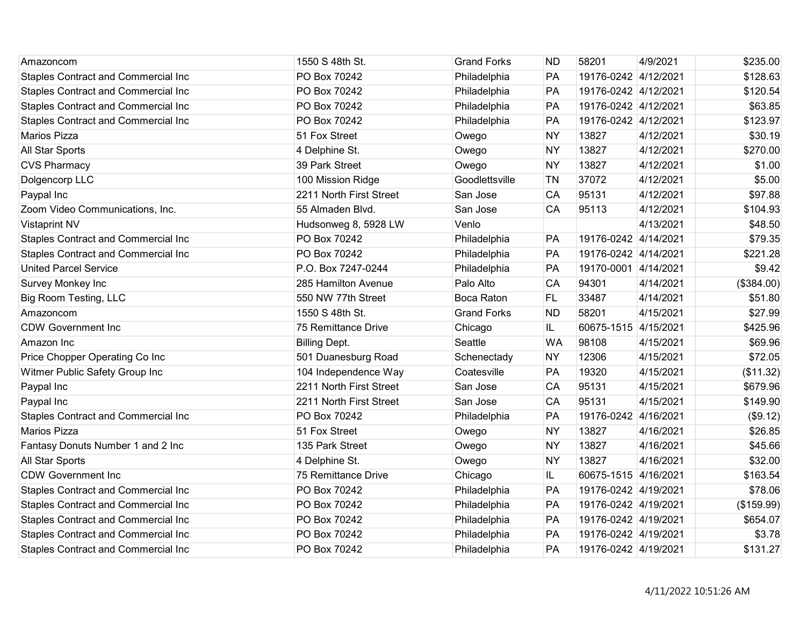| Amazoncom                                  | 1550 S 48th St.         | <b>Grand Forks</b> | <b>ND</b> | 58201                | 4/9/2021  | \$235.00   |
|--------------------------------------------|-------------------------|--------------------|-----------|----------------------|-----------|------------|
| <b>Staples Contract and Commercial Inc</b> | PO Box 70242            | Philadelphia       | PA        | 19176-0242 4/12/2021 |           | \$128.63   |
| Staples Contract and Commercial Inc        | PO Box 70242            | Philadelphia       | PA        | 19176-0242 4/12/2021 |           | \$120.54   |
| <b>Staples Contract and Commercial Inc</b> | PO Box 70242            | Philadelphia       | PA        | 19176-0242 4/12/2021 |           | \$63.85    |
| <b>Staples Contract and Commercial Inc</b> | PO Box 70242            | Philadelphia       | PA        | 19176-0242 4/12/2021 |           | \$123.97   |
| <b>Marios Pizza</b>                        | 51 Fox Street           | Owego              | <b>NY</b> | 13827                | 4/12/2021 | \$30.19    |
| All Star Sports                            | 4 Delphine St.          | Owego              | <b>NY</b> | 13827                | 4/12/2021 | \$270.00   |
| <b>CVS Pharmacy</b>                        | 39 Park Street          | Owego              | <b>NY</b> | 13827                | 4/12/2021 | \$1.00     |
| Dolgencorp LLC                             | 100 Mission Ridge       | Goodlettsville     | <b>TN</b> | 37072                | 4/12/2021 | \$5.00     |
| Paypal Inc                                 | 2211 North First Street | San Jose           | CA        | 95131                | 4/12/2021 | \$97.88    |
| Zoom Video Communications, Inc.            | 55 Almaden Blvd.        | San Jose           | CA        | 95113                | 4/12/2021 | \$104.93   |
| <b>Vistaprint NV</b>                       | Hudsonweg 8, 5928 LW    | Venlo              |           |                      | 4/13/2021 | \$48.50    |
| <b>Staples Contract and Commercial Inc</b> | PO Box 70242            | Philadelphia       | PA        | 19176-0242 4/14/2021 |           | \$79.35    |
| Staples Contract and Commercial Inc        | PO Box 70242            | Philadelphia       | PA        | 19176-0242 4/14/2021 |           | \$221.28   |
| <b>United Parcel Service</b>               | P.O. Box 7247-0244      | Philadelphia       | PA        | 19170-0001 4/14/2021 |           | \$9.42     |
| Survey Monkey Inc                          | 285 Hamilton Avenue     | Palo Alto          | CA        | 94301                | 4/14/2021 | (\$384.00) |
| Big Room Testing, LLC                      | 550 NW 77th Street      | Boca Raton         | <b>FL</b> | 33487                | 4/14/2021 | \$51.80    |
| Amazoncom                                  | 1550 S 48th St.         | <b>Grand Forks</b> | <b>ND</b> | 58201                | 4/15/2021 | \$27.99    |
| <b>CDW Government Inc</b>                  | 75 Remittance Drive     | Chicago            | IL        | 60675-1515 4/15/2021 |           | \$425.96   |
| Amazon Inc                                 | <b>Billing Dept.</b>    | Seattle            | <b>WA</b> | 98108                | 4/15/2021 | \$69.96    |
| Price Chopper Operating Co Inc             | 501 Duanesburg Road     | Schenectady        | <b>NY</b> | 12306                | 4/15/2021 | \$72.05    |
| Witmer Public Safety Group Inc             | 104 Independence Way    | Coatesville        | PA        | 19320                | 4/15/2021 | (\$11.32)  |
| Paypal Inc                                 | 2211 North First Street | San Jose           | CA        | 95131                | 4/15/2021 | \$679.96   |
| Paypal Inc                                 | 2211 North First Street | San Jose           | CA        | 95131                | 4/15/2021 | \$149.90   |
| <b>Staples Contract and Commercial Inc</b> | PO Box 70242            | Philadelphia       | PA        | 19176-0242 4/16/2021 |           | (\$9.12)   |
| <b>Marios Pizza</b>                        | 51 Fox Street           | Owego              | <b>NY</b> | 13827                | 4/16/2021 | \$26.85    |
| Fantasy Donuts Number 1 and 2 Inc          | 135 Park Street         | Owego              | <b>NY</b> | 13827                | 4/16/2021 | \$45.66    |
| All Star Sports                            | 4 Delphine St.          | Owego              | <b>NY</b> | 13827                | 4/16/2021 | \$32.00    |
| <b>CDW Government Inc</b>                  | 75 Remittance Drive     | Chicago            | IL        | 60675-1515 4/16/2021 |           | \$163.54   |
| Staples Contract and Commercial Inc        | PO Box 70242            | Philadelphia       | PA        | 19176-0242 4/19/2021 |           | \$78.06    |
| <b>Staples Contract and Commercial Inc</b> | PO Box 70242            | Philadelphia       | PA        | 19176-0242 4/19/2021 |           | (\$159.99) |
| <b>Staples Contract and Commercial Inc</b> | PO Box 70242            | Philadelphia       | PA        | 19176-0242 4/19/2021 |           | \$654.07   |
| <b>Staples Contract and Commercial Inc</b> | PO Box 70242            | Philadelphia       | PA        | 19176-0242 4/19/2021 |           | \$3.78     |
| <b>Staples Contract and Commercial Inc</b> | PO Box 70242            | Philadelphia       | PA        | 19176-0242 4/19/2021 |           | \$131.27   |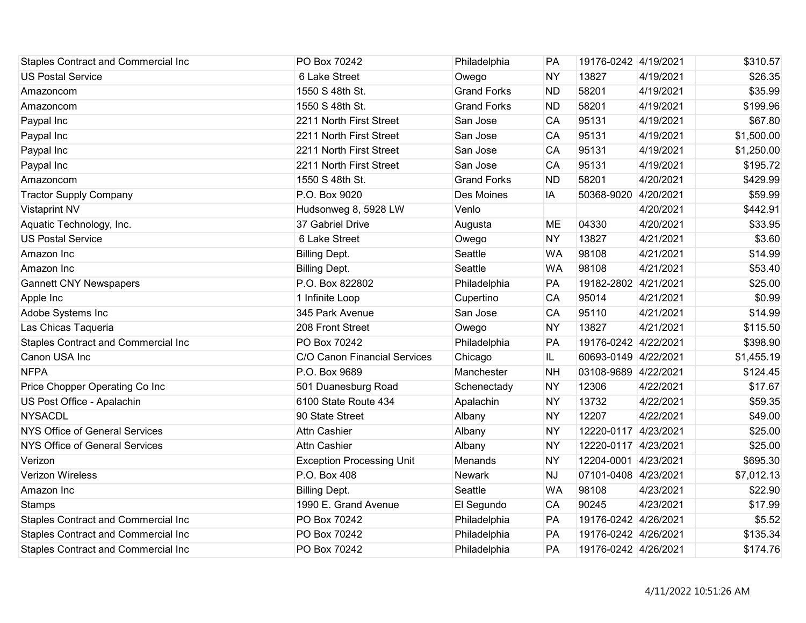| <b>Staples Contract and Commercial Inc</b> | PO Box 70242                     | Philadelphia       | PA        | 19176-0242 4/19/2021 |           | \$310.57   |
|--------------------------------------------|----------------------------------|--------------------|-----------|----------------------|-----------|------------|
| <b>US Postal Service</b>                   | 6 Lake Street                    | Owego              | <b>NY</b> | 13827                | 4/19/2021 | \$26.35    |
| Amazoncom                                  | 1550 S 48th St.                  | <b>Grand Forks</b> | <b>ND</b> | 58201                | 4/19/2021 | \$35.99    |
| Amazoncom                                  | 1550 S 48th St.                  | <b>Grand Forks</b> | <b>ND</b> | 58201                | 4/19/2021 | \$199.96   |
| Paypal Inc                                 | 2211 North First Street          | San Jose           | CA        | 95131                | 4/19/2021 | \$67.80    |
| Paypal Inc                                 | 2211 North First Street          | San Jose           | CA        | 95131                | 4/19/2021 | \$1,500.00 |
| Paypal Inc                                 | 2211 North First Street          | San Jose           | CA        | 95131                | 4/19/2021 | \$1,250.00 |
| Paypal Inc                                 | 2211 North First Street          | San Jose           | CA        | 95131                | 4/19/2021 | \$195.72   |
| Amazoncom                                  | 1550 S 48th St.                  | <b>Grand Forks</b> | <b>ND</b> | 58201                | 4/20/2021 | \$429.99   |
| <b>Tractor Supply Company</b>              | P.O. Box 9020                    | Des Moines         | IA        | 50368-9020 4/20/2021 |           | \$59.99    |
| <b>Vistaprint NV</b>                       | Hudsonweg 8, 5928 LW             | Venlo              |           |                      | 4/20/2021 | \$442.91   |
| Aquatic Technology, Inc.                   | 37 Gabriel Drive                 | Augusta            | <b>ME</b> | 04330                | 4/20/2021 | \$33.95    |
| <b>US Postal Service</b>                   | 6 Lake Street                    | Owego              | <b>NY</b> | 13827                | 4/21/2021 | \$3.60     |
| Amazon Inc                                 | <b>Billing Dept.</b>             | Seattle            | <b>WA</b> | 98108                | 4/21/2021 | \$14.99    |
| Amazon Inc                                 | <b>Billing Dept.</b>             | Seattle            | <b>WA</b> | 98108                | 4/21/2021 | \$53.40    |
| <b>Gannett CNY Newspapers</b>              | P.O. Box 822802                  | Philadelphia       | PA        | 19182-2802 4/21/2021 |           | \$25.00    |
| Apple Inc                                  | 1 Infinite Loop                  | Cupertino          | CA        | 95014                | 4/21/2021 | \$0.99     |
| Adobe Systems Inc                          | 345 Park Avenue                  | San Jose           | CA        | 95110                | 4/21/2021 | \$14.99    |
| Las Chicas Taqueria                        | 208 Front Street                 | Owego              | <b>NY</b> | 13827                | 4/21/2021 | \$115.50   |
| <b>Staples Contract and Commercial Inc</b> | PO Box 70242                     | Philadelphia       | PA        | 19176-0242 4/22/2021 |           | \$398.90   |
| Canon USA Inc                              | C/O Canon Financial Services     | Chicago            | IL        | 60693-0149 4/22/2021 |           | \$1,455.19 |
| <b>NFPA</b>                                | P.O. Box 9689                    | Manchester         | <b>NH</b> | 03108-9689 4/22/2021 |           | \$124.45   |
| Price Chopper Operating Co Inc             | 501 Duanesburg Road              | Schenectady        | <b>NY</b> | 12306                | 4/22/2021 | \$17.67    |
| US Post Office - Apalachin                 | 6100 State Route 434             | Apalachin          | <b>NY</b> | 13732                | 4/22/2021 | \$59.35    |
| <b>NYSACDL</b>                             | 90 State Street                  | Albany             | <b>NY</b> | 12207                | 4/22/2021 | \$49.00    |
| NYS Office of General Services             | <b>Attn Cashier</b>              | Albany             | <b>NY</b> | 12220-0117 4/23/2021 |           | \$25.00    |
| <b>NYS Office of General Services</b>      | Attn Cashier                     | Albany             | <b>NY</b> | 12220-0117 4/23/2021 |           | \$25.00    |
| Verizon                                    | <b>Exception Processing Unit</b> | Menands            | <b>NY</b> | 12204-0001 4/23/2021 |           | \$695.30   |
| <b>Verizon Wireless</b>                    | P.O. Box 408                     | Newark             | <b>NJ</b> | 07101-0408 4/23/2021 |           | \$7,012.13 |
| Amazon Inc                                 | <b>Billing Dept.</b>             | Seattle            | <b>WA</b> | 98108                | 4/23/2021 | \$22.90    |
| <b>Stamps</b>                              | 1990 E. Grand Avenue             | El Segundo         | CA        | 90245                | 4/23/2021 | \$17.99    |
| Staples Contract and Commercial Inc        | PO Box 70242                     | Philadelphia       | PA        | 19176-0242 4/26/2021 |           | \$5.52     |
| Staples Contract and Commercial Inc        | PO Box 70242                     | Philadelphia       | PA        | 19176-0242 4/26/2021 |           | \$135.34   |
| <b>Staples Contract and Commercial Inc</b> | PO Box 70242                     | Philadelphia       | PA        | 19176-0242 4/26/2021 |           | \$174.76   |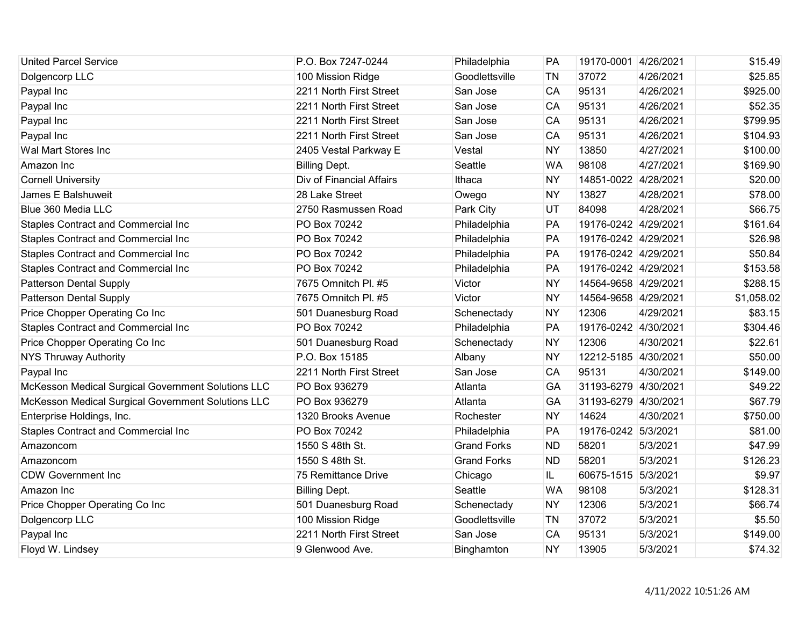| <b>United Parcel Service</b>                       | P.O. Box 7247-0244       | Philadelphia       | PA        | 19170-0001 4/26/2021 |           | \$15.49    |
|----------------------------------------------------|--------------------------|--------------------|-----------|----------------------|-----------|------------|
| Dolgencorp LLC                                     | 100 Mission Ridge        | Goodlettsville     | <b>TN</b> | 37072                | 4/26/2021 | \$25.85    |
| Paypal Inc                                         | 2211 North First Street  | San Jose           | CA        | 95131                | 4/26/2021 | \$925.00   |
| Paypal Inc                                         | 2211 North First Street  | San Jose           | CA        | 95131                | 4/26/2021 | \$52.35    |
| Paypal Inc                                         | 2211 North First Street  | San Jose           | CA        | 95131                | 4/26/2021 | \$799.95   |
| Paypal Inc                                         | 2211 North First Street  | San Jose           | CA        | 95131                | 4/26/2021 | \$104.93   |
| Wal Mart Stores Inc                                | 2405 Vestal Parkway E    | Vestal             | <b>NY</b> | 13850                | 4/27/2021 | \$100.00   |
| Amazon Inc                                         | <b>Billing Dept.</b>     | Seattle            | <b>WA</b> | 98108                | 4/27/2021 | \$169.90   |
| <b>Cornell University</b>                          | Div of Financial Affairs | Ithaca             | <b>NY</b> | 14851-0022 4/28/2021 |           | \$20.00    |
| James E Balshuweit                                 | 28 Lake Street           | Owego              | <b>NY</b> | 13827                | 4/28/2021 | \$78.00    |
| Blue 360 Media LLC                                 | 2750 Rasmussen Road      | Park City          | UT        | 84098                | 4/28/2021 | \$66.75    |
| <b>Staples Contract and Commercial Inc</b>         | PO Box 70242             | Philadelphia       | PA        | 19176-0242 4/29/2021 |           | \$161.64   |
| <b>Staples Contract and Commercial Inc</b>         | PO Box 70242             | Philadelphia       | PA        | 19176-0242 4/29/2021 |           | \$26.98    |
| <b>Staples Contract and Commercial Inc</b>         | PO Box 70242             | Philadelphia       | PA        | 19176-0242 4/29/2021 |           | \$50.84    |
| <b>Staples Contract and Commercial Inc</b>         | PO Box 70242             | Philadelphia       | PA        | 19176-0242 4/29/2021 |           | \$153.58   |
| <b>Patterson Dental Supply</b>                     | 7675 Omnitch Pl. #5      | Victor             | <b>NY</b> | 14564-9658 4/29/2021 |           | \$288.15   |
| <b>Patterson Dental Supply</b>                     | 7675 Omnitch Pl. #5      | Victor             | <b>NY</b> | 14564-9658 4/29/2021 |           | \$1,058.02 |
| Price Chopper Operating Co Inc                     | 501 Duanesburg Road      | Schenectady        | <b>NY</b> | 12306                | 4/29/2021 | \$83.15    |
| <b>Staples Contract and Commercial Inc</b>         | PO Box 70242             | Philadelphia       | PA        | 19176-0242 4/30/2021 |           | \$304.46   |
| Price Chopper Operating Co Inc                     | 501 Duanesburg Road      | Schenectady        | <b>NY</b> | 12306                | 4/30/2021 | \$22.61    |
| <b>NYS Thruway Authority</b>                       | P.O. Box 15185           | Albany             | <b>NY</b> | 12212-5185 4/30/2021 |           | \$50.00    |
| Paypal Inc                                         | 2211 North First Street  | San Jose           | CA        | 95131                | 4/30/2021 | \$149.00   |
| McKesson Medical Surgical Government Solutions LLC | PO Box 936279            | Atlanta            | GA        | 31193-6279 4/30/2021 |           | \$49.22    |
| McKesson Medical Surgical Government Solutions LLC | PO Box 936279            | Atlanta            | GA        | 31193-6279 4/30/2021 |           | \$67.79    |
| Enterprise Holdings, Inc.                          | 1320 Brooks Avenue       | Rochester          | <b>NY</b> | 14624                | 4/30/2021 | \$750.00   |
| <b>Staples Contract and Commercial Inc</b>         | PO Box 70242             | Philadelphia       | PA        | 19176-0242 5/3/2021  |           | \$81.00    |
| Amazoncom                                          | 1550 S 48th St.          | <b>Grand Forks</b> | <b>ND</b> | 58201                | 5/3/2021  | \$47.99    |
| Amazoncom                                          | 1550 S 48th St.          | <b>Grand Forks</b> | <b>ND</b> | 58201                | 5/3/2021  | \$126.23   |
| <b>CDW Government Inc</b>                          | 75 Remittance Drive      | Chicago            | IL.       | 60675-1515 5/3/2021  |           | \$9.97     |
| Amazon Inc                                         | <b>Billing Dept.</b>     | Seattle            | <b>WA</b> | 98108                | 5/3/2021  | \$128.31   |
| Price Chopper Operating Co Inc                     | 501 Duanesburg Road      | Schenectady        | <b>NY</b> | 12306                | 5/3/2021  | \$66.74    |
| Dolgencorp LLC                                     | 100 Mission Ridge        | Goodlettsville     | <b>TN</b> | 37072                | 5/3/2021  | \$5.50     |
| Paypal Inc                                         | 2211 North First Street  | San Jose           | CA        | 95131                | 5/3/2021  | \$149.00   |
| Floyd W. Lindsey                                   | 9 Glenwood Ave.          | Binghamton         | <b>NY</b> | 13905                | 5/3/2021  | \$74.32    |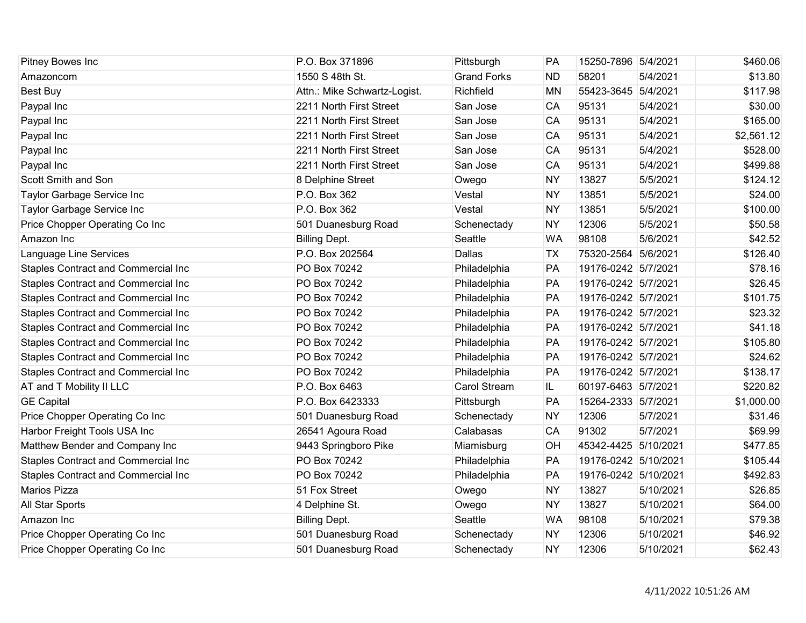| Pitney Bowes Inc                           | P.O. Box 371896              | Pittsburgh         | PA        | 15250-7896 5/4/2021  |           | \$460.06   |
|--------------------------------------------|------------------------------|--------------------|-----------|----------------------|-----------|------------|
| Amazoncom                                  | 1550 S 48th St.              | <b>Grand Forks</b> | <b>ND</b> | 58201                | 5/4/2021  | \$13.80    |
| Best Buy                                   | Attn.: Mike Schwartz-Logist. | Richfield          | <b>MN</b> | 55423-3645           | 5/4/2021  | \$117.98   |
| Paypal Inc                                 | 2211 North First Street      | San Jose           | CA        | 95131                | 5/4/2021  | \$30.00    |
| Paypal Inc                                 | 2211 North First Street      | San Jose           | CA        | 95131                | 5/4/2021  | \$165.00   |
| Paypal Inc                                 | 2211 North First Street      | San Jose           | CA        | 95131                | 5/4/2021  | \$2,561.12 |
| Paypal Inc                                 | 2211 North First Street      | San Jose           | CA        | 95131                | 5/4/2021  | \$528.00   |
| Paypal Inc                                 | 2211 North First Street      | San Jose           | CA        | 95131                | 5/4/2021  | \$499.88   |
| Scott Smith and Son                        | 8 Delphine Street            | Owego              | <b>NY</b> | 13827                | 5/5/2021  | \$124.12   |
| Taylor Garbage Service Inc                 | P.O. Box 362                 | Vestal             | <b>NY</b> | 13851                | 5/5/2021  | \$24.00    |
| Taylor Garbage Service Inc                 | P.O. Box 362                 | Vestal             | <b>NY</b> | 13851                | 5/5/2021  | \$100.00   |
| Price Chopper Operating Co Inc             | 501 Duanesburg Road          | Schenectady        | <b>NY</b> | 12306                | 5/5/2021  | \$50.58    |
| Amazon Inc                                 | <b>Billing Dept.</b>         | Seattle            | <b>WA</b> | 98108                | 5/6/2021  | \$42.52    |
| Language Line Services                     | P.O. Box 202564              | Dallas             | <b>TX</b> | 75320-2564 5/6/2021  |           | \$126.40   |
| <b>Staples Contract and Commercial Inc</b> | PO Box 70242                 | Philadelphia       | PA        | 19176-0242 5/7/2021  |           | \$78.16    |
| <b>Staples Contract and Commercial Inc</b> | PO Box 70242                 | Philadelphia       | PA        | 19176-0242 5/7/2021  |           | \$26.45    |
| Staples Contract and Commercial Inc        | PO Box 70242                 | Philadelphia       | PA        | 19176-0242 5/7/2021  |           | \$101.75   |
| Staples Contract and Commercial Inc        | PO Box 70242                 | Philadelphia       | PA        | 19176-0242 5/7/2021  |           | \$23.32    |
| <b>Staples Contract and Commercial Inc</b> | PO Box 70242                 | Philadelphia       | PA        | 19176-0242 5/7/2021  |           | \$41.18    |
| <b>Staples Contract and Commercial Inc</b> | PO Box 70242                 | Philadelphia       | PA        | 19176-0242 5/7/2021  |           | \$105.80   |
| <b>Staples Contract and Commercial Inc</b> | PO Box 70242                 | Philadelphia       | PA        | 19176-0242 5/7/2021  |           | \$24.62    |
| <b>Staples Contract and Commercial Inc</b> | PO Box 70242                 | Philadelphia       | PA        | 19176-0242 5/7/2021  |           | \$138.17   |
| AT and T Mobility II LLC                   | P.O. Box 6463                | Carol Stream       | IL.       | 60197-6463 5/7/2021  |           | \$220.82   |
| <b>GE Capital</b>                          | P.O. Box 6423333             | Pittsburgh         | PA        | 15264-2333 5/7/2021  |           | \$1,000.00 |
| Price Chopper Operating Co Inc             | 501 Duanesburg Road          | Schenectady        | <b>NY</b> | 12306                | 5/7/2021  | \$31.46    |
| Harbor Freight Tools USA Inc               | 26541 Agoura Road            | Calabasas          | <b>CA</b> | 91302                | 5/7/2021  | \$69.99    |
| Matthew Bender and Company Inc             | 9443 Springboro Pike         | Miamisburg         | OH        | 45342-4425 5/10/2021 |           | \$477.85   |
| Staples Contract and Commercial Inc        | PO Box 70242                 | Philadelphia       | PA        | 19176-0242 5/10/2021 |           | \$105.44   |
| <b>Staples Contract and Commercial Inc</b> | PO Box 70242                 | Philadelphia       | PA        | 19176-0242 5/10/2021 |           | \$492.83   |
| Marios Pizza                               | 51 Fox Street                | Owego              | <b>NY</b> | 13827                | 5/10/2021 | \$26.85    |
| All Star Sports                            | 4 Delphine St.               | Owego              | <b>NY</b> | 13827                | 5/10/2021 | \$64.00    |
| Amazon Inc                                 | <b>Billing Dept.</b>         | Seattle            | <b>WA</b> | 98108                | 5/10/2021 | \$79.38    |
| Price Chopper Operating Co Inc             | 501 Duanesburg Road          | Schenectady        | <b>NY</b> | 12306                | 5/10/2021 | \$46.92    |
| Price Chopper Operating Co Inc             | 501 Duanesburg Road          | Schenectady        | <b>NY</b> | 12306                | 5/10/2021 | \$62.43    |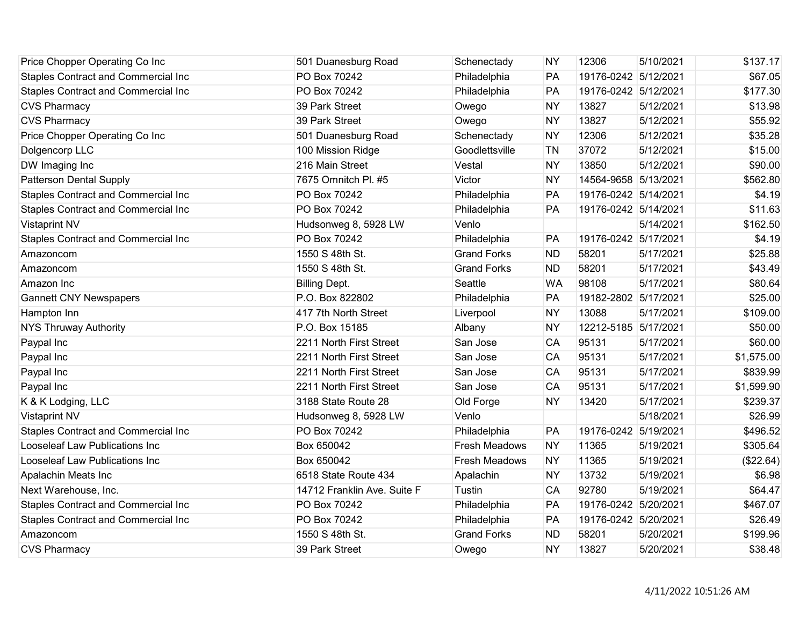| Price Chopper Operating Co Inc             | 501 Duanesburg Road         | Schenectady          | <b>NY</b> | 12306                | 5/10/2021 | \$137.17   |
|--------------------------------------------|-----------------------------|----------------------|-----------|----------------------|-----------|------------|
| Staples Contract and Commercial Inc        | PO Box 70242                | Philadelphia         | PA        | 19176-0242 5/12/2021 |           | \$67.05    |
| Staples Contract and Commercial Inc        | PO Box 70242                | Philadelphia         | PA        | 19176-0242 5/12/2021 |           | \$177.30   |
| <b>CVS Pharmacy</b>                        | 39 Park Street              | Owego                | <b>NY</b> | 13827                | 5/12/2021 | \$13.98    |
| <b>CVS Pharmacy</b>                        | 39 Park Street              | Owego                | <b>NY</b> | 13827                | 5/12/2021 | \$55.92    |
| Price Chopper Operating Co Inc             | 501 Duanesburg Road         | Schenectady          | <b>NY</b> | 12306                | 5/12/2021 | \$35.28    |
| Dolgencorp LLC                             | 100 Mission Ridge           | Goodlettsville       | TN        | 37072                | 5/12/2021 | \$15.00    |
| DW Imaging Inc                             | 216 Main Street             | Vestal               | <b>NY</b> | 13850                | 5/12/2021 | \$90.00    |
| <b>Patterson Dental Supply</b>             | 7675 Omnitch Pl. #5         | Victor               | <b>NY</b> | 14564-9658 5/13/2021 |           | \$562.80   |
| <b>Staples Contract and Commercial Inc</b> | PO Box 70242                | Philadelphia         | PA        | 19176-0242 5/14/2021 |           | \$4.19     |
| Staples Contract and Commercial Inc        | PO Box 70242                | Philadelphia         | PA        | 19176-0242 5/14/2021 |           | \$11.63    |
| <b>Vistaprint NV</b>                       | Hudsonweg 8, 5928 LW        | Venlo                |           |                      | 5/14/2021 | \$162.50   |
| Staples Contract and Commercial Inc        | PO Box 70242                | Philadelphia         | PA        | 19176-0242 5/17/2021 |           | \$4.19     |
| Amazoncom                                  | 1550 S 48th St.             | <b>Grand Forks</b>   | <b>ND</b> | 58201                | 5/17/2021 | \$25.88    |
| Amazoncom                                  | 1550 S 48th St.             | <b>Grand Forks</b>   | <b>ND</b> | 58201                | 5/17/2021 | \$43.49    |
| Amazon Inc                                 | <b>Billing Dept.</b>        | Seattle              | <b>WA</b> | 98108                | 5/17/2021 | \$80.64    |
| <b>Gannett CNY Newspapers</b>              | P.O. Box 822802             | Philadelphia         | PA        | 19182-2802 5/17/2021 |           | \$25.00    |
| Hampton Inn                                | 417 7th North Street        | Liverpool            | <b>NY</b> | 13088                | 5/17/2021 | \$109.00   |
| <b>NYS Thruway Authority</b>               | P.O. Box 15185              | Albany               | <b>NY</b> | 12212-5185 5/17/2021 |           | \$50.00    |
| Paypal Inc                                 | 2211 North First Street     | San Jose             | CA        | 95131                | 5/17/2021 | \$60.00    |
| Paypal Inc                                 | 2211 North First Street     | San Jose             | CA        | 95131                | 5/17/2021 | \$1,575.00 |
| Paypal Inc                                 | 2211 North First Street     | San Jose             | CA        | 95131                | 5/17/2021 | \$839.99   |
| Paypal Inc                                 | 2211 North First Street     | San Jose             | CA        | 95131                | 5/17/2021 | \$1,599.90 |
| K & K Lodging, LLC                         | 3188 State Route 28         | Old Forge            | <b>NY</b> | 13420                | 5/17/2021 | \$239.37   |
| <b>Vistaprint NV</b>                       | Hudsonweg 8, 5928 LW        | Venlo                |           |                      | 5/18/2021 | \$26.99    |
| Staples Contract and Commercial Inc        | PO Box 70242                | Philadelphia         | PA        | 19176-0242 5/19/2021 |           | \$496.52   |
| Looseleaf Law Publications Inc             | Box 650042                  | <b>Fresh Meadows</b> | <b>NY</b> | 11365                | 5/19/2021 | \$305.64   |
| Looseleaf Law Publications Inc             | Box 650042                  | <b>Fresh Meadows</b> | <b>NY</b> | 11365                | 5/19/2021 | (\$22.64)  |
| Apalachin Meats Inc                        | 6518 State Route 434        | Apalachin            | <b>NY</b> | 13732                | 5/19/2021 | \$6.98     |
| Next Warehouse, Inc.                       | 14712 Franklin Ave. Suite F | Tustin               | CA        | 92780                | 5/19/2021 | \$64.47    |
| Staples Contract and Commercial Inc        | PO Box 70242                | Philadelphia         | PA        | 19176-0242 5/20/2021 |           | \$467.07   |
| Staples Contract and Commercial Inc        | PO Box 70242                | Philadelphia         | PA        | 19176-0242 5/20/2021 |           | \$26.49    |
| Amazoncom                                  | 1550 S 48th St.             | <b>Grand Forks</b>   | <b>ND</b> | 58201                | 5/20/2021 | \$199.96   |
| <b>CVS Pharmacy</b>                        | 39 Park Street              | Owego                | <b>NY</b> | 13827                | 5/20/2021 | \$38.48    |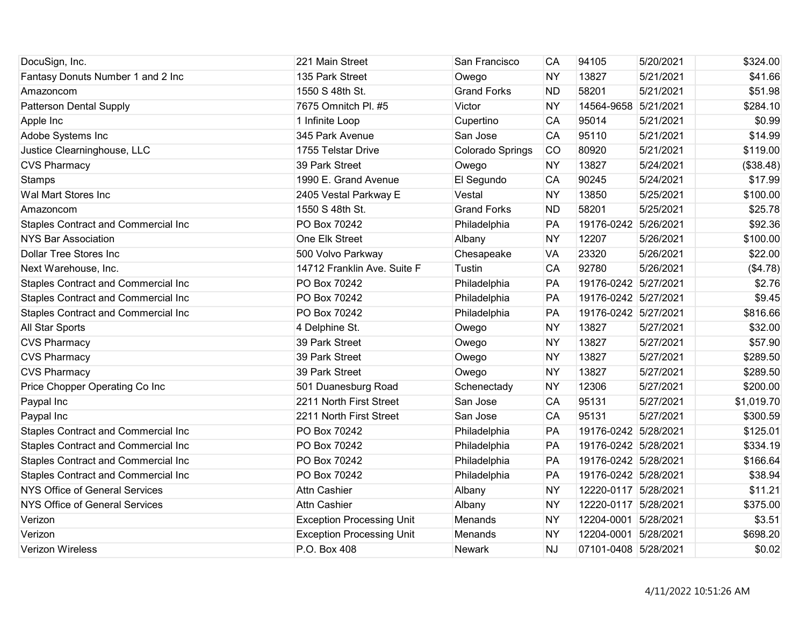| DocuSign, Inc.                             | 221 Main Street                  | San Francisco      | CA        | 94105                | 5/20/2021 | \$324.00   |
|--------------------------------------------|----------------------------------|--------------------|-----------|----------------------|-----------|------------|
| Fantasy Donuts Number 1 and 2 Inc          | 135 Park Street                  | Owego              | <b>NY</b> | 13827                | 5/21/2021 | \$41.66    |
| Amazoncom                                  | 1550 S 48th St.                  | <b>Grand Forks</b> | <b>ND</b> | 58201                | 5/21/2021 | \$51.98    |
| <b>Patterson Dental Supply</b>             | 7675 Omnitch Pl. #5              | Victor             | <b>NY</b> | 14564-9658           | 5/21/2021 | \$284.10   |
| Apple Inc                                  | 1 Infinite Loop                  | Cupertino          | CA        | 95014                | 5/21/2021 | \$0.99     |
| Adobe Systems Inc                          | 345 Park Avenue                  | San Jose           | CA        | 95110                | 5/21/2021 | \$14.99    |
| Justice Clearninghouse, LLC                | 1755 Telstar Drive               | Colorado Springs   | CO        | 80920                | 5/21/2021 | \$119.00   |
| <b>CVS Pharmacy</b>                        | 39 Park Street                   | Owego              | <b>NY</b> | 13827                | 5/24/2021 | (\$38.48)  |
| <b>Stamps</b>                              | 1990 E. Grand Avenue             | El Segundo         | <b>CA</b> | 90245                | 5/24/2021 | \$17.99    |
| Wal Mart Stores Inc                        | 2405 Vestal Parkway E            | Vestal             | <b>NY</b> | 13850                | 5/25/2021 | \$100.00   |
| Amazoncom                                  | 1550 S 48th St.                  | <b>Grand Forks</b> | <b>ND</b> | 58201                | 5/25/2021 | \$25.78    |
| <b>Staples Contract and Commercial Inc</b> | PO Box 70242                     | Philadelphia       | PA        | 19176-0242           | 5/26/2021 | \$92.36    |
| <b>NYS Bar Association</b>                 | One Elk Street                   | Albany             | <b>NY</b> | 12207                | 5/26/2021 | \$100.00   |
| <b>Dollar Tree Stores Inc</b>              | 500 Volvo Parkway                | Chesapeake         | <b>VA</b> | 23320                | 5/26/2021 | \$22.00    |
| Next Warehouse, Inc.                       | 14712 Franklin Ave. Suite F      | Tustin             | CA        | 92780                | 5/26/2021 | (\$4.78)   |
| <b>Staples Contract and Commercial Inc</b> | PO Box 70242                     | Philadelphia       | PA        | 19176-0242 5/27/2021 |           | \$2.76     |
| Staples Contract and Commercial Inc        | PO Box 70242                     | Philadelphia       | PA        | 19176-0242 5/27/2021 |           | \$9.45     |
| Staples Contract and Commercial Inc        | PO Box 70242                     | Philadelphia       | PA        | 19176-0242 5/27/2021 |           | \$816.66   |
| All Star Sports                            | 4 Delphine St.                   | Owego              | <b>NY</b> | 13827                | 5/27/2021 | \$32.00    |
| <b>CVS Pharmacy</b>                        | 39 Park Street                   | Owego              | <b>NY</b> | 13827                | 5/27/2021 | \$57.90    |
| <b>CVS Pharmacy</b>                        | 39 Park Street                   | Owego              | <b>NY</b> | 13827                | 5/27/2021 | \$289.50   |
| <b>CVS Pharmacy</b>                        | 39 Park Street                   | Owego              | <b>NY</b> | 13827                | 5/27/2021 | \$289.50   |
| Price Chopper Operating Co Inc             | 501 Duanesburg Road              | Schenectady        | <b>NY</b> | 12306                | 5/27/2021 | \$200.00   |
| Paypal Inc                                 | 2211 North First Street          | San Jose           | CA        | 95131                | 5/27/2021 | \$1,019.70 |
| Paypal Inc                                 | 2211 North First Street          | San Jose           | CA        | 95131                | 5/27/2021 | \$300.59   |
| Staples Contract and Commercial Inc        | PO Box 70242                     | Philadelphia       | PA        | 19176-0242 5/28/2021 |           | \$125.01   |
| Staples Contract and Commercial Inc        | PO Box 70242                     | Philadelphia       | PA        | 19176-0242 5/28/2021 |           | \$334.19   |
| Staples Contract and Commercial Inc        | PO Box 70242                     | Philadelphia       | PA        | 19176-0242 5/28/2021 |           | \$166.64   |
| <b>Staples Contract and Commercial Inc</b> | PO Box 70242                     | Philadelphia       | PA        | 19176-0242 5/28/2021 |           | \$38.94    |
| NYS Office of General Services             | <b>Attn Cashier</b>              | Albany             | <b>NY</b> | 12220-0117 5/28/2021 |           | \$11.21    |
| NYS Office of General Services             | <b>Attn Cashier</b>              | Albany             | <b>NY</b> | 12220-0117 5/28/2021 |           | \$375.00   |
| Verizon                                    | <b>Exception Processing Unit</b> | Menands            | <b>NY</b> | 12204-0001 5/28/2021 |           | \$3.51     |
| Verizon                                    | <b>Exception Processing Unit</b> | Menands            | <b>NY</b> | 12204-0001 5/28/2021 |           | \$698.20   |
| <b>Verizon Wireless</b>                    | P.O. Box 408                     | <b>Newark</b>      | <b>NJ</b> | 07101-0408 5/28/2021 |           | \$0.02     |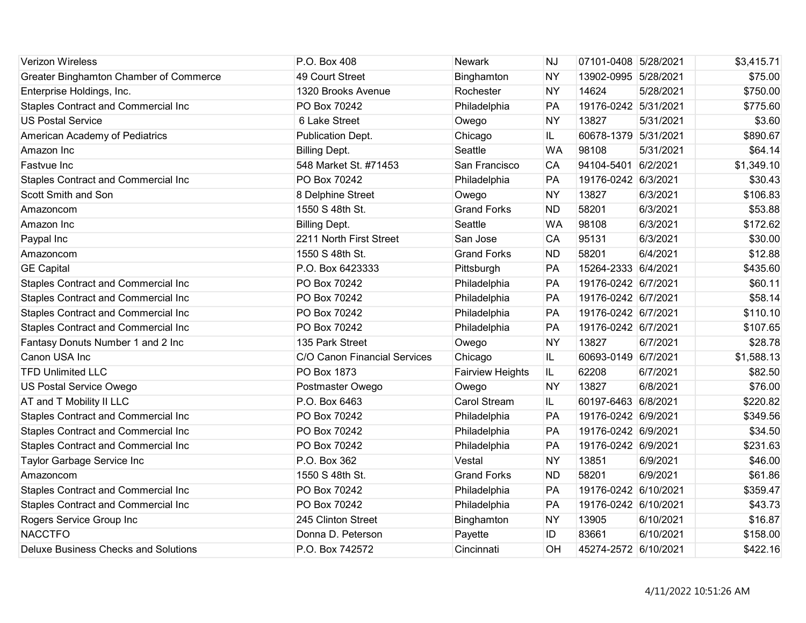| <b>Verizon Wireless</b>                     | P.O. Box 408                 | Newark                  | <b>NJ</b> | 07101-0408 5/28/2021 |           | \$3,415.71 |
|---------------------------------------------|------------------------------|-------------------------|-----------|----------------------|-----------|------------|
| Greater Binghamton Chamber of Commerce      | 49 Court Street              | Binghamton              | <b>NY</b> | 13902-0995 5/28/2021 |           | \$75.00    |
| Enterprise Holdings, Inc.                   | 1320 Brooks Avenue           | Rochester               | <b>NY</b> | 14624                | 5/28/2021 | \$750.00   |
| Staples Contract and Commercial Inc         | PO Box 70242                 | Philadelphia            | PA        | 19176-0242 5/31/2021 |           | \$775.60   |
| <b>US Postal Service</b>                    | 6 Lake Street                | Owego                   | <b>NY</b> | 13827                | 5/31/2021 | \$3.60     |
| American Academy of Pediatrics              | Publication Dept.            | Chicago                 | IL        | 60678-1379 5/31/2021 |           | \$890.67   |
| Amazon Inc                                  | <b>Billing Dept.</b>         | Seattle                 | <b>WA</b> | 98108                | 5/31/2021 | \$64.14    |
| Fastvue Inc                                 | 548 Market St. #71453        | San Francisco           | CA        | 94104-5401 6/2/2021  |           | \$1,349.10 |
| <b>Staples Contract and Commercial Inc</b>  | PO Box 70242                 | Philadelphia            | PA        | 19176-0242 6/3/2021  |           | \$30.43    |
| Scott Smith and Son                         | 8 Delphine Street            | Owego                   | <b>NY</b> | 13827                | 6/3/2021  | \$106.83   |
| Amazoncom                                   | 1550 S 48th St.              | <b>Grand Forks</b>      | <b>ND</b> | 58201                | 6/3/2021  | \$53.88    |
| Amazon Inc                                  | <b>Billing Dept.</b>         | Seattle                 | <b>WA</b> | 98108                | 6/3/2021  | \$172.62   |
| Paypal Inc                                  | 2211 North First Street      | San Jose                | CA        | 95131                | 6/3/2021  | \$30.00    |
| Amazoncom                                   | 1550 S 48th St.              | <b>Grand Forks</b>      | <b>ND</b> | 58201                | 6/4/2021  | \$12.88    |
| <b>GE Capital</b>                           | P.O. Box 6423333             | Pittsburgh              | PA        | 15264-2333 6/4/2021  |           | \$435.60   |
| Staples Contract and Commercial Inc         | PO Box 70242                 | Philadelphia            | PA        | 19176-0242 6/7/2021  |           | \$60.11    |
| <b>Staples Contract and Commercial Inc</b>  | PO Box 70242                 | Philadelphia            | PA        | 19176-0242 6/7/2021  |           | \$58.14    |
| Staples Contract and Commercial Inc         | PO Box 70242                 | Philadelphia            | PA        | 19176-0242 6/7/2021  |           | \$110.10   |
| Staples Contract and Commercial Inc         | PO Box 70242                 | Philadelphia            | PA        | 19176-0242 6/7/2021  |           | \$107.65   |
| Fantasy Donuts Number 1 and 2 Inc           | 135 Park Street              | Owego                   | <b>NY</b> | 13827                | 6/7/2021  | \$28.78    |
| Canon USA Inc                               | C/O Canon Financial Services | Chicago                 | IL.       | 60693-0149 6/7/2021  |           | \$1,588.13 |
| <b>TFD Unlimited LLC</b>                    | PO Box 1873                  | <b>Fairview Heights</b> | IL.       | 62208                | 6/7/2021  | \$82.50    |
| US Postal Service Owego                     | Postmaster Owego             | Owego                   | <b>NY</b> | 13827                | 6/8/2021  | \$76.00    |
| AT and T Mobility II LLC                    | P.O. Box 6463                | <b>Carol Stream</b>     | IL.       | 60197-6463 6/8/2021  |           | \$220.82   |
| Staples Contract and Commercial Inc         | PO Box 70242                 | Philadelphia            | PA        | 19176-0242 6/9/2021  |           | \$349.56   |
| Staples Contract and Commercial Inc         | PO Box 70242                 | Philadelphia            | PA        | 19176-0242 6/9/2021  |           | \$34.50    |
| Staples Contract and Commercial Inc         | PO Box 70242                 | Philadelphia            | PA        | 19176-0242 6/9/2021  |           | \$231.63   |
| Taylor Garbage Service Inc                  | P.O. Box 362                 | Vestal                  | <b>NY</b> | 13851                | 6/9/2021  | \$46.00    |
| Amazoncom                                   | 1550 S 48th St.              | <b>Grand Forks</b>      | <b>ND</b> | 58201                | 6/9/2021  | \$61.86    |
| <b>Staples Contract and Commercial Inc</b>  | PO Box 70242                 | Philadelphia            | PA        | 19176-0242 6/10/2021 |           | \$359.47   |
| <b>Staples Contract and Commercial Inc</b>  | PO Box 70242                 | Philadelphia            | PA        | 19176-0242 6/10/2021 |           | \$43.73    |
| Rogers Service Group Inc                    | 245 Clinton Street           | Binghamton              | <b>NY</b> | 13905                | 6/10/2021 | \$16.87    |
| <b>NACCTFO</b>                              | Donna D. Peterson            | Payette                 | ID        | 83661                | 6/10/2021 | \$158.00   |
| <b>Deluxe Business Checks and Solutions</b> | P.O. Box 742572              | Cincinnati              | OH        | 45274-2572 6/10/2021 |           | \$422.16   |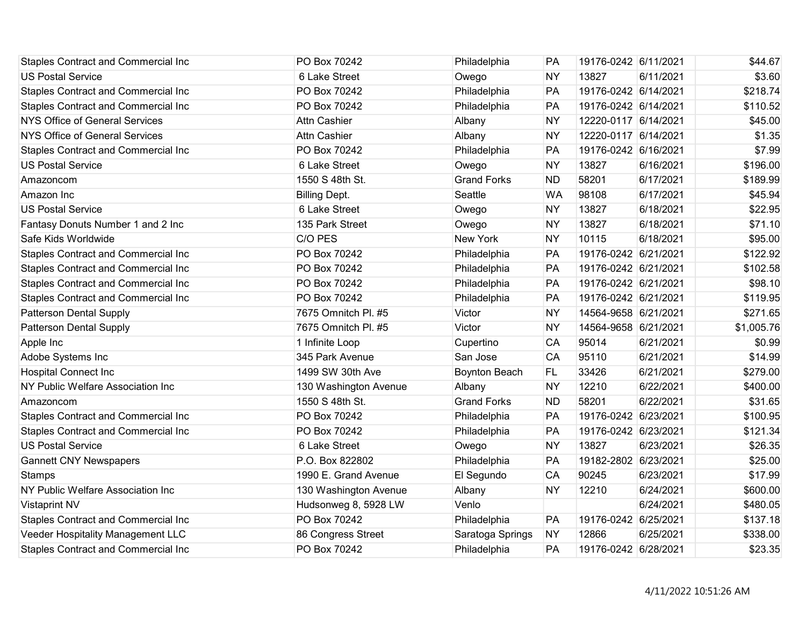| <b>Staples Contract and Commercial Inc</b> | PO Box 70242          | Philadelphia         | PA        | 19176-0242 6/11/2021 |           | \$44.67    |
|--------------------------------------------|-----------------------|----------------------|-----------|----------------------|-----------|------------|
| <b>US Postal Service</b>                   | 6 Lake Street         | Owego                | <b>NY</b> | 13827                | 6/11/2021 | \$3.60     |
| <b>Staples Contract and Commercial Inc</b> | PO Box 70242          | Philadelphia         | PA        | 19176-0242 6/14/2021 |           | \$218.74   |
| Staples Contract and Commercial Inc        | PO Box 70242          | Philadelphia         | PA        | 19176-0242 6/14/2021 |           | \$110.52   |
| <b>NYS Office of General Services</b>      | <b>Attn Cashier</b>   | Albany               | <b>NY</b> | 12220-0117 6/14/2021 |           | \$45.00    |
| <b>NYS Office of General Services</b>      | <b>Attn Cashier</b>   | Albany               | <b>NY</b> | 12220-0117 6/14/2021 |           | \$1.35     |
| Staples Contract and Commercial Inc        | PO Box 70242          | Philadelphia         | PA        | 19176-0242 6/16/2021 |           | \$7.99     |
| <b>US Postal Service</b>                   | 6 Lake Street         | Owego                | <b>NY</b> | 13827                | 6/16/2021 | \$196.00   |
| Amazoncom                                  | 1550 S 48th St.       | <b>Grand Forks</b>   | <b>ND</b> | 58201                | 6/17/2021 | \$189.99   |
| Amazon Inc                                 | <b>Billing Dept.</b>  | Seattle              | <b>WA</b> | 98108                | 6/17/2021 | \$45.94    |
| <b>US Postal Service</b>                   | 6 Lake Street         | Owego                | <b>NY</b> | 13827                | 6/18/2021 | \$22.95    |
| Fantasy Donuts Number 1 and 2 Inc          | 135 Park Street       | Owego                | <b>NY</b> | 13827                | 6/18/2021 | \$71.10    |
| Safe Kids Worldwide                        | C/O PES               | <b>New York</b>      | <b>NY</b> | 10115                | 6/18/2021 | \$95.00    |
| Staples Contract and Commercial Inc        | PO Box 70242          | Philadelphia         | PA        | 19176-0242 6/21/2021 |           | \$122.92   |
| Staples Contract and Commercial Inc        | PO Box 70242          | Philadelphia         | PA        | 19176-0242 6/21/2021 |           | \$102.58   |
| Staples Contract and Commercial Inc        | PO Box 70242          | Philadelphia         | PA        | 19176-0242 6/21/2021 |           | \$98.10    |
| Staples Contract and Commercial Inc        | PO Box 70242          | Philadelphia         | PA        | 19176-0242 6/21/2021 |           | \$119.95   |
| <b>Patterson Dental Supply</b>             | 7675 Omnitch Pl. #5   | Victor               | <b>NY</b> | 14564-9658 6/21/2021 |           | \$271.65   |
| <b>Patterson Dental Supply</b>             | 7675 Omnitch Pl. #5   | Victor               | <b>NY</b> | 14564-9658 6/21/2021 |           | \$1,005.76 |
| Apple Inc                                  | 1 Infinite Loop       | Cupertino            | CA        | 95014                | 6/21/2021 | \$0.99     |
| Adobe Systems Inc                          | 345 Park Avenue       | San Jose             | CA        | 95110                | 6/21/2021 | \$14.99    |
| <b>Hospital Connect Inc</b>                | 1499 SW 30th Ave      | <b>Boynton Beach</b> | FL.       | 33426                | 6/21/2021 | \$279.00   |
| NY Public Welfare Association Inc          | 130 Washington Avenue | Albany               | <b>NY</b> | 12210                | 6/22/2021 | \$400.00   |
| Amazoncom                                  | 1550 S 48th St.       | <b>Grand Forks</b>   | <b>ND</b> | 58201                | 6/22/2021 | \$31.65    |
| Staples Contract and Commercial Inc        | PO Box 70242          | Philadelphia         | PA        | 19176-0242 6/23/2021 |           | \$100.95   |
| Staples Contract and Commercial Inc        | PO Box 70242          | Philadelphia         | PA        | 19176-0242 6/23/2021 |           | \$121.34   |
| <b>US Postal Service</b>                   | 6 Lake Street         | Owego                | <b>NY</b> | 13827                | 6/23/2021 | \$26.35    |
| <b>Gannett CNY Newspapers</b>              | P.O. Box 822802       | Philadelphia         | PA        | 19182-2802 6/23/2021 |           | \$25.00    |
| <b>Stamps</b>                              | 1990 E. Grand Avenue  | El Segundo           | CA        | 90245                | 6/23/2021 | \$17.99    |
| NY Public Welfare Association Inc          | 130 Washington Avenue | Albany               | <b>NY</b> | 12210                | 6/24/2021 | \$600.00   |
| <b>Vistaprint NV</b>                       | Hudsonweg 8, 5928 LW  | Venlo                |           |                      | 6/24/2021 | \$480.05   |
| Staples Contract and Commercial Inc        | PO Box 70242          | Philadelphia         | PA        | 19176-0242 6/25/2021 |           | \$137.18   |
| Veeder Hospitality Management LLC          | 86 Congress Street    | Saratoga Springs     | <b>NY</b> | 12866                | 6/25/2021 | \$338.00   |
| <b>Staples Contract and Commercial Inc</b> | PO Box 70242          | Philadelphia         | PA        | 19176-0242 6/28/2021 |           | \$23.35    |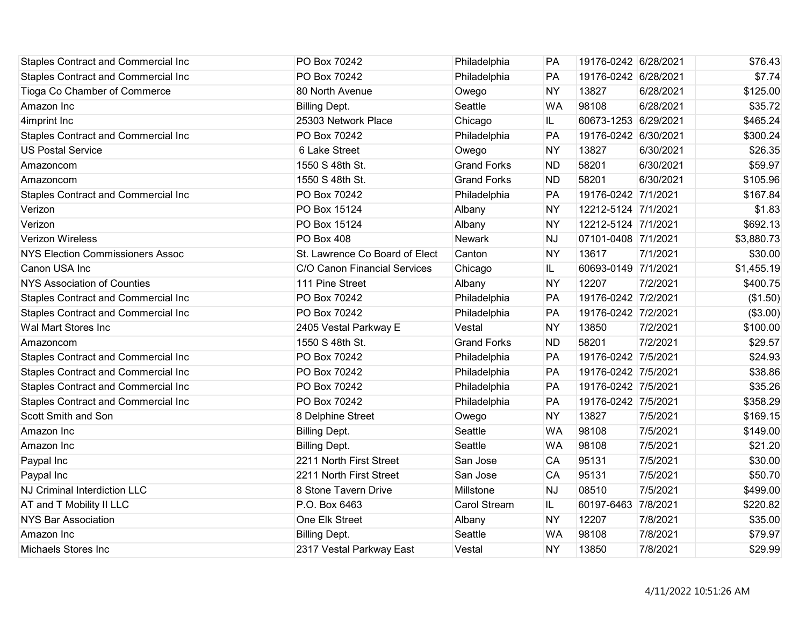| <b>Staples Contract and Commercial Inc</b> | PO Box 70242                   | Philadelphia        | PA        | 19176-0242 6/28/2021 |           | \$76.43    |
|--------------------------------------------|--------------------------------|---------------------|-----------|----------------------|-----------|------------|
| <b>Staples Contract and Commercial Inc</b> | PO Box 70242                   | Philadelphia        | PA        | 19176-0242 6/28/2021 |           | \$7.74     |
| Tioga Co Chamber of Commerce               | 80 North Avenue                | Owego               | <b>NY</b> | 13827                | 6/28/2021 | \$125.00   |
| Amazon Inc                                 | <b>Billing Dept.</b>           | Seattle             | <b>WA</b> | 98108                | 6/28/2021 | \$35.72    |
| 4imprint Inc                               | 25303 Network Place            | Chicago             | IL.       | 60673-1253 6/29/2021 |           | \$465.24   |
| <b>Staples Contract and Commercial Inc</b> | PO Box 70242                   | Philadelphia        | PA        | 19176-0242 6/30/2021 |           | \$300.24   |
| <b>US Postal Service</b>                   | 6 Lake Street                  | Owego               | <b>NY</b> | 13827                | 6/30/2021 | \$26.35    |
| Amazoncom                                  | 1550 S 48th St.                | <b>Grand Forks</b>  | <b>ND</b> | 58201                | 6/30/2021 | \$59.97    |
| Amazoncom                                  | 1550 S 48th St.                | <b>Grand Forks</b>  | <b>ND</b> | 58201                | 6/30/2021 | \$105.96   |
| <b>Staples Contract and Commercial Inc</b> | PO Box 70242                   | Philadelphia        | PA        | 19176-0242 7/1/2021  |           | \$167.84   |
| Verizon                                    | PO Box 15124                   | Albany              | <b>NY</b> | 12212-5124 7/1/2021  |           | \$1.83     |
| Verizon                                    | PO Box 15124                   | Albany              | <b>NY</b> | 12212-5124 7/1/2021  |           | \$692.13   |
| <b>Verizon Wireless</b>                    | PO Box 408                     | Newark              | <b>NJ</b> | 07101-0408 7/1/2021  |           | \$3,880.73 |
| <b>NYS Election Commissioners Assoc</b>    | St. Lawrence Co Board of Elect | Canton              | <b>NY</b> | 13617                | 7/1/2021  | \$30.00    |
| Canon USA Inc                              | C/O Canon Financial Services   | Chicago             | IL.       | 60693-0149 7/1/2021  |           | \$1,455.19 |
| <b>NYS Association of Counties</b>         | 111 Pine Street                | Albany              | <b>NY</b> | 12207                | 7/2/2021  | \$400.75   |
| Staples Contract and Commercial Inc        | PO Box 70242                   | Philadelphia        | PA        | 19176-0242 7/2/2021  |           | (\$1.50)   |
| Staples Contract and Commercial Inc        | PO Box 70242                   | Philadelphia        | PA        | 19176-0242 7/2/2021  |           | (\$3.00)   |
| Wal Mart Stores Inc                        | 2405 Vestal Parkway E          | Vestal              | <b>NY</b> | 13850                | 7/2/2021  | \$100.00   |
| Amazoncom                                  | 1550 S 48th St.                | <b>Grand Forks</b>  | <b>ND</b> | 58201                | 7/2/2021  | \$29.57    |
| Staples Contract and Commercial Inc        | PO Box 70242                   | Philadelphia        | PA        | 19176-0242 7/5/2021  |           | \$24.93    |
| <b>Staples Contract and Commercial Inc</b> | PO Box 70242                   | Philadelphia        | PA        | 19176-0242 7/5/2021  |           | \$38.86    |
| <b>Staples Contract and Commercial Inc</b> | PO Box 70242                   | Philadelphia        | PA        | 19176-0242 7/5/2021  |           | \$35.26    |
| <b>Staples Contract and Commercial Inc</b> | PO Box 70242                   | Philadelphia        | PA        | 19176-0242 7/5/2021  |           | \$358.29   |
| Scott Smith and Son                        | 8 Delphine Street              | Owego               | <b>NY</b> | 13827                | 7/5/2021  | \$169.15   |
| Amazon Inc                                 | <b>Billing Dept.</b>           | Seattle             | <b>WA</b> | 98108                | 7/5/2021  | \$149.00   |
| Amazon Inc                                 | <b>Billing Dept.</b>           | Seattle             | <b>WA</b> | 98108                | 7/5/2021  | \$21.20    |
| Paypal Inc                                 | 2211 North First Street        | San Jose            | CA        | 95131                | 7/5/2021  | \$30.00    |
| Paypal Inc                                 | 2211 North First Street        | San Jose            | CA        | 95131                | 7/5/2021  | \$50.70    |
| <b>NJ Criminal Interdiction LLC</b>        | 8 Stone Tavern Drive           | Millstone           | <b>NJ</b> | 08510                | 7/5/2021  | \$499.00   |
| AT and T Mobility II LLC                   | P.O. Box 6463                  | <b>Carol Stream</b> | IL.       | 60197-6463           | 7/8/2021  | \$220.82   |
| <b>NYS Bar Association</b>                 | One Elk Street                 | Albany              | <b>NY</b> | 12207                | 7/8/2021  | \$35.00    |
| Amazon Inc                                 | <b>Billing Dept.</b>           | Seattle             | <b>WA</b> | 98108                | 7/8/2021  | \$79.97    |
| Michaels Stores Inc                        | 2317 Vestal Parkway East       | Vestal              | <b>NY</b> | 13850                | 7/8/2021  | \$29.99    |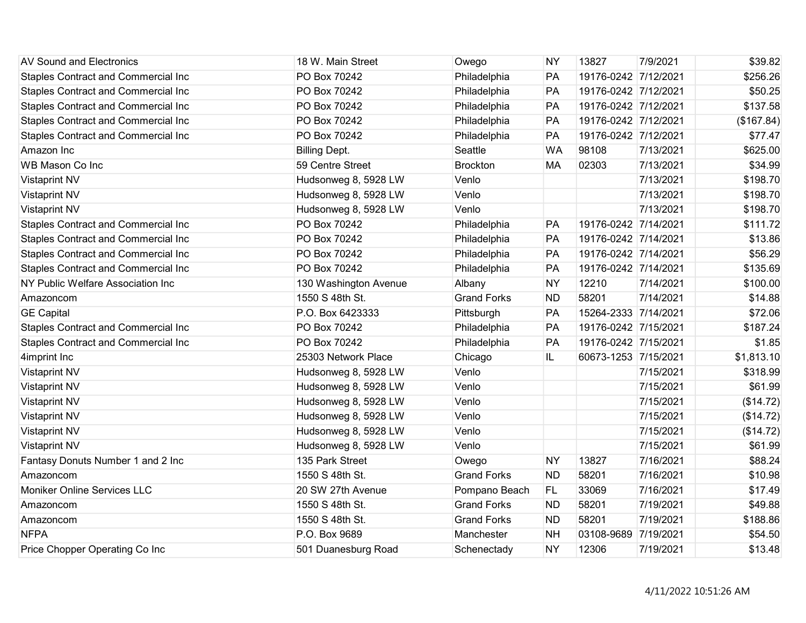| AV Sound and Electronics                   | 18 W. Main Street     | Owego              | <b>NY</b> | 13827                | 7/9/2021  | \$39.82    |
|--------------------------------------------|-----------------------|--------------------|-----------|----------------------|-----------|------------|
| Staples Contract and Commercial Inc        | PO Box 70242          | Philadelphia       | PA        | 19176-0242 7/12/2021 |           | \$256.26   |
| Staples Contract and Commercial Inc        | PO Box 70242          | Philadelphia       | PA        | 19176-0242 7/12/2021 |           | \$50.25    |
| Staples Contract and Commercial Inc        | PO Box 70242          | Philadelphia       | PA        | 19176-0242 7/12/2021 |           | \$137.58   |
| <b>Staples Contract and Commercial Inc</b> | PO Box 70242          | Philadelphia       | PA        | 19176-0242 7/12/2021 |           | (\$167.84) |
| <b>Staples Contract and Commercial Inc</b> | PO Box 70242          | Philadelphia       | PA        | 19176-0242 7/12/2021 |           | \$77.47    |
| Amazon Inc                                 | <b>Billing Dept.</b>  | Seattle            | <b>WA</b> | 98108                | 7/13/2021 | \$625.00   |
| WB Mason Co Inc                            | 59 Centre Street      | <b>Brockton</b>    | <b>MA</b> | 02303                | 7/13/2021 | \$34.99    |
| <b>Vistaprint NV</b>                       | Hudsonweg 8, 5928 LW  | Venlo              |           |                      | 7/13/2021 | \$198.70   |
| <b>Vistaprint NV</b>                       | Hudsonweg 8, 5928 LW  | Venlo              |           |                      | 7/13/2021 | \$198.70   |
| <b>Vistaprint NV</b>                       | Hudsonweg 8, 5928 LW  | Venlo              |           |                      | 7/13/2021 | \$198.70   |
| Staples Contract and Commercial Inc        | PO Box 70242          | Philadelphia       | PA        | 19176-0242 7/14/2021 |           | \$111.72   |
| <b>Staples Contract and Commercial Inc</b> | PO Box 70242          | Philadelphia       | PA        | 19176-0242 7/14/2021 |           | \$13.86    |
| <b>Staples Contract and Commercial Inc</b> | PO Box 70242          | Philadelphia       | PA        | 19176-0242 7/14/2021 |           | \$56.29    |
| <b>Staples Contract and Commercial Inc</b> | PO Box 70242          | Philadelphia       | PA        | 19176-0242 7/14/2021 |           | \$135.69   |
| NY Public Welfare Association Inc          | 130 Washington Avenue | Albany             | <b>NY</b> | 12210                | 7/14/2021 | \$100.00   |
| Amazoncom                                  | 1550 S 48th St.       | <b>Grand Forks</b> | <b>ND</b> | 58201                | 7/14/2021 | \$14.88    |
| <b>GE Capital</b>                          | P.O. Box 6423333      | Pittsburgh         | PA        | 15264-2333 7/14/2021 |           | \$72.06    |
| <b>Staples Contract and Commercial Inc</b> | PO Box 70242          | Philadelphia       | PA        | 19176-0242 7/15/2021 |           | \$187.24   |
| <b>Staples Contract and Commercial Inc</b> | PO Box 70242          | Philadelphia       | PA        | 19176-0242 7/15/2021 |           | \$1.85     |
| 4imprint Inc                               | 25303 Network Place   | Chicago            | IL        | 60673-1253 7/15/2021 |           | \$1,813.10 |
| <b>Vistaprint NV</b>                       | Hudsonweg 8, 5928 LW  | Venlo              |           |                      | 7/15/2021 | \$318.99   |
| <b>Vistaprint NV</b>                       | Hudsonweg 8, 5928 LW  | Venlo              |           |                      | 7/15/2021 | \$61.99    |
| <b>Vistaprint NV</b>                       | Hudsonweg 8, 5928 LW  | Venlo              |           |                      | 7/15/2021 | (\$14.72)  |
| <b>Vistaprint NV</b>                       | Hudsonweg 8, 5928 LW  | Venlo              |           |                      | 7/15/2021 | (\$14.72)  |
| <b>Vistaprint NV</b>                       | Hudsonweg 8, 5928 LW  | Venlo              |           |                      | 7/15/2021 | (\$14.72)  |
| <b>Vistaprint NV</b>                       | Hudsonweg 8, 5928 LW  | Venlo              |           |                      | 7/15/2021 | \$61.99    |
| Fantasy Donuts Number 1 and 2 Inc          | 135 Park Street       | Owego              | <b>NY</b> | 13827                | 7/16/2021 | \$88.24    |
| Amazoncom                                  | 1550 S 48th St.       | <b>Grand Forks</b> | <b>ND</b> | 58201                | 7/16/2021 | \$10.98    |
| <b>Moniker Online Services LLC</b>         | 20 SW 27th Avenue     | Pompano Beach      | FL.       | 33069                | 7/16/2021 | \$17.49    |
| Amazoncom                                  | 1550 S 48th St.       | <b>Grand Forks</b> | <b>ND</b> | 58201                | 7/19/2021 | \$49.88    |
| Amazoncom                                  | 1550 S 48th St.       | <b>Grand Forks</b> | <b>ND</b> | 58201                | 7/19/2021 | \$188.86   |
| <b>NFPA</b>                                | P.O. Box 9689         | Manchester         | <b>NH</b> | 03108-9689           | 7/19/2021 | \$54.50    |
| Price Chopper Operating Co Inc             | 501 Duanesburg Road   | Schenectady        | <b>NY</b> | 12306                | 7/19/2021 | \$13.48    |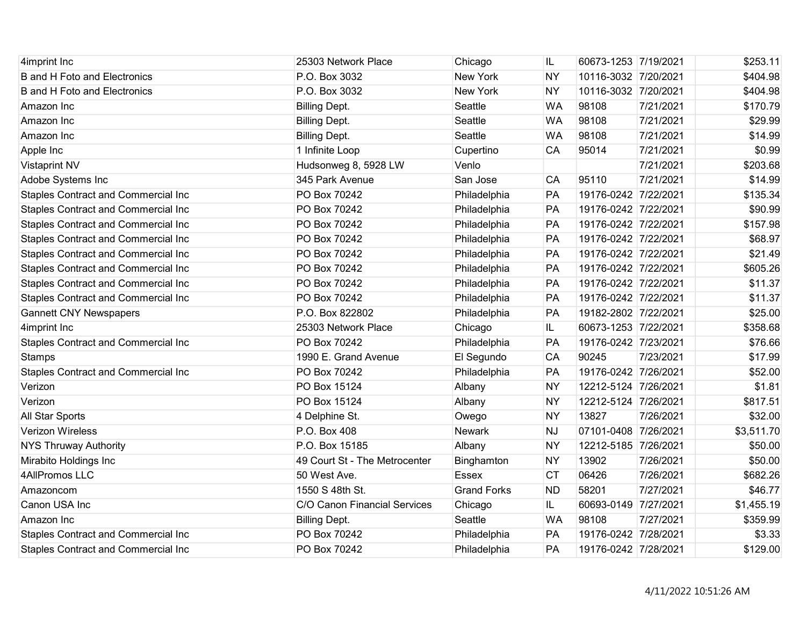| 4imprint Inc                               | 25303 Network Place           | Chicago            | IL        | 60673-1253 7/19/2021 |           | \$253.11   |
|--------------------------------------------|-------------------------------|--------------------|-----------|----------------------|-----------|------------|
| <b>B</b> and H Foto and Electronics        | P.O. Box 3032                 | New York           | <b>NY</b> | 10116-3032 7/20/2021 |           | \$404.98   |
| <b>B</b> and H Foto and Electronics        | P.O. Box 3032                 | New York           | <b>NY</b> | 10116-3032 7/20/2021 |           | \$404.98   |
| Amazon Inc                                 | <b>Billing Dept.</b>          | Seattle            | <b>WA</b> | 98108                | 7/21/2021 | \$170.79   |
| Amazon Inc                                 | <b>Billing Dept.</b>          | Seattle            | <b>WA</b> | 98108                | 7/21/2021 | \$29.99    |
| Amazon Inc                                 | <b>Billing Dept.</b>          | Seattle            | <b>WA</b> | 98108                | 7/21/2021 | \$14.99    |
| Apple Inc                                  | 1 Infinite Loop               | Cupertino          | CA        | 95014                | 7/21/2021 | \$0.99     |
| <b>Vistaprint NV</b>                       | Hudsonweg 8, 5928 LW          | Venlo              |           |                      | 7/21/2021 | \$203.68   |
| Adobe Systems Inc                          | 345 Park Avenue               | San Jose           | CA        | 95110                | 7/21/2021 | \$14.99    |
| <b>Staples Contract and Commercial Inc</b> | PO Box 70242                  | Philadelphia       | PA        | 19176-0242 7/22/2021 |           | \$135.34   |
| Staples Contract and Commercial Inc        | PO Box 70242                  | Philadelphia       | PA        | 19176-0242 7/22/2021 |           | \$90.99    |
| Staples Contract and Commercial Inc        | PO Box 70242                  | Philadelphia       | PA        | 19176-0242 7/22/2021 |           | \$157.98   |
| Staples Contract and Commercial Inc        | PO Box 70242                  | Philadelphia       | PA        | 19176-0242 7/22/2021 |           | \$68.97    |
| Staples Contract and Commercial Inc        | PO Box 70242                  | Philadelphia       | PA        | 19176-0242 7/22/2021 |           | \$21.49    |
| Staples Contract and Commercial Inc        | PO Box 70242                  | Philadelphia       | PA        | 19176-0242 7/22/2021 |           | \$605.26   |
| Staples Contract and Commercial Inc        | PO Box 70242                  | Philadelphia       | PA        | 19176-0242 7/22/2021 |           | \$11.37    |
| Staples Contract and Commercial Inc        | PO Box 70242                  | Philadelphia       | PA        | 19176-0242 7/22/2021 |           | \$11.37    |
| <b>Gannett CNY Newspapers</b>              | P.O. Box 822802               | Philadelphia       | PA        | 19182-2802 7/22/2021 |           | \$25.00    |
| 4imprint Inc                               | 25303 Network Place           | Chicago            | IL        | 60673-1253 7/22/2021 |           | \$358.68   |
| Staples Contract and Commercial Inc        | PO Box 70242                  | Philadelphia       | PA        | 19176-0242 7/23/2021 |           | \$76.66    |
| <b>Stamps</b>                              | 1990 E. Grand Avenue          | El Segundo         | CA        | 90245                | 7/23/2021 | \$17.99    |
| Staples Contract and Commercial Inc        | PO Box 70242                  | Philadelphia       | PA        | 19176-0242 7/26/2021 |           | \$52.00    |
| Verizon                                    | PO Box 15124                  | Albany             | <b>NY</b> | 12212-5124 7/26/2021 |           | \$1.81     |
| Verizon                                    | PO Box 15124                  | Albany             | <b>NY</b> | 12212-5124 7/26/2021 |           | \$817.51   |
| All Star Sports                            | 4 Delphine St.                | Owego              | <b>NY</b> | 13827                | 7/26/2021 | \$32.00    |
| <b>Verizon Wireless</b>                    | P.O. Box 408                  | Newark             | <b>NJ</b> | 07101-0408 7/26/2021 |           | \$3,511.70 |
| <b>NYS Thruway Authority</b>               | P.O. Box 15185                | Albany             | <b>NY</b> | 12212-5185 7/26/2021 |           | \$50.00    |
| Mirabito Holdings Inc                      | 49 Court St - The Metrocenter | Binghamton         | <b>NY</b> | 13902                | 7/26/2021 | \$50.00    |
| 4AllPromos LLC                             | 50 West Ave.                  | <b>Essex</b>       | <b>CT</b> | 06426                | 7/26/2021 | \$682.26   |
| Amazoncom                                  | 1550 S 48th St.               | <b>Grand Forks</b> | <b>ND</b> | 58201                | 7/27/2021 | \$46.77    |
| Canon USA Inc                              | C/O Canon Financial Services  | Chicago            | IL.       | 60693-0149 7/27/2021 |           | \$1,455.19 |
| Amazon Inc                                 | <b>Billing Dept.</b>          | Seattle            | <b>WA</b> | 98108                | 7/27/2021 | \$359.99   |
| Staples Contract and Commercial Inc        | PO Box 70242                  | Philadelphia       | PA        | 19176-0242 7/28/2021 |           | \$3.33     |
| <b>Staples Contract and Commercial Inc</b> | PO Box 70242                  | Philadelphia       | PA        | 19176-0242 7/28/2021 |           | \$129.00   |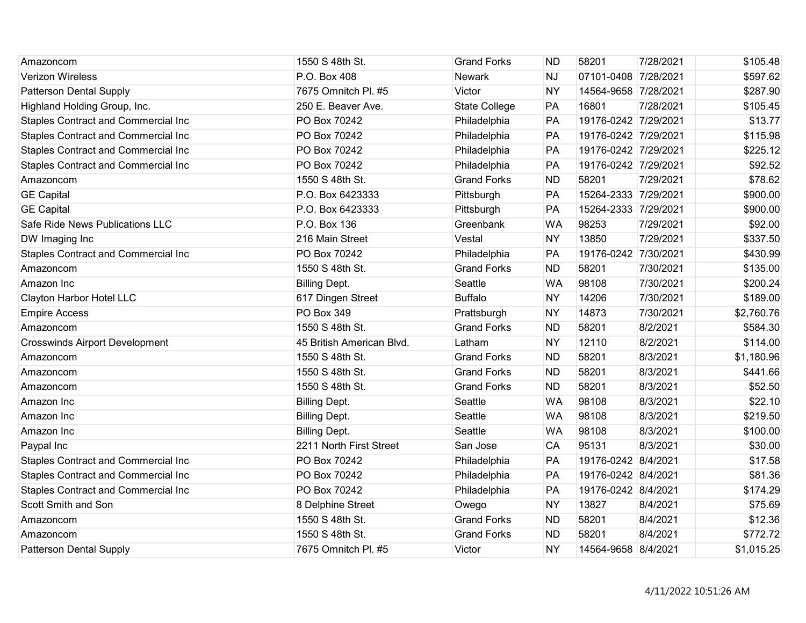| Amazoncom                                  | 1550 S 48th St.           | <b>Grand Forks</b>   | <b>ND</b> | 58201                | 7/28/2021 | \$105.48   |
|--------------------------------------------|---------------------------|----------------------|-----------|----------------------|-----------|------------|
| <b>Verizon Wireless</b>                    | P.O. Box 408              | <b>Newark</b>        | <b>NJ</b> | 07101-0408 7/28/2021 |           | \$597.62   |
| <b>Patterson Dental Supply</b>             | 7675 Omnitch Pl. #5       | Victor               | <b>NY</b> | 14564-9658 7/28/2021 |           | \$287.90   |
| Highland Holding Group, Inc.               | 250 E. Beaver Ave.        | <b>State College</b> | PA        | 16801                | 7/28/2021 | \$105.45   |
| <b>Staples Contract and Commercial Inc</b> | PO Box 70242              | Philadelphia         | PA        | 19176-0242 7/29/2021 |           | \$13.77    |
| <b>Staples Contract and Commercial Inc</b> | PO Box 70242              | Philadelphia         | PA        | 19176-0242 7/29/2021 |           | \$115.98   |
| <b>Staples Contract and Commercial Inc</b> | PO Box 70242              | Philadelphia         | PA        | 19176-0242 7/29/2021 |           | \$225.12   |
| <b>Staples Contract and Commercial Inc</b> | PO Box 70242              | Philadelphia         | PA        | 19176-0242 7/29/2021 |           | \$92.52    |
| Amazoncom                                  | 1550 S 48th St.           | <b>Grand Forks</b>   | <b>ND</b> | 58201                | 7/29/2021 | \$78.62    |
| <b>GE Capital</b>                          | P.O. Box 6423333          | Pittsburgh           | PA        | 15264-2333 7/29/2021 |           | \$900.00   |
| <b>GE Capital</b>                          | P.O. Box 6423333          | Pittsburgh           | PA        | 15264-2333 7/29/2021 |           | \$900.00   |
| Safe Ride News Publications LLC            | P.O. Box 136              | Greenbank            | <b>WA</b> | 98253                | 7/29/2021 | \$92.00    |
| DW Imaging Inc                             | 216 Main Street           | Vestal               | <b>NY</b> | 13850                | 7/29/2021 | \$337.50   |
| <b>Staples Contract and Commercial Inc</b> | PO Box 70242              | Philadelphia         | PA        | 19176-0242 7/30/2021 |           | \$430.99   |
| Amazoncom                                  | 1550 S 48th St.           | <b>Grand Forks</b>   | <b>ND</b> | 58201                | 7/30/2021 | \$135.00   |
| Amazon Inc                                 | <b>Billing Dept.</b>      | Seattle              | <b>WA</b> | 98108                | 7/30/2021 | \$200.24   |
| Clayton Harbor Hotel LLC                   | 617 Dingen Street         | <b>Buffalo</b>       | <b>NY</b> | 14206                | 7/30/2021 | \$189.00   |
| <b>Empire Access</b>                       | PO Box 349                | Prattsburgh          | <b>NY</b> | 14873                | 7/30/2021 | \$2,760.76 |
| Amazoncom                                  | 1550 S 48th St.           | <b>Grand Forks</b>   | <b>ND</b> | 58201                | 8/2/2021  | \$584.30   |
| <b>Crosswinds Airport Development</b>      | 45 British American Blvd. | Latham               | <b>NY</b> | 12110                | 8/2/2021  | \$114.00   |
| Amazoncom                                  | 1550 S 48th St.           | <b>Grand Forks</b>   | <b>ND</b> | 58201                | 8/3/2021  | \$1,180.96 |
| Amazoncom                                  | 1550 S 48th St.           | <b>Grand Forks</b>   | <b>ND</b> | 58201                | 8/3/2021  | \$441.66   |
| Amazoncom                                  | 1550 S 48th St.           | <b>Grand Forks</b>   | <b>ND</b> | 58201                | 8/3/2021  | \$52.50    |
| Amazon Inc                                 | <b>Billing Dept.</b>      | Seattle              | <b>WA</b> | 98108                | 8/3/2021  | \$22.10    |
| Amazon Inc                                 | <b>Billing Dept.</b>      | Seattle              | <b>WA</b> | 98108                | 8/3/2021  | \$219.50   |
| Amazon Inc                                 | <b>Billing Dept.</b>      | Seattle              | <b>WA</b> | 98108                | 8/3/2021  | \$100.00   |
| Paypal Inc                                 | 2211 North First Street   | San Jose             | CA        | 95131                | 8/3/2021  | \$30.00    |
| <b>Staples Contract and Commercial Inc</b> | PO Box 70242              | Philadelphia         | PA        | 19176-0242 8/4/2021  |           | \$17.58    |
| <b>Staples Contract and Commercial Inc</b> | PO Box 70242              | Philadelphia         | PA        | 19176-0242 8/4/2021  |           | \$81.36    |
| <b>Staples Contract and Commercial Inc</b> | PO Box 70242              | Philadelphia         | PA        | 19176-0242 8/4/2021  |           | \$174.29   |
| Scott Smith and Son                        | 8 Delphine Street         | Owego                | <b>NY</b> | 13827                | 8/4/2021  | \$75.69    |
| Amazoncom                                  | 1550 S 48th St.           | <b>Grand Forks</b>   | <b>ND</b> | 58201                | 8/4/2021  | \$12.36    |
| Amazoncom                                  | 1550 S 48th St.           | <b>Grand Forks</b>   | <b>ND</b> | 58201                | 8/4/2021  | \$772.72   |
| <b>Patterson Dental Supply</b>             | 7675 Omnitch Pl. #5       | Victor               | <b>NY</b> | 14564-9658 8/4/2021  |           | \$1,015.25 |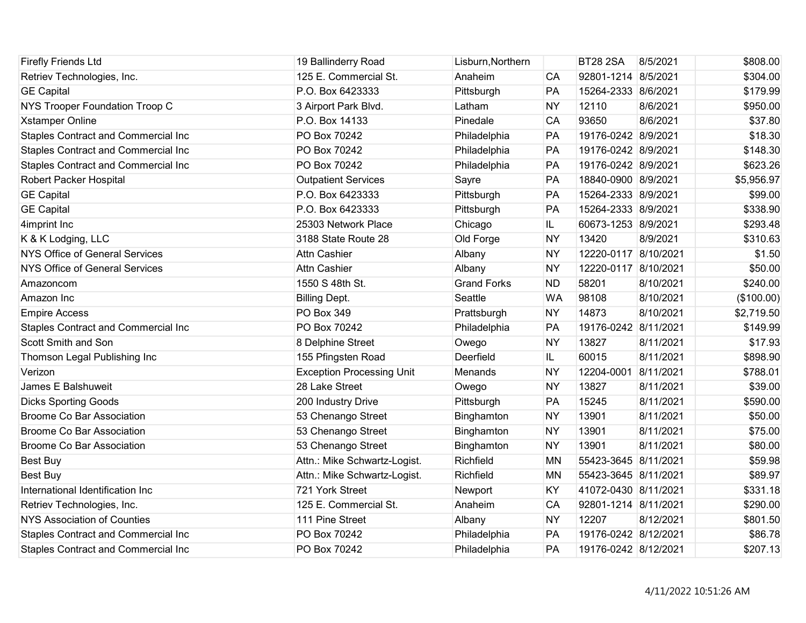| <b>Firefly Friends Ltd</b>                 | 19 Ballinderry Road              | Lisburn, Northern  |           | <b>BT28 2SA</b>      | 8/5/2021  | \$808.00   |
|--------------------------------------------|----------------------------------|--------------------|-----------|----------------------|-----------|------------|
| Retriev Technologies, Inc.                 | 125 E. Commercial St.            | Anaheim            | CA        | 92801-1214 8/5/2021  |           | \$304.00   |
| <b>GE Capital</b>                          | P.O. Box 6423333                 | Pittsburgh         | PA        | 15264-2333 8/6/2021  |           | \$179.99   |
| NYS Trooper Foundation Troop C             | 3 Airport Park Blvd.             | Latham             | <b>NY</b> | 12110                | 8/6/2021  | \$950.00   |
| <b>Xstamper Online</b>                     | P.O. Box 14133                   | Pinedale           | CA        | 93650                | 8/6/2021  | \$37.80    |
| Staples Contract and Commercial Inc        | PO Box 70242                     | Philadelphia       | PA        | 19176-0242 8/9/2021  |           | \$18.30    |
| Staples Contract and Commercial Inc        | PO Box 70242                     | Philadelphia       | PA        | 19176-0242 8/9/2021  |           | \$148.30   |
| Staples Contract and Commercial Inc        | PO Box 70242                     | Philadelphia       | PA        | 19176-0242 8/9/2021  |           | \$623.26   |
| Robert Packer Hospital                     | <b>Outpatient Services</b>       | Sayre              | PA        | 18840-0900 8/9/2021  |           | \$5,956.97 |
| <b>GE Capital</b>                          | P.O. Box 6423333                 | Pittsburgh         | PA        | 15264-2333 8/9/2021  |           | \$99.00    |
| <b>GE Capital</b>                          | P.O. Box 6423333                 | Pittsburgh         | PA        | 15264-2333 8/9/2021  |           | \$338.90   |
| 4imprint Inc                               | 25303 Network Place              | Chicago            | IL.       | 60673-1253 8/9/2021  |           | \$293.48   |
| K & K Lodging, LLC                         | 3188 State Route 28              | Old Forge          | <b>NY</b> | 13420                | 8/9/2021  | \$310.63   |
| <b>NYS Office of General Services</b>      | <b>Attn Cashier</b>              | Albany             | <b>NY</b> | 12220-0117 8/10/2021 |           | \$1.50     |
| <b>NYS Office of General Services</b>      | <b>Attn Cashier</b>              | Albany             | <b>NY</b> | 12220-0117 8/10/2021 |           | \$50.00    |
| Amazoncom                                  | 1550 S 48th St.                  | <b>Grand Forks</b> | <b>ND</b> | 58201                | 8/10/2021 | \$240.00   |
| Amazon Inc                                 | <b>Billing Dept.</b>             | Seattle            | <b>WA</b> | 98108                | 8/10/2021 | (\$100.00) |
| <b>Empire Access</b>                       | <b>PO Box 349</b>                | Prattsburgh        | <b>NY</b> | 14873                | 8/10/2021 | \$2,719.50 |
| <b>Staples Contract and Commercial Inc</b> | PO Box 70242                     | Philadelphia       | PA        | 19176-0242 8/11/2021 |           | \$149.99   |
| Scott Smith and Son                        | 8 Delphine Street                | Owego              | <b>NY</b> | 13827                | 8/11/2021 | \$17.93    |
| Thomson Legal Publishing Inc               | 155 Pfingsten Road               | Deerfield          | IL.       | 60015                | 8/11/2021 | \$898.90   |
| Verizon                                    | <b>Exception Processing Unit</b> | Menands            | <b>NY</b> | 12204-0001           | 8/11/2021 | \$788.01   |
| James E Balshuweit                         | 28 Lake Street                   | Owego              | <b>NY</b> | 13827                | 8/11/2021 | \$39.00    |
| <b>Dicks Sporting Goods</b>                | 200 Industry Drive               | Pittsburgh         | PA        | 15245                | 8/11/2021 | \$590.00   |
| <b>Broome Co Bar Association</b>           | 53 Chenango Street               | Binghamton         | <b>NY</b> | 13901                | 8/11/2021 | \$50.00    |
| <b>Broome Co Bar Association</b>           | 53 Chenango Street               | Binghamton         | <b>NY</b> | 13901                | 8/11/2021 | \$75.00    |
| <b>Broome Co Bar Association</b>           | 53 Chenango Street               | Binghamton         | <b>NY</b> | 13901                | 8/11/2021 | \$80.00    |
| <b>Best Buy</b>                            | Attn.: Mike Schwartz-Logist.     | Richfield          | <b>MN</b> | 55423-3645 8/11/2021 |           | \$59.98    |
| Best Buy                                   | Attn.: Mike Schwartz-Logist.     | Richfield          | <b>MN</b> | 55423-3645 8/11/2021 |           | \$89.97    |
| International Identification Inc           | 721 York Street                  | Newport            | KY        | 41072-0430 8/11/2021 |           | \$331.18   |
| Retriev Technologies, Inc.                 | 125 E. Commercial St.            | Anaheim            | CA        | 92801-1214 8/11/2021 |           | \$290.00   |
| <b>NYS Association of Counties</b>         | 111 Pine Street                  | Albany             | <b>NY</b> | 12207                | 8/12/2021 | \$801.50   |
| <b>Staples Contract and Commercial Inc</b> | PO Box 70242                     | Philadelphia       | PA        | 19176-0242 8/12/2021 |           | \$86.78    |
| Staples Contract and Commercial Inc        | PO Box 70242                     | Philadelphia       | PA        | 19176-0242 8/12/2021 |           | \$207.13   |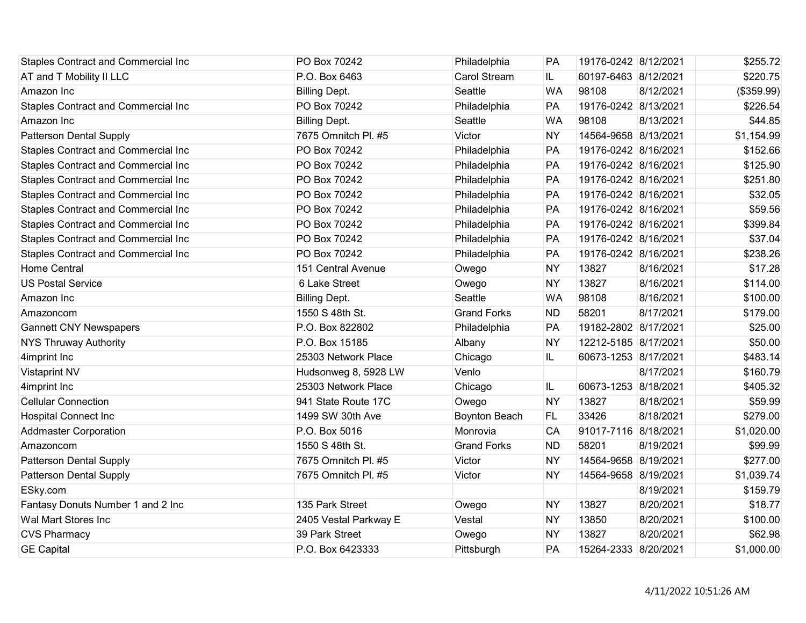| <b>Staples Contract and Commercial Inc</b> | PO Box 70242          | Philadelphia         | PA        | 19176-0242 8/12/2021 |           | \$255.72   |
|--------------------------------------------|-----------------------|----------------------|-----------|----------------------|-----------|------------|
| AT and T Mobility II LLC                   | P.O. Box 6463         | <b>Carol Stream</b>  | IL.       | 60197-6463 8/12/2021 |           | \$220.75   |
| Amazon Inc                                 | <b>Billing Dept.</b>  | Seattle              | <b>WA</b> | 98108                | 8/12/2021 | (\$359.99) |
| <b>Staples Contract and Commercial Inc</b> | PO Box 70242          | Philadelphia         | PA        | 19176-0242 8/13/2021 |           | \$226.54   |
| Amazon Inc                                 | <b>Billing Dept.</b>  | Seattle              | <b>WA</b> | 98108                | 8/13/2021 | \$44.85    |
| <b>Patterson Dental Supply</b>             | 7675 Omnitch Pl. #5   | Victor               | <b>NY</b> | 14564-9658 8/13/2021 |           | \$1,154.99 |
| <b>Staples Contract and Commercial Inc</b> | PO Box 70242          | Philadelphia         | PA        | 19176-0242 8/16/2021 |           | \$152.66   |
| <b>Staples Contract and Commercial Inc</b> | PO Box 70242          | Philadelphia         | PA        | 19176-0242 8/16/2021 |           | \$125.90   |
| <b>Staples Contract and Commercial Inc</b> | PO Box 70242          | Philadelphia         | PA        | 19176-0242 8/16/2021 |           | \$251.80   |
| <b>Staples Contract and Commercial Inc</b> | PO Box 70242          | Philadelphia         | PA        | 19176-0242 8/16/2021 |           | \$32.05    |
| <b>Staples Contract and Commercial Inc</b> | PO Box 70242          | Philadelphia         | PA        | 19176-0242 8/16/2021 |           | \$59.56    |
| <b>Staples Contract and Commercial Inc</b> | PO Box 70242          | Philadelphia         | PA        | 19176-0242 8/16/2021 |           | \$399.84   |
| <b>Staples Contract and Commercial Inc</b> | PO Box 70242          | Philadelphia         | PA        | 19176-0242 8/16/2021 |           | \$37.04    |
| <b>Staples Contract and Commercial Inc</b> | PO Box 70242          | Philadelphia         | PA        | 19176-0242 8/16/2021 |           | \$238.26   |
| <b>Home Central</b>                        | 151 Central Avenue    | Owego                | <b>NY</b> | 13827                | 8/16/2021 | \$17.28    |
| <b>US Postal Service</b>                   | 6 Lake Street         | Owego                | <b>NY</b> | 13827                | 8/16/2021 | \$114.00   |
| Amazon Inc                                 | <b>Billing Dept.</b>  | Seattle              | <b>WA</b> | 98108                | 8/16/2021 | \$100.00   |
| Amazoncom                                  | 1550 S 48th St.       | <b>Grand Forks</b>   | <b>ND</b> | 58201                | 8/17/2021 | \$179.00   |
| <b>Gannett CNY Newspapers</b>              | P.O. Box 822802       | Philadelphia         | PA        | 19182-2802 8/17/2021 |           | \$25.00    |
| <b>NYS Thruway Authority</b>               | P.O. Box 15185        | Albany               | <b>NY</b> | 12212-5185 8/17/2021 |           | \$50.00    |
| 4imprint Inc                               | 25303 Network Place   | Chicago              | IL.       | 60673-1253 8/17/2021 |           | \$483.14   |
| <b>Vistaprint NV</b>                       | Hudsonweg 8, 5928 LW  | Venlo                |           |                      | 8/17/2021 | \$160.79   |
| 4imprint Inc                               | 25303 Network Place   | Chicago              | IL.       | 60673-1253 8/18/2021 |           | \$405.32   |
| <b>Cellular Connection</b>                 | 941 State Route 17C   | Owego                | <b>NY</b> | 13827                | 8/18/2021 | \$59.99    |
| <b>Hospital Connect Inc</b>                | 1499 SW 30th Ave      | <b>Boynton Beach</b> | FL.       | 33426                | 8/18/2021 | \$279.00   |
| <b>Addmaster Corporation</b>               | P.O. Box 5016         | Monrovia             | CA        | 91017-7116 8/18/2021 |           | \$1,020.00 |
| Amazoncom                                  | 1550 S 48th St.       | <b>Grand Forks</b>   | <b>ND</b> | 58201                | 8/19/2021 | \$99.99    |
| <b>Patterson Dental Supply</b>             | 7675 Omnitch Pl. #5   | Victor               | <b>NY</b> | 14564-9658 8/19/2021 |           | \$277.00   |
| <b>Patterson Dental Supply</b>             | 7675 Omnitch Pl. #5   | Victor               | <b>NY</b> | 14564-9658 8/19/2021 |           | \$1,039.74 |
| ESky.com                                   |                       |                      |           |                      | 8/19/2021 | \$159.79   |
| Fantasy Donuts Number 1 and 2 Inc          | 135 Park Street       | Owego                | <b>NY</b> | 13827                | 8/20/2021 | \$18.77    |
| Wal Mart Stores Inc                        | 2405 Vestal Parkway E | Vestal               | <b>NY</b> | 13850                | 8/20/2021 | \$100.00   |
| <b>CVS Pharmacy</b>                        | 39 Park Street        | Owego                | <b>NY</b> | 13827                | 8/20/2021 | \$62.98    |
| <b>GE Capital</b>                          | P.O. Box 6423333      | Pittsburgh           | PA        | 15264-2333 8/20/2021 |           | \$1,000.00 |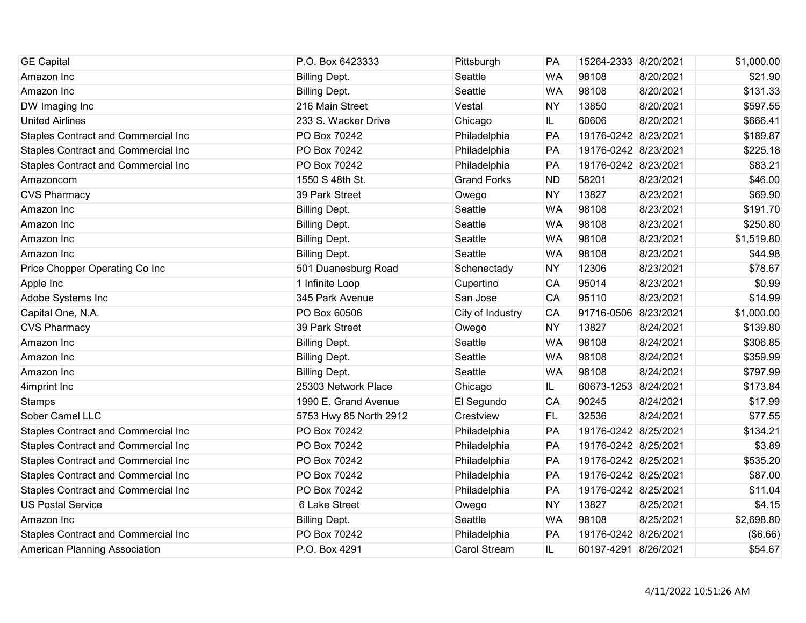| <b>GE Capital</b>                   | P.O. Box 6423333       | Pittsburgh         | PA        | 15264-2333 8/20/2021 |           | \$1,000.00 |
|-------------------------------------|------------------------|--------------------|-----------|----------------------|-----------|------------|
| Amazon Inc                          | <b>Billing Dept.</b>   | Seattle            | <b>WA</b> | 98108                | 8/20/2021 | \$21.90    |
| Amazon Inc                          | <b>Billing Dept.</b>   | Seattle            | <b>WA</b> | 98108                | 8/20/2021 | \$131.33   |
| DW Imaging Inc                      | 216 Main Street        | Vestal             | <b>NY</b> | 13850                | 8/20/2021 | \$597.55   |
| <b>United Airlines</b>              | 233 S. Wacker Drive    | Chicago            | IL        | 60606                | 8/20/2021 | \$666.41   |
| Staples Contract and Commercial Inc | PO Box 70242           | Philadelphia       | PA        | 19176-0242 8/23/2021 |           | \$189.87   |
| Staples Contract and Commercial Inc | PO Box 70242           | Philadelphia       | PA        | 19176-0242 8/23/2021 |           | \$225.18   |
| Staples Contract and Commercial Inc | PO Box 70242           | Philadelphia       | PA        | 19176-0242 8/23/2021 |           | \$83.21    |
| Amazoncom                           | 1550 S 48th St.        | <b>Grand Forks</b> | <b>ND</b> | 58201                | 8/23/2021 | \$46.00    |
| <b>CVS Pharmacy</b>                 | 39 Park Street         | Owego              | <b>NY</b> | 13827                | 8/23/2021 | \$69.90    |
| Amazon Inc                          | <b>Billing Dept.</b>   | Seattle            | <b>WA</b> | 98108                | 8/23/2021 | \$191.70   |
| Amazon Inc                          | <b>Billing Dept.</b>   | Seattle            | <b>WA</b> | 98108                | 8/23/2021 | \$250.80   |
| Amazon Inc                          | <b>Billing Dept.</b>   | Seattle            | <b>WA</b> | 98108                | 8/23/2021 | \$1,519.80 |
| Amazon Inc                          | <b>Billing Dept.</b>   | Seattle            | <b>WA</b> | 98108                | 8/23/2021 | \$44.98    |
| Price Chopper Operating Co Inc      | 501 Duanesburg Road    | Schenectady        | <b>NY</b> | 12306                | 8/23/2021 | \$78.67    |
| Apple Inc                           | 1 Infinite Loop        | Cupertino          | CA        | 95014                | 8/23/2021 | \$0.99     |
| Adobe Systems Inc                   | 345 Park Avenue        | San Jose           | CA        | 95110                | 8/23/2021 | \$14.99    |
| Capital One, N.A.                   | PO Box 60506           | City of Industry   | <b>CA</b> | 91716-0506           | 8/23/2021 | \$1,000.00 |
| <b>CVS Pharmacy</b>                 | 39 Park Street         | Owego              | <b>NY</b> | 13827                | 8/24/2021 | \$139.80   |
| Amazon Inc                          | <b>Billing Dept.</b>   | Seattle            | <b>WA</b> | 98108                | 8/24/2021 | \$306.85   |
| Amazon Inc                          | <b>Billing Dept.</b>   | Seattle            | <b>WA</b> | 98108                | 8/24/2021 | \$359.99   |
| Amazon Inc                          | <b>Billing Dept.</b>   | Seattle            | <b>WA</b> | 98108                | 8/24/2021 | \$797.99   |
| 4imprint Inc                        | 25303 Network Place    | Chicago            | IL.       | 60673-1253 8/24/2021 |           | \$173.84   |
| <b>Stamps</b>                       | 1990 E. Grand Avenue   | El Segundo         | CA        | 90245                | 8/24/2021 | \$17.99    |
| Sober Camel LLC                     | 5753 Hwy 85 North 2912 | Crestview          | <b>FL</b> | 32536                | 8/24/2021 | \$77.55    |
| Staples Contract and Commercial Inc | PO Box 70242           | Philadelphia       | PA        | 19176-0242 8/25/2021 |           | \$134.21   |
| Staples Contract and Commercial Inc | PO Box 70242           | Philadelphia       | PA        | 19176-0242 8/25/2021 |           | \$3.89     |
| Staples Contract and Commercial Inc | PO Box 70242           | Philadelphia       | PA        | 19176-0242 8/25/2021 |           | \$535.20   |
| Staples Contract and Commercial Inc | PO Box 70242           | Philadelphia       | PA        | 19176-0242 8/25/2021 |           | \$87.00    |
| Staples Contract and Commercial Inc | PO Box 70242           | Philadelphia       | PA        | 19176-0242 8/25/2021 |           | \$11.04    |
| <b>US Postal Service</b>            | 6 Lake Street          | Owego              | <b>NY</b> | 13827                | 8/25/2021 | \$4.15     |
| Amazon Inc                          | <b>Billing Dept.</b>   | Seattle            | <b>WA</b> | 98108                | 8/25/2021 | \$2,698.80 |
| Staples Contract and Commercial Inc | PO Box 70242           | Philadelphia       | PA        | 19176-0242 8/26/2021 |           | (\$6.66)   |
| American Planning Association       | P.O. Box 4291          | Carol Stream       | IL.       | 60197-4291 8/26/2021 |           | \$54.67    |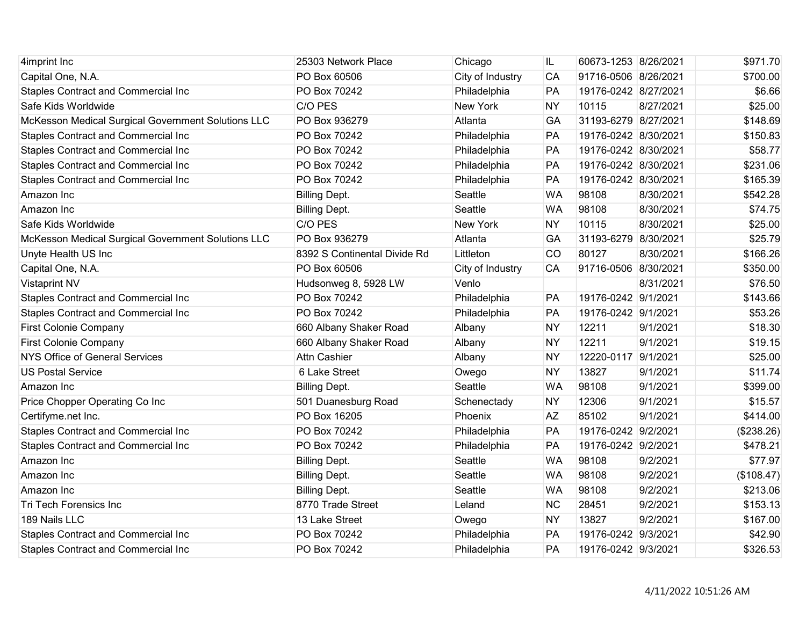| 4imprint Inc                                       | 25303 Network Place          | Chicago          | IL        | 60673-1253 8/26/2021 |           | \$971.70   |
|----------------------------------------------------|------------------------------|------------------|-----------|----------------------|-----------|------------|
| Capital One, N.A.                                  | PO Box 60506                 | City of Industry | CA        | 91716-0506 8/26/2021 |           | \$700.00   |
| <b>Staples Contract and Commercial Inc</b>         | PO Box 70242                 | Philadelphia     | PA        | 19176-0242 8/27/2021 |           | \$6.66     |
| Safe Kids Worldwide                                | C/O PES                      | <b>New York</b>  | <b>NY</b> | 10115                | 8/27/2021 | \$25.00    |
| McKesson Medical Surgical Government Solutions LLC | PO Box 936279                | Atlanta          | GA        | 31193-6279 8/27/2021 |           | \$148.69   |
| <b>Staples Contract and Commercial Inc</b>         | PO Box 70242                 | Philadelphia     | PA        | 19176-0242 8/30/2021 |           | \$150.83   |
| <b>Staples Contract and Commercial Inc</b>         | PO Box 70242                 | Philadelphia     | PA        | 19176-0242 8/30/2021 |           | \$58.77    |
| <b>Staples Contract and Commercial Inc</b>         | PO Box 70242                 | Philadelphia     | PA        | 19176-0242 8/30/2021 |           | \$231.06   |
| <b>Staples Contract and Commercial Inc</b>         | PO Box 70242                 | Philadelphia     | PA        | 19176-0242 8/30/2021 |           | \$165.39   |
| Amazon Inc                                         | <b>Billing Dept.</b>         | Seattle          | <b>WA</b> | 98108                | 8/30/2021 | \$542.28   |
| Amazon Inc                                         | <b>Billing Dept.</b>         | Seattle          | <b>WA</b> | 98108                | 8/30/2021 | \$74.75    |
| Safe Kids Worldwide                                | C/O PES                      | <b>New York</b>  | <b>NY</b> | 10115                | 8/30/2021 | \$25.00    |
| McKesson Medical Surgical Government Solutions LLC | PO Box 936279                | Atlanta          | GA        | 31193-6279 8/30/2021 |           | \$25.79    |
| Unyte Health US Inc                                | 8392 S Continental Divide Rd | Littleton        | CO        | 80127                | 8/30/2021 | \$166.26   |
| Capital One, N.A.                                  | PO Box 60506                 | City of Industry | CA        | 91716-0506 8/30/2021 |           | \$350.00   |
| <b>Vistaprint NV</b>                               | Hudsonweg 8, 5928 LW         | Venlo            |           |                      | 8/31/2021 | \$76.50    |
| <b>Staples Contract and Commercial Inc</b>         | PO Box 70242                 | Philadelphia     | PA        | 19176-0242 9/1/2021  |           | \$143.66   |
| <b>Staples Contract and Commercial Inc</b>         | PO Box 70242                 | Philadelphia     | PA        | 19176-0242 9/1/2021  |           | \$53.26    |
| <b>First Colonie Company</b>                       | 660 Albany Shaker Road       | Albany           | <b>NY</b> | 12211                | 9/1/2021  | \$18.30    |
| <b>First Colonie Company</b>                       | 660 Albany Shaker Road       | Albany           | <b>NY</b> | 12211                | 9/1/2021  | \$19.15    |
| <b>NYS Office of General Services</b>              | Attn Cashier                 | Albany           | <b>NY</b> | 12220-0117           | 9/1/2021  | \$25.00    |
| <b>US Postal Service</b>                           | 6 Lake Street                | Owego            | <b>NY</b> | 13827                | 9/1/2021  | \$11.74    |
| Amazon Inc                                         | <b>Billing Dept.</b>         | Seattle          | <b>WA</b> | 98108                | 9/1/2021  | \$399.00   |
| Price Chopper Operating Co Inc                     | 501 Duanesburg Road          | Schenectady      | <b>NY</b> | 12306                | 9/1/2021  | \$15.57    |
| Certifyme.net Inc.                                 | PO Box 16205                 | Phoenix          | <b>AZ</b> | 85102                | 9/1/2021  | \$414.00   |
| <b>Staples Contract and Commercial Inc</b>         | PO Box 70242                 | Philadelphia     | PA        | 19176-0242 9/2/2021  |           | (\$238.26) |
| <b>Staples Contract and Commercial Inc</b>         | PO Box 70242                 | Philadelphia     | PA        | 19176-0242 9/2/2021  |           | \$478.21   |
| Amazon Inc                                         | <b>Billing Dept.</b>         | Seattle          | <b>WA</b> | 98108                | 9/2/2021  | \$77.97    |
| Amazon Inc                                         | <b>Billing Dept.</b>         | Seattle          | <b>WA</b> | 98108                | 9/2/2021  | (\$108.47) |
| Amazon Inc                                         | <b>Billing Dept.</b>         | Seattle          | <b>WA</b> | 98108                | 9/2/2021  | \$213.06   |
| Tri Tech Forensics Inc                             | 8770 Trade Street            | Leland           | <b>NC</b> | 28451                | 9/2/2021  | \$153.13   |
| 189 Nails LLC                                      | 13 Lake Street               | Owego            | <b>NY</b> | 13827                | 9/2/2021  | \$167.00   |
| <b>Staples Contract and Commercial Inc</b>         | PO Box 70242                 | Philadelphia     | PA        | 19176-0242 9/3/2021  |           | \$42.90    |
| <b>Staples Contract and Commercial Inc</b>         | PO Box 70242                 | Philadelphia     | PA        | 19176-0242 9/3/2021  |           | \$326.53   |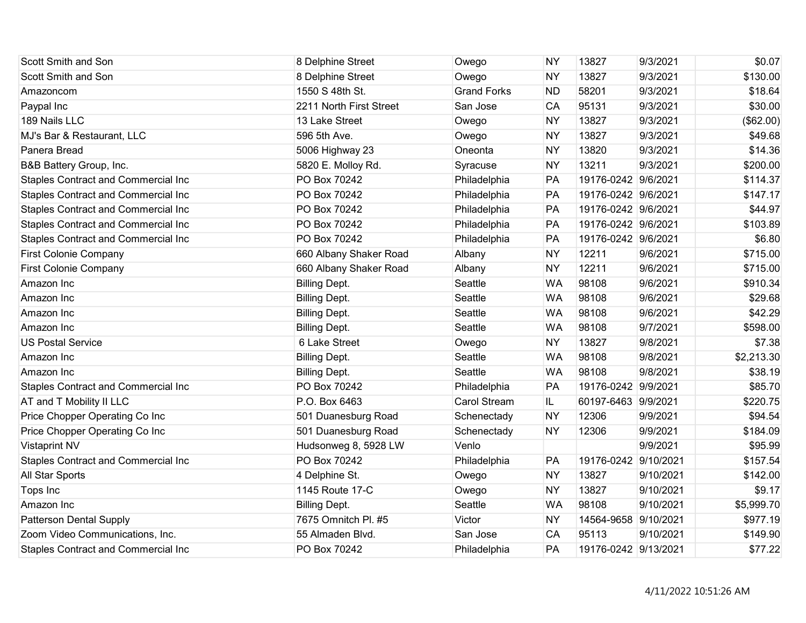| Scott Smith and Son                        | 8 Delphine Street       | Owego               | <b>NY</b> | 13827                | 9/3/2021  | \$0.07     |
|--------------------------------------------|-------------------------|---------------------|-----------|----------------------|-----------|------------|
| Scott Smith and Son                        | 8 Delphine Street       | Owego               | <b>NY</b> | 13827                | 9/3/2021  | \$130.00   |
| Amazoncom                                  | 1550 S 48th St.         | <b>Grand Forks</b>  | <b>ND</b> | 58201                | 9/3/2021  | \$18.64    |
| Paypal Inc                                 | 2211 North First Street | San Jose            | CA        | 95131                | 9/3/2021  | \$30.00    |
| 189 Nails LLC                              | 13 Lake Street          | Owego               | <b>NY</b> | 13827                | 9/3/2021  | (\$62.00)  |
| MJ's Bar & Restaurant, LLC                 | 596 5th Ave.            | Owego               | <b>NY</b> | 13827                | 9/3/2021  | \$49.68    |
| Panera Bread                               | 5006 Highway 23         | Oneonta             | <b>NY</b> | 13820                | 9/3/2021  | \$14.36    |
| B&B Battery Group, Inc.                    | 5820 E. Molloy Rd.      | Syracuse            | <b>NY</b> | 13211                | 9/3/2021  | \$200.00   |
| <b>Staples Contract and Commercial Inc</b> | PO Box 70242            | Philadelphia        | PA        | 19176-0242 9/6/2021  |           | \$114.37   |
| <b>Staples Contract and Commercial Inc</b> | PO Box 70242            | Philadelphia        | PA        | 19176-0242 9/6/2021  |           | \$147.17   |
| <b>Staples Contract and Commercial Inc</b> | PO Box 70242            | Philadelphia        | PA        | 19176-0242 9/6/2021  |           | \$44.97    |
| <b>Staples Contract and Commercial Inc</b> | PO Box 70242            | Philadelphia        | PA        | 19176-0242 9/6/2021  |           | \$103.89   |
| <b>Staples Contract and Commercial Inc</b> | PO Box 70242            | Philadelphia        | PA        | 19176-0242 9/6/2021  |           | \$6.80     |
| <b>First Colonie Company</b>               | 660 Albany Shaker Road  | Albany              | <b>NY</b> | 12211                | 9/6/2021  | \$715.00   |
| <b>First Colonie Company</b>               | 660 Albany Shaker Road  | Albany              | <b>NY</b> | 12211                | 9/6/2021  | \$715.00   |
| Amazon Inc                                 | <b>Billing Dept.</b>    | Seattle             | <b>WA</b> | 98108                | 9/6/2021  | \$910.34   |
| Amazon Inc                                 | <b>Billing Dept.</b>    | Seattle             | <b>WA</b> | 98108                | 9/6/2021  | \$29.68    |
| Amazon Inc                                 | <b>Billing Dept.</b>    | Seattle             | <b>WA</b> | 98108                | 9/6/2021  | \$42.29    |
| Amazon Inc                                 | <b>Billing Dept.</b>    | Seattle             | <b>WA</b> | 98108                | 9/7/2021  | \$598.00   |
| <b>US Postal Service</b>                   | 6 Lake Street           | Owego               | <b>NY</b> | 13827                | 9/8/2021  | \$7.38     |
| Amazon Inc                                 | <b>Billing Dept.</b>    | Seattle             | <b>WA</b> | 98108                | 9/8/2021  | \$2,213.30 |
| Amazon Inc                                 | <b>Billing Dept.</b>    | Seattle             | <b>WA</b> | 98108                | 9/8/2021  | \$38.19    |
| <b>Staples Contract and Commercial Inc</b> | PO Box 70242            | Philadelphia        | PA        | 19176-0242 9/9/2021  |           | \$85.70    |
| AT and T Mobility II LLC                   | P.O. Box 6463           | <b>Carol Stream</b> | IL.       | 60197-6463 9/9/2021  |           | \$220.75   |
| Price Chopper Operating Co Inc             | 501 Duanesburg Road     | Schenectady         | <b>NY</b> | 12306                | 9/9/2021  | \$94.54    |
| Price Chopper Operating Co Inc             | 501 Duanesburg Road     | Schenectady         | <b>NY</b> | 12306                | 9/9/2021  | \$184.09   |
| <b>Vistaprint NV</b>                       | Hudsonweg 8, 5928 LW    | Venlo               |           |                      | 9/9/2021  | \$95.99    |
| <b>Staples Contract and Commercial Inc</b> | PO Box 70242            | Philadelphia        | PA        | 19176-0242 9/10/2021 |           | \$157.54   |
| All Star Sports                            | 4 Delphine St.          | Owego               | <b>NY</b> | 13827                | 9/10/2021 | \$142.00   |
| Tops Inc                                   | 1145 Route 17-C         | Owego               | <b>NY</b> | 13827                | 9/10/2021 | \$9.17     |
| Amazon Inc                                 | <b>Billing Dept.</b>    | Seattle             | <b>WA</b> | 98108                | 9/10/2021 | \$5,999.70 |
| <b>Patterson Dental Supply</b>             | 7675 Omnitch Pl. #5     | Victor              | <b>NY</b> | 14564-9658 9/10/2021 |           | \$977.19   |
| Zoom Video Communications, Inc.            | 55 Almaden Blvd.        | San Jose            | CA        | 95113                | 9/10/2021 | \$149.90   |
| <b>Staples Contract and Commercial Inc</b> | PO Box 70242            | Philadelphia        | PA        | 19176-0242 9/13/2021 |           | \$77.22    |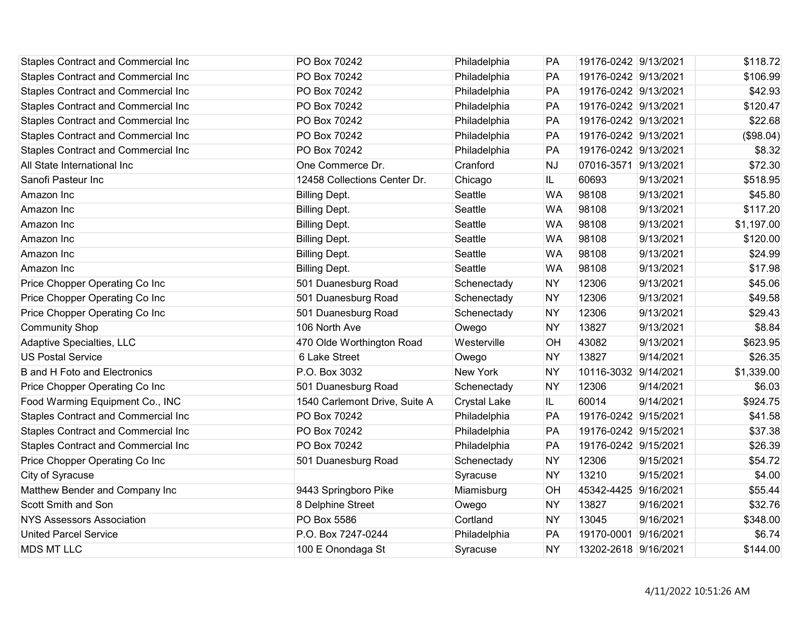| <b>Staples Contract and Commercial Inc</b> | PO Box 70242                  | Philadelphia        | PA        | 19176-0242 9/13/2021 |           | \$118.72   |
|--------------------------------------------|-------------------------------|---------------------|-----------|----------------------|-----------|------------|
| Staples Contract and Commercial Inc        | PO Box 70242                  | Philadelphia        | PA        | 19176-0242 9/13/2021 |           | \$106.99   |
| Staples Contract and Commercial Inc        | PO Box 70242                  | Philadelphia        | PA        | 19176-0242 9/13/2021 |           | \$42.93    |
| Staples Contract and Commercial Inc        | PO Box 70242                  | Philadelphia        | PA        | 19176-0242 9/13/2021 |           | \$120.47   |
| Staples Contract and Commercial Inc        | PO Box 70242                  | Philadelphia        | PA        | 19176-0242 9/13/2021 |           | \$22.68    |
| Staples Contract and Commercial Inc        | PO Box 70242                  | Philadelphia        | PA        | 19176-0242 9/13/2021 |           | (\$98.04)  |
| Staples Contract and Commercial Inc        | PO Box 70242                  | Philadelphia        | PA        | 19176-0242 9/13/2021 |           | \$8.32     |
| All State International Inc                | One Commerce Dr.              | Cranford            | <b>NJ</b> | 07016-3571 9/13/2021 |           | \$72.30    |
| Sanofi Pasteur Inc                         | 12458 Collections Center Dr.  | Chicago             | IL        | 60693                | 9/13/2021 | \$518.95   |
| Amazon Inc                                 | <b>Billing Dept.</b>          | Seattle             | <b>WA</b> | 98108                | 9/13/2021 | \$45.80    |
| Amazon Inc                                 | <b>Billing Dept.</b>          | Seattle             | <b>WA</b> | 98108                | 9/13/2021 | \$117.20   |
| Amazon Inc                                 | <b>Billing Dept.</b>          | Seattle             | <b>WA</b> | 98108                | 9/13/2021 | \$1,197.00 |
| Amazon Inc                                 | <b>Billing Dept.</b>          | Seattle             | <b>WA</b> | 98108                | 9/13/2021 | \$120.00   |
| Amazon Inc                                 | <b>Billing Dept.</b>          | Seattle             | <b>WA</b> | 98108                | 9/13/2021 | \$24.99    |
| Amazon Inc                                 | <b>Billing Dept.</b>          | Seattle             | <b>WA</b> | 98108                | 9/13/2021 | \$17.98    |
| Price Chopper Operating Co Inc             | 501 Duanesburg Road           | Schenectady         | <b>NY</b> | 12306                | 9/13/2021 | \$45.06    |
| Price Chopper Operating Co Inc             | 501 Duanesburg Road           | Schenectady         | <b>NY</b> | 12306                | 9/13/2021 | \$49.58    |
| Price Chopper Operating Co Inc             | 501 Duanesburg Road           | Schenectady         | <b>NY</b> | 12306                | 9/13/2021 | \$29.43    |
| <b>Community Shop</b>                      | 106 North Ave                 | Owego               | <b>NY</b> | 13827                | 9/13/2021 | \$8.84     |
| Adaptive Specialties, LLC                  | 470 Olde Worthington Road     | Westerville         | OH        | 43082                | 9/13/2021 | \$623.95   |
| <b>US Postal Service</b>                   | 6 Lake Street                 | Owego               | <b>NY</b> | 13827                | 9/14/2021 | \$26.35    |
| <b>B</b> and H Foto and Electronics        | P.O. Box 3032                 | New York            | <b>NY</b> | 10116-3032           | 9/14/2021 | \$1,339.00 |
| Price Chopper Operating Co Inc             | 501 Duanesburg Road           | Schenectady         | <b>NY</b> | 12306                | 9/14/2021 | \$6.03     |
| Food Warming Equipment Co., INC            | 1540 Carlemont Drive, Suite A | <b>Crystal Lake</b> | IL        | 60014                | 9/14/2021 | \$924.75   |
| Staples Contract and Commercial Inc        | PO Box 70242                  | Philadelphia        | PA        | 19176-0242 9/15/2021 |           | \$41.58    |
| Staples Contract and Commercial Inc        | PO Box 70242                  | Philadelphia        | PA        | 19176-0242 9/15/2021 |           | \$37.38    |
| Staples Contract and Commercial Inc        | PO Box 70242                  | Philadelphia        | PA        | 19176-0242 9/15/2021 |           | \$26.39    |
| Price Chopper Operating Co Inc             | 501 Duanesburg Road           | Schenectady         | <b>NY</b> | 12306                | 9/15/2021 | \$54.72    |
| City of Syracuse                           |                               | Syracuse            | <b>NY</b> | 13210                | 9/15/2021 | \$4.00     |
| Matthew Bender and Company Inc             | 9443 Springboro Pike          | Miamisburg          | OH        | 45342-4425 9/16/2021 |           | \$55.44    |
| Scott Smith and Son                        | 8 Delphine Street             | Owego               | <b>NY</b> | 13827                | 9/16/2021 | \$32.76    |
| <b>NYS Assessors Association</b>           | PO Box 5586                   | Cortland            | <b>NY</b> | 13045                | 9/16/2021 | \$348.00   |
| <b>United Parcel Service</b>               | P.O. Box 7247-0244            | Philadelphia        | PA        | 19170-0001           | 9/16/2021 | \$6.74     |
| <b>MDS MT LLC</b>                          | 100 E Onondaga St             | Syracuse            | <b>NY</b> | 13202-2618 9/16/2021 |           | \$144.00   |
|                                            |                               |                     |           |                      |           |            |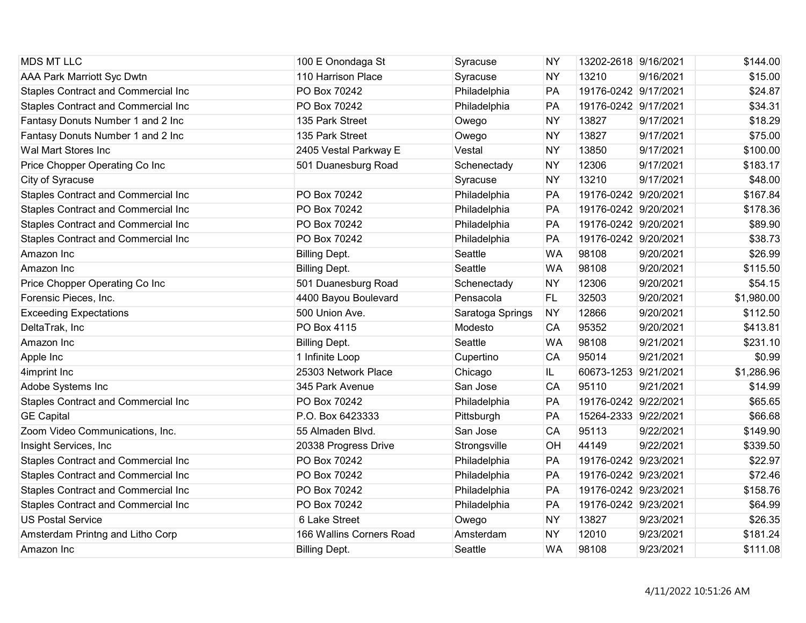| <b>MDS MT LLC</b>                          | 100 E Onondaga St        | Syracuse         | <b>NY</b> | 13202-2618 9/16/2021 |           | \$144.00   |
|--------------------------------------------|--------------------------|------------------|-----------|----------------------|-----------|------------|
| <b>AAA Park Marriott Syc Dwtn</b>          | 110 Harrison Place       | Syracuse         | <b>NY</b> | 13210                | 9/16/2021 | \$15.00    |
| <b>Staples Contract and Commercial Inc</b> | PO Box 70242             | Philadelphia     | PA        | 19176-0242 9/17/2021 |           | \$24.87    |
| Staples Contract and Commercial Inc        | PO Box 70242             | Philadelphia     | PA        | 19176-0242 9/17/2021 |           | \$34.31    |
| Fantasy Donuts Number 1 and 2 Inc          | 135 Park Street          | Owego            | <b>NY</b> | 13827                | 9/17/2021 | \$18.29    |
| Fantasy Donuts Number 1 and 2 Inc          | 135 Park Street          | Owego            | <b>NY</b> | 13827                | 9/17/2021 | \$75.00    |
| Wal Mart Stores Inc                        | 2405 Vestal Parkway E    | Vestal           | <b>NY</b> | 13850                | 9/17/2021 | \$100.00   |
| Price Chopper Operating Co Inc             | 501 Duanesburg Road      | Schenectady      | <b>NY</b> | 12306                | 9/17/2021 | \$183.17   |
| City of Syracuse                           |                          | Syracuse         | <b>NY</b> | 13210                | 9/17/2021 | \$48.00    |
| Staples Contract and Commercial Inc        | PO Box 70242             | Philadelphia     | PA        | 19176-0242 9/20/2021 |           | \$167.84   |
| Staples Contract and Commercial Inc        | PO Box 70242             | Philadelphia     | PA        | 19176-0242 9/20/2021 |           | \$178.36   |
| Staples Contract and Commercial Inc        | PO Box 70242             | Philadelphia     | PA        | 19176-0242 9/20/2021 |           | \$89.90    |
| <b>Staples Contract and Commercial Inc</b> | PO Box 70242             | Philadelphia     | PA        | 19176-0242 9/20/2021 |           | \$38.73    |
| Amazon Inc                                 | <b>Billing Dept.</b>     | Seattle          | <b>WA</b> | 98108                | 9/20/2021 | \$26.99    |
| Amazon Inc                                 | <b>Billing Dept.</b>     | Seattle          | <b>WA</b> | 98108                | 9/20/2021 | \$115.50   |
| Price Chopper Operating Co Inc             | 501 Duanesburg Road      | Schenectady      | <b>NY</b> | 12306                | 9/20/2021 | \$54.15    |
| Forensic Pieces, Inc.                      | 4400 Bayou Boulevard     | Pensacola        | <b>FL</b> | 32503                | 9/20/2021 | \$1,980.00 |
| <b>Exceeding Expectations</b>              | 500 Union Ave.           | Saratoga Springs | <b>NY</b> | 12866                | 9/20/2021 | \$112.50   |
| DeltaTrak, Inc                             | PO Box 4115              | Modesto          | <b>CA</b> | 95352                | 9/20/2021 | \$413.81   |
| Amazon Inc                                 | <b>Billing Dept.</b>     | Seattle          | <b>WA</b> | 98108                | 9/21/2021 | \$231.10   |
| Apple Inc                                  | 1 Infinite Loop          | Cupertino        | CA        | 95014                | 9/21/2021 | \$0.99     |
| 4imprint Inc                               | 25303 Network Place      | Chicago          | IL.       | 60673-1253 9/21/2021 |           | \$1,286.96 |
| Adobe Systems Inc                          | 345 Park Avenue          | San Jose         | CA        | 95110                | 9/21/2021 | \$14.99    |
| <b>Staples Contract and Commercial Inc</b> | PO Box 70242             | Philadelphia     | PA        | 19176-0242 9/22/2021 |           | \$65.65    |
| <b>GE Capital</b>                          | P.O. Box 6423333         | Pittsburgh       | PA        | 15264-2333 9/22/2021 |           | \$66.68    |
| Zoom Video Communications, Inc.            | 55 Almaden Blvd.         | San Jose         | CA        | 95113                | 9/22/2021 | \$149.90   |
| Insight Services, Inc                      | 20338 Progress Drive     | Strongsville     | OH        | 44149                | 9/22/2021 | \$339.50   |
| <b>Staples Contract and Commercial Inc</b> | PO Box 70242             | Philadelphia     | PA        | 19176-0242 9/23/2021 |           | \$22.97    |
| Staples Contract and Commercial Inc        | PO Box 70242             | Philadelphia     | PA        | 19176-0242 9/23/2021 |           | \$72.46    |
| <b>Staples Contract and Commercial Inc</b> | PO Box 70242             | Philadelphia     | PA        | 19176-0242 9/23/2021 |           | \$158.76   |
| <b>Staples Contract and Commercial Inc</b> | PO Box 70242             | Philadelphia     | PA        | 19176-0242 9/23/2021 |           | \$64.99    |
| <b>US Postal Service</b>                   | 6 Lake Street            | Owego            | <b>NY</b> | 13827                | 9/23/2021 | \$26.35    |
| Amsterdam Printng and Litho Corp           | 166 Wallins Corners Road | Amsterdam        | <b>NY</b> | 12010                | 9/23/2021 | \$181.24   |
| Amazon Inc                                 | <b>Billing Dept.</b>     | Seattle          | <b>WA</b> | 98108                | 9/23/2021 | \$111.08   |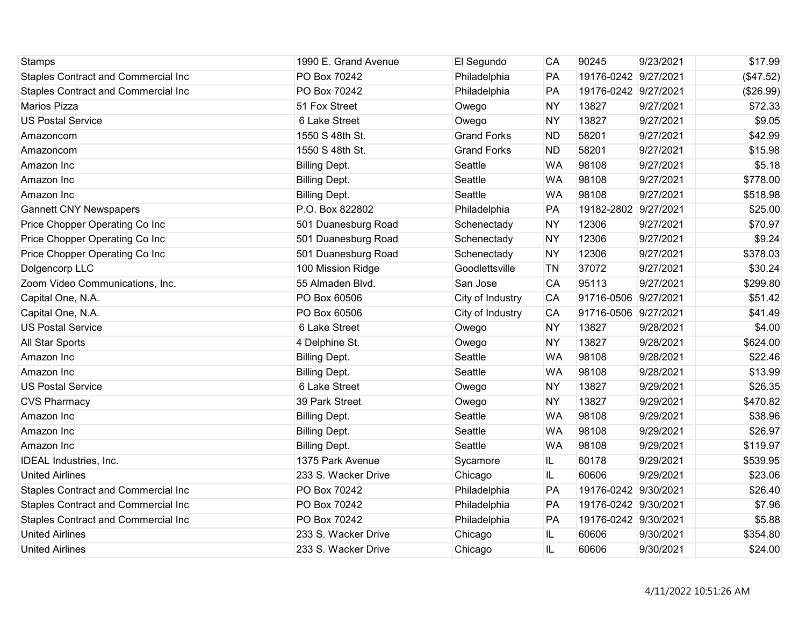| <b>Stamps</b>                              | 1990 E. Grand Avenue | El Segundo         | CA        | 90245                | 9/23/2021 | \$17.99   |
|--------------------------------------------|----------------------|--------------------|-----------|----------------------|-----------|-----------|
| <b>Staples Contract and Commercial Inc</b> | PO Box 70242         | Philadelphia       | PA        | 19176-0242 9/27/2021 |           | (\$47.52) |
| <b>Staples Contract and Commercial Inc</b> | PO Box 70242         | Philadelphia       | PA        | 19176-0242 9/27/2021 |           | (\$26.99) |
| <b>Marios Pizza</b>                        | 51 Fox Street        | Owego              | <b>NY</b> | 13827                | 9/27/2021 | \$72.33   |
| <b>US Postal Service</b>                   | 6 Lake Street        | Owego              | <b>NY</b> | 13827                | 9/27/2021 | \$9.05    |
| Amazoncom                                  | 1550 S 48th St.      | <b>Grand Forks</b> | <b>ND</b> | 58201                | 9/27/2021 | \$42.99   |
| Amazoncom                                  | 1550 S 48th St.      | <b>Grand Forks</b> | <b>ND</b> | 58201                | 9/27/2021 | \$15.98   |
| Amazon Inc                                 | <b>Billing Dept.</b> | Seattle            | <b>WA</b> | 98108                | 9/27/2021 | \$5.18    |
| Amazon Inc                                 | <b>Billing Dept.</b> | Seattle            | <b>WA</b> | 98108                | 9/27/2021 | \$778.00  |
| Amazon Inc                                 | <b>Billing Dept.</b> | Seattle            | <b>WA</b> | 98108                | 9/27/2021 | \$518.98  |
| <b>Gannett CNY Newspapers</b>              | P.O. Box 822802      | Philadelphia       | PA        | 19182-2802           | 9/27/2021 | \$25.00   |
| Price Chopper Operating Co Inc             | 501 Duanesburg Road  | Schenectady        | <b>NY</b> | 12306                | 9/27/2021 | \$70.97   |
| Price Chopper Operating Co Inc             | 501 Duanesburg Road  | Schenectady        | <b>NY</b> | 12306                | 9/27/2021 | \$9.24    |
| Price Chopper Operating Co Inc             | 501 Duanesburg Road  | Schenectady        | <b>NY</b> | 12306                | 9/27/2021 | \$378.03  |
| Dolgencorp LLC                             | 100 Mission Ridge    | Goodlettsville     | <b>TN</b> | 37072                | 9/27/2021 | \$30.24   |
| Zoom Video Communications, Inc.            | 55 Almaden Blvd.     | San Jose           | CA        | 95113                | 9/27/2021 | \$299.80  |
| Capital One, N.A.                          | PO Box 60506         | City of Industry   | CA        | 91716-0506 9/27/2021 |           | \$51.42   |
| Capital One, N.A.                          | PO Box 60506         | City of Industry   | <b>CA</b> | 91716-0506           | 9/27/2021 | \$41.49   |
| <b>US Postal Service</b>                   | 6 Lake Street        | Owego              | <b>NY</b> | 13827                | 9/28/2021 | \$4.00    |
| All Star Sports                            | 4 Delphine St.       | Owego              | <b>NY</b> | 13827                | 9/28/2021 | \$624.00  |
| Amazon Inc                                 | <b>Billing Dept.</b> | Seattle            | <b>WA</b> | 98108                | 9/28/2021 | \$22.46   |
| Amazon Inc                                 | <b>Billing Dept.</b> | Seattle            | <b>WA</b> | 98108                | 9/28/2021 | \$13.99   |
| <b>US Postal Service</b>                   | 6 Lake Street        | Owego              | <b>NY</b> | 13827                | 9/29/2021 | \$26.35   |
| <b>CVS Pharmacy</b>                        | 39 Park Street       | Owego              | <b>NY</b> | 13827                | 9/29/2021 | \$470.82  |
| Amazon Inc                                 | <b>Billing Dept.</b> | Seattle            | <b>WA</b> | 98108                | 9/29/2021 | \$38.96   |
| Amazon Inc                                 | <b>Billing Dept.</b> | Seattle            | <b>WA</b> | 98108                | 9/29/2021 | \$26.97   |
| Amazon Inc                                 | <b>Billing Dept.</b> | Seattle            | <b>WA</b> | 98108                | 9/29/2021 | \$119.97  |
| <b>IDEAL Industries, Inc.</b>              | 1375 Park Avenue     | Sycamore           | IL        | 60178                | 9/29/2021 | \$539.95  |
| <b>United Airlines</b>                     | 233 S. Wacker Drive  | Chicago            | IL        | 60606                | 9/29/2021 | \$23.06   |
| Staples Contract and Commercial Inc        | PO Box 70242         | Philadelphia       | PA        | 19176-0242 9/30/2021 |           | \$26.40   |
| Staples Contract and Commercial Inc        | PO Box 70242         | Philadelphia       | PA        | 19176-0242 9/30/2021 |           | \$7.96    |
| Staples Contract and Commercial Inc        | PO Box 70242         | Philadelphia       | PA        | 19176-0242 9/30/2021 |           | \$5.88    |
| <b>United Airlines</b>                     | 233 S. Wacker Drive  | Chicago            | IL        | 60606                | 9/30/2021 | \$354.80  |
| <b>United Airlines</b>                     | 233 S. Wacker Drive  | Chicago            | IL        | 60606                | 9/30/2021 | \$24.00   |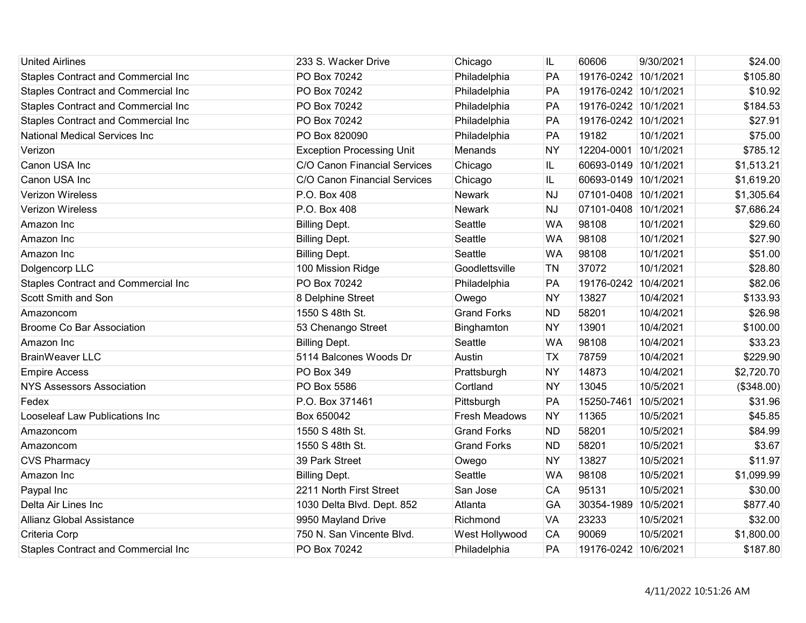| <b>United Airlines</b>                     | 233 S. Wacker Drive              | Chicago              | IL        | 60606                | 9/30/2021 | \$24.00    |
|--------------------------------------------|----------------------------------|----------------------|-----------|----------------------|-----------|------------|
| <b>Staples Contract and Commercial Inc</b> | PO Box 70242                     | Philadelphia         | PA        | 19176-0242 10/1/2021 |           | \$105.80   |
| <b>Staples Contract and Commercial Inc</b> | PO Box 70242                     | Philadelphia         | PA        | 19176-0242 10/1/2021 |           | \$10.92    |
| <b>Staples Contract and Commercial Inc</b> | PO Box 70242                     | Philadelphia         | PA        | 19176-0242 10/1/2021 |           | \$184.53   |
| <b>Staples Contract and Commercial Inc</b> | PO Box 70242                     | Philadelphia         | PA        | 19176-0242 10/1/2021 |           | \$27.91    |
| <b>National Medical Services Inc</b>       | PO Box 820090                    | Philadelphia         | PA        | 19182                | 10/1/2021 | \$75.00    |
| Verizon                                    | <b>Exception Processing Unit</b> | Menands              | <b>NY</b> | 12204-0001 10/1/2021 |           | \$785.12   |
| Canon USA Inc                              | C/O Canon Financial Services     | Chicago              | IL        | 60693-0149 10/1/2021 |           | \$1,513.21 |
| Canon USA Inc                              | C/O Canon Financial Services     | Chicago              | IL        | 60693-0149 10/1/2021 |           | \$1,619.20 |
| <b>Verizon Wireless</b>                    | P.O. Box 408                     | <b>Newark</b>        | <b>NJ</b> | 07101-0408 10/1/2021 |           | \$1,305.64 |
| <b>Verizon Wireless</b>                    | P.O. Box 408                     | Newark               | <b>NJ</b> | 07101-0408 10/1/2021 |           | \$7,686.24 |
| Amazon Inc                                 | <b>Billing Dept.</b>             | Seattle              | <b>WA</b> | 98108                | 10/1/2021 | \$29.60    |
| Amazon Inc                                 | <b>Billing Dept.</b>             | Seattle              | <b>WA</b> | 98108                | 10/1/2021 | \$27.90    |
| Amazon Inc                                 | <b>Billing Dept.</b>             | Seattle              | <b>WA</b> | 98108                | 10/1/2021 | \$51.00    |
| Dolgencorp LLC                             | 100 Mission Ridge                | Goodlettsville       | <b>TN</b> | 37072                | 10/1/2021 | \$28.80    |
| <b>Staples Contract and Commercial Inc</b> | PO Box 70242                     | Philadelphia         | PA        | 19176-0242 10/4/2021 |           | \$82.06    |
| Scott Smith and Son                        | 8 Delphine Street                | Owego                | <b>NY</b> | 13827                | 10/4/2021 | \$133.93   |
| Amazoncom                                  | 1550 S 48th St.                  | <b>Grand Forks</b>   | <b>ND</b> | 58201                | 10/4/2021 | \$26.98    |
| <b>Broome Co Bar Association</b>           | 53 Chenango Street               | Binghamton           | <b>NY</b> | 13901                | 10/4/2021 | \$100.00   |
| Amazon Inc                                 | <b>Billing Dept.</b>             | Seattle              | <b>WA</b> | 98108                | 10/4/2021 | \$33.23    |
| <b>BrainWeaver LLC</b>                     | 5114 Balcones Woods Dr           | Austin               | <b>TX</b> | 78759                | 10/4/2021 | \$229.90   |
| <b>Empire Access</b>                       | PO Box 349                       | Prattsburgh          | <b>NY</b> | 14873                | 10/4/2021 | \$2,720.70 |
| <b>NYS Assessors Association</b>           | PO Box 5586                      | Cortland             | <b>NY</b> | 13045                | 10/5/2021 | (\$348.00) |
| Fedex                                      | P.O. Box 371461                  | Pittsburgh           | PA        | 15250-7461           | 10/5/2021 | \$31.96    |
| Looseleaf Law Publications Inc             | Box 650042                       | <b>Fresh Meadows</b> | <b>NY</b> | 11365                | 10/5/2021 | \$45.85    |
| Amazoncom                                  | 1550 S 48th St.                  | <b>Grand Forks</b>   | <b>ND</b> | 58201                | 10/5/2021 | \$84.99    |
| Amazoncom                                  | 1550 S 48th St.                  | <b>Grand Forks</b>   | <b>ND</b> | 58201                | 10/5/2021 | \$3.67     |
| <b>CVS Pharmacy</b>                        | 39 Park Street                   | Owego                | <b>NY</b> | 13827                | 10/5/2021 | \$11.97    |
| Amazon Inc                                 | <b>Billing Dept.</b>             | Seattle              | <b>WA</b> | 98108                | 10/5/2021 | \$1,099.99 |
| Paypal Inc                                 | 2211 North First Street          | San Jose             | CA        | 95131                | 10/5/2021 | \$30.00    |
| Delta Air Lines Inc                        | 1030 Delta Blvd. Dept. 852       | Atlanta              | GA        | 30354-1989           | 10/5/2021 | \$877.40   |
| <b>Allianz Global Assistance</b>           | 9950 Mayland Drive               | Richmond             | <b>VA</b> | 23233                | 10/5/2021 | \$32.00    |
| Criteria Corp                              | 750 N. San Vincente Blvd.        | West Hollywood       | <b>CA</b> | 90069                | 10/5/2021 | \$1,800.00 |
| <b>Staples Contract and Commercial Inc</b> | PO Box 70242                     | Philadelphia         | PA        | 19176-0242 10/6/2021 |           | \$187.80   |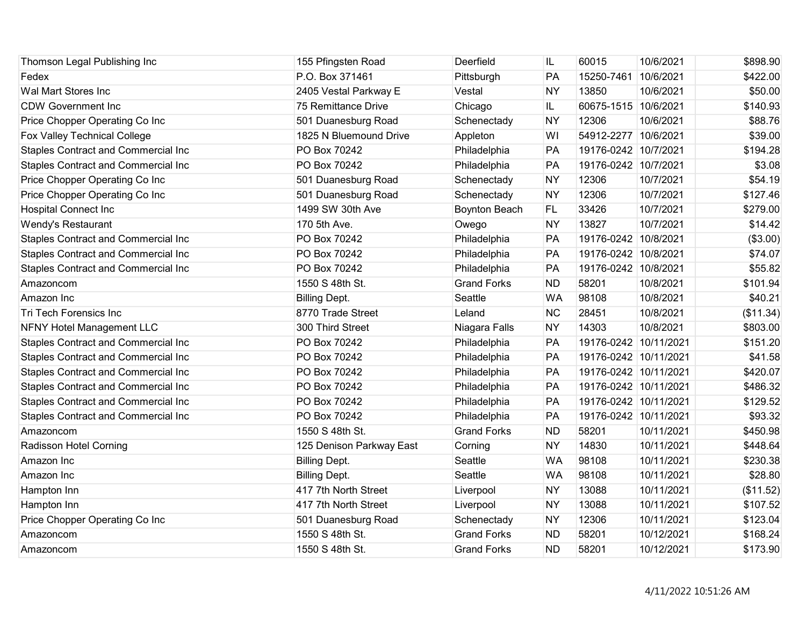| Thomson Legal Publishing Inc               | 155 Pfingsten Road       | Deerfield          | IL        | 60015                 | 10/6/2021  | \$898.90  |
|--------------------------------------------|--------------------------|--------------------|-----------|-----------------------|------------|-----------|
| Fedex                                      | P.O. Box 371461          | Pittsburgh         | PA        | 15250-7461            | 10/6/2021  | \$422.00  |
| Wal Mart Stores Inc                        | 2405 Vestal Parkway E    | Vestal             | <b>NY</b> | 13850                 | 10/6/2021  | \$50.00   |
| <b>CDW Government Inc</b>                  | 75 Remittance Drive      | Chicago            | IL.       | 60675-1515 10/6/2021  |            | \$140.93  |
| Price Chopper Operating Co Inc             | 501 Duanesburg Road      | Schenectady        | <b>NY</b> | 12306                 | 10/6/2021  | \$88.76   |
| Fox Valley Technical College               | 1825 N Bluemound Drive   | Appleton           | WI        | 54912-2277 10/6/2021  |            | \$39.00   |
| Staples Contract and Commercial Inc        | PO Box 70242             | Philadelphia       | PA        | 19176-0242 10/7/2021  |            | \$194.28  |
| <b>Staples Contract and Commercial Inc</b> | PO Box 70242             | Philadelphia       | PA        | 19176-0242 10/7/2021  |            | \$3.08    |
| Price Chopper Operating Co Inc             | 501 Duanesburg Road      | Schenectady        | <b>NY</b> | 12306                 | 10/7/2021  | \$54.19   |
| Price Chopper Operating Co Inc             | 501 Duanesburg Road      | Schenectady        | <b>NY</b> | 12306                 | 10/7/2021  | \$127.46  |
| <b>Hospital Connect Inc</b>                | 1499 SW 30th Ave         | Boynton Beach      | <b>FL</b> | 33426                 | 10/7/2021  | \$279.00  |
| Wendy's Restaurant                         | 170 5th Ave.             | Owego              | <b>NY</b> | 13827                 | 10/7/2021  | \$14.42   |
| <b>Staples Contract and Commercial Inc</b> | PO Box 70242             | Philadelphia       | PA        | 19176-0242 10/8/2021  |            | (\$3.00)  |
| <b>Staples Contract and Commercial Inc</b> | PO Box 70242             | Philadelphia       | PA        | 19176-0242 10/8/2021  |            | \$74.07   |
| <b>Staples Contract and Commercial Inc</b> | PO Box 70242             | Philadelphia       | PA        | 19176-0242 10/8/2021  |            | \$55.82   |
| Amazoncom                                  | 1550 S 48th St.          | <b>Grand Forks</b> | <b>ND</b> | 58201                 | 10/8/2021  | \$101.94  |
| Amazon Inc                                 | <b>Billing Dept.</b>     | Seattle            | <b>WA</b> | 98108                 | 10/8/2021  | \$40.21   |
| Tri Tech Forensics Inc                     | 8770 Trade Street        | Leland             | <b>NC</b> | 28451                 | 10/8/2021  | (\$11.34) |
| <b>NFNY Hotel Management LLC</b>           | 300 Third Street         | Niagara Falls      | <b>NY</b> | 14303                 | 10/8/2021  | \$803.00  |
| <b>Staples Contract and Commercial Inc</b> | PO Box 70242             | Philadelphia       | PA        | 19176-0242 10/11/2021 |            | \$151.20  |
| <b>Staples Contract and Commercial Inc</b> | PO Box 70242             | Philadelphia       | PA        | 19176-0242 10/11/2021 |            | \$41.58   |
| Staples Contract and Commercial Inc        | PO Box 70242             | Philadelphia       | PA        | 19176-0242 10/11/2021 |            | \$420.07  |
| <b>Staples Contract and Commercial Inc</b> | PO Box 70242             | Philadelphia       | PA        | 19176-0242 10/11/2021 |            | \$486.32  |
| <b>Staples Contract and Commercial Inc</b> | PO Box 70242             | Philadelphia       | PA        | 19176-0242 10/11/2021 |            | \$129.52  |
| <b>Staples Contract and Commercial Inc</b> | PO Box 70242             | Philadelphia       | PA        | 19176-0242 10/11/2021 |            | \$93.32   |
| Amazoncom                                  | 1550 S 48th St.          | <b>Grand Forks</b> | <b>ND</b> | 58201                 | 10/11/2021 | \$450.98  |
| Radisson Hotel Corning                     | 125 Denison Parkway East | Corning            | <b>NY</b> | 14830                 | 10/11/2021 | \$448.64  |
| Amazon Inc                                 | <b>Billing Dept.</b>     | Seattle            | <b>WA</b> | 98108                 | 10/11/2021 | \$230.38  |
| Amazon Inc                                 | <b>Billing Dept.</b>     | Seattle            | <b>WA</b> | 98108                 | 10/11/2021 | \$28.80   |
| Hampton Inn                                | 417 7th North Street     | Liverpool          | <b>NY</b> | 13088                 | 10/11/2021 | (\$11.52) |
| Hampton Inn                                | 417 7th North Street     | Liverpool          | <b>NY</b> | 13088                 | 10/11/2021 | \$107.52  |
| Price Chopper Operating Co Inc             | 501 Duanesburg Road      | Schenectady        | <b>NY</b> | 12306                 | 10/11/2021 | \$123.04  |
| Amazoncom                                  | 1550 S 48th St.          | <b>Grand Forks</b> | <b>ND</b> | 58201                 | 10/12/2021 | \$168.24  |
| Amazoncom                                  | 1550 S 48th St.          | <b>Grand Forks</b> | <b>ND</b> | 58201                 | 10/12/2021 | \$173.90  |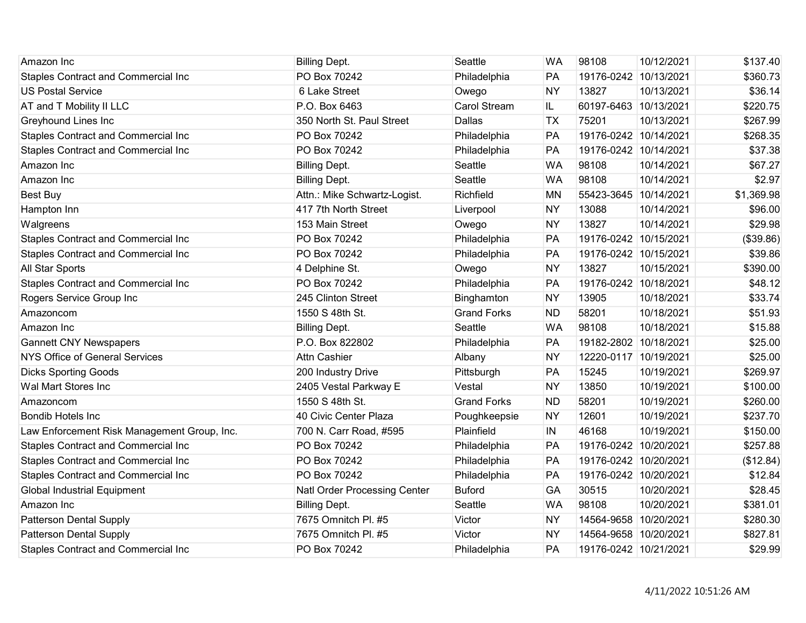| Amazon Inc                                  | <b>Billing Dept.</b>         | Seattle             | <b>WA</b> | 98108                 | 10/12/2021 | \$137.40   |
|---------------------------------------------|------------------------------|---------------------|-----------|-----------------------|------------|------------|
| <b>Staples Contract and Commercial Inc</b>  | PO Box 70242                 | Philadelphia        | PA        | 19176-0242 10/13/2021 |            | \$360.73   |
| <b>US Postal Service</b>                    | 6 Lake Street                | Owego               | <b>NY</b> | 13827                 | 10/13/2021 | \$36.14    |
| AT and T Mobility II LLC                    | P.O. Box 6463                | <b>Carol Stream</b> | IL.       | 60197-6463 10/13/2021 |            | \$220.75   |
| Greyhound Lines Inc                         | 350 North St. Paul Street    | Dallas              | <b>TX</b> | 75201                 | 10/13/2021 | \$267.99   |
| <b>Staples Contract and Commercial Inc</b>  | PO Box 70242                 | Philadelphia        | PA        | 19176-0242 10/14/2021 |            | \$268.35   |
| <b>Staples Contract and Commercial Inc</b>  | PO Box 70242                 | Philadelphia        | PA        | 19176-0242 10/14/2021 |            | \$37.38    |
| Amazon Inc                                  | <b>Billing Dept.</b>         | Seattle             | <b>WA</b> | 98108                 | 10/14/2021 | \$67.27    |
| Amazon Inc                                  | <b>Billing Dept.</b>         | Seattle             | <b>WA</b> | 98108                 | 10/14/2021 | \$2.97     |
| <b>Best Buy</b>                             | Attn.: Mike Schwartz-Logist. | Richfield           | <b>MN</b> | 55423-3645 10/14/2021 |            | \$1,369.98 |
| Hampton Inn                                 | 417 7th North Street         | Liverpool           | <b>NY</b> | 13088                 | 10/14/2021 | \$96.00    |
| Walgreens                                   | 153 Main Street              | Owego               | <b>NY</b> | 13827                 | 10/14/2021 | \$29.98    |
| <b>Staples Contract and Commercial Inc</b>  | PO Box 70242                 | Philadelphia        | PA        | 19176-0242 10/15/2021 |            | (\$39.86)  |
| <b>Staples Contract and Commercial Inc</b>  | PO Box 70242                 | Philadelphia        | PA        | 19176-0242 10/15/2021 |            | \$39.86    |
| All Star Sports                             | 4 Delphine St.               | Owego               | <b>NY</b> | 13827                 | 10/15/2021 | \$390.00   |
| <b>Staples Contract and Commercial Inc</b>  | PO Box 70242                 | Philadelphia        | PA        | 19176-0242 10/18/2021 |            | \$48.12    |
| Rogers Service Group Inc                    | 245 Clinton Street           | Binghamton          | <b>NY</b> | 13905                 | 10/18/2021 | \$33.74    |
| Amazoncom                                   | 1550 S 48th St.              | <b>Grand Forks</b>  | <b>ND</b> | 58201                 | 10/18/2021 | \$51.93    |
| Amazon Inc                                  | <b>Billing Dept.</b>         | Seattle             | <b>WA</b> | 98108                 | 10/18/2021 | \$15.88    |
| <b>Gannett CNY Newspapers</b>               | P.O. Box 822802              | Philadelphia        | PA        | 19182-2802 10/18/2021 |            | \$25.00    |
| <b>NYS Office of General Services</b>       | <b>Attn Cashier</b>          | Albany              | <b>NY</b> | 12220-0117 10/19/2021 |            | \$25.00    |
| <b>Dicks Sporting Goods</b>                 | 200 Industry Drive           | Pittsburgh          | <b>PA</b> | 15245                 | 10/19/2021 | \$269.97   |
| Wal Mart Stores Inc                         | 2405 Vestal Parkway E        | Vestal              | <b>NY</b> | 13850                 | 10/19/2021 | \$100.00   |
| Amazoncom                                   | 1550 S 48th St.              | <b>Grand Forks</b>  | <b>ND</b> | 58201                 | 10/19/2021 | \$260.00   |
| <b>Bondib Hotels Inc</b>                    | 40 Civic Center Plaza        | Poughkeepsie        | <b>NY</b> | 12601                 | 10/19/2021 | \$237.70   |
| Law Enforcement Risk Management Group, Inc. | 700 N. Carr Road, #595       | Plainfield          | IN        | 46168                 | 10/19/2021 | \$150.00   |
| <b>Staples Contract and Commercial Inc</b>  | PO Box 70242                 | Philadelphia        | PA        | 19176-0242 10/20/2021 |            | \$257.88   |
| <b>Staples Contract and Commercial Inc</b>  | PO Box 70242                 | Philadelphia        | PA        | 19176-0242 10/20/2021 |            | (\$12.84)  |
| <b>Staples Contract and Commercial Inc</b>  | PO Box 70242                 | Philadelphia        | PA        | 19176-0242 10/20/2021 |            | \$12.84    |
| <b>Global Industrial Equipment</b>          | Natl Order Processing Center | <b>Buford</b>       | GA        | 30515                 | 10/20/2021 | \$28.45    |
| Amazon Inc                                  | <b>Billing Dept.</b>         | Seattle             | <b>WA</b> | 98108                 | 10/20/2021 | \$381.01   |
| <b>Patterson Dental Supply</b>              | 7675 Omnitch Pl. #5          | Victor              | <b>NY</b> | 14564-9658 10/20/2021 |            | \$280.30   |
| <b>Patterson Dental Supply</b>              | 7675 Omnitch Pl. #5          | Victor              | <b>NY</b> | 14564-9658 10/20/2021 |            | \$827.81   |
| <b>Staples Contract and Commercial Inc</b>  | PO Box 70242                 | Philadelphia        | PA        | 19176-0242 10/21/2021 |            | \$29.99    |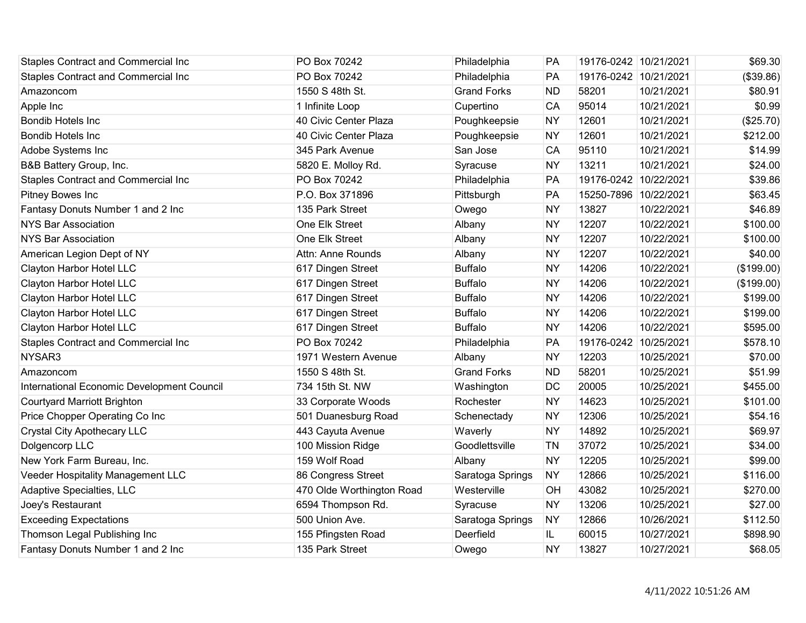| <b>Staples Contract and Commercial Inc</b> | PO Box 70242              | Philadelphia       | <b>PA</b> | 19176-0242 10/21/2021 |            | \$69.30    |
|--------------------------------------------|---------------------------|--------------------|-----------|-----------------------|------------|------------|
| <b>Staples Contract and Commercial Inc</b> | PO Box 70242              | Philadelphia       | PA        | 19176-0242 10/21/2021 |            | (\$39.86)  |
| Amazoncom                                  | 1550 S 48th St.           | <b>Grand Forks</b> | <b>ND</b> | 58201                 | 10/21/2021 | \$80.91    |
| Apple Inc                                  | 1 Infinite Loop           | Cupertino          | CA        | 95014                 | 10/21/2021 | \$0.99     |
| <b>Bondib Hotels Inc</b>                   | 40 Civic Center Plaza     | Poughkeepsie       | <b>NY</b> | 12601                 | 10/21/2021 | (\$25.70)  |
| Bondib Hotels Inc                          | 40 Civic Center Plaza     | Poughkeepsie       | <b>NY</b> | 12601                 | 10/21/2021 | \$212.00   |
| Adobe Systems Inc                          | 345 Park Avenue           | San Jose           | <b>CA</b> | 95110                 | 10/21/2021 | \$14.99    |
| B&B Battery Group, Inc.                    | 5820 E. Molloy Rd.        | Syracuse           | <b>NY</b> | 13211                 | 10/21/2021 | \$24.00    |
| <b>Staples Contract and Commercial Inc</b> | PO Box 70242              | Philadelphia       | PA        | 19176-0242 10/22/2021 |            | \$39.86    |
| Pitney Bowes Inc                           | P.O. Box 371896           | Pittsburgh         | PA        | 15250-7896 10/22/2021 |            | \$63.45    |
| Fantasy Donuts Number 1 and 2 Inc          | 135 Park Street           | Owego              | <b>NY</b> | 13827                 | 10/22/2021 | \$46.89    |
| <b>NYS Bar Association</b>                 | One Elk Street            | Albany             | <b>NY</b> | 12207                 | 10/22/2021 | \$100.00   |
| <b>NYS Bar Association</b>                 | One Elk Street            | Albany             | <b>NY</b> | 12207                 | 10/22/2021 | \$100.00   |
| American Legion Dept of NY                 | Attn: Anne Rounds         | Albany             | <b>NY</b> | 12207                 | 10/22/2021 | \$40.00    |
| Clayton Harbor Hotel LLC                   | 617 Dingen Street         | <b>Buffalo</b>     | <b>NY</b> | 14206                 | 10/22/2021 | (\$199.00) |
| Clayton Harbor Hotel LLC                   | 617 Dingen Street         | <b>Buffalo</b>     | <b>NY</b> | 14206                 | 10/22/2021 | (\$199.00) |
| Clayton Harbor Hotel LLC                   | 617 Dingen Street         | <b>Buffalo</b>     | <b>NY</b> | 14206                 | 10/22/2021 | \$199.00   |
| Clayton Harbor Hotel LLC                   | 617 Dingen Street         | <b>Buffalo</b>     | <b>NY</b> | 14206                 | 10/22/2021 | \$199.00   |
| Clayton Harbor Hotel LLC                   | 617 Dingen Street         | <b>Buffalo</b>     | <b>NY</b> | 14206                 | 10/22/2021 | \$595.00   |
| <b>Staples Contract and Commercial Inc</b> | PO Box 70242              | Philadelphia       | PA        | 19176-0242 10/25/2021 |            | \$578.10   |
| NYSAR3                                     | 1971 Western Avenue       | Albany             | <b>NY</b> | 12203                 | 10/25/2021 | \$70.00    |
| Amazoncom                                  | 1550 S 48th St.           | <b>Grand Forks</b> | <b>ND</b> | 58201                 | 10/25/2021 | \$51.99    |
| International Economic Development Council | 734 15th St. NW           | Washington         | DC        | 20005                 | 10/25/2021 | \$455.00   |
| <b>Courtyard Marriott Brighton</b>         | 33 Corporate Woods        | Rochester          | <b>NY</b> | 14623                 | 10/25/2021 | \$101.00   |
| Price Chopper Operating Co Inc             | 501 Duanesburg Road       | Schenectady        | <b>NY</b> | 12306                 | 10/25/2021 | \$54.16    |
| <b>Crystal City Apothecary LLC</b>         | 443 Cayuta Avenue         | Waverly            | <b>NY</b> | 14892                 | 10/25/2021 | \$69.97    |
| Dolgencorp LLC                             | 100 Mission Ridge         | Goodlettsville     | <b>TN</b> | 37072                 | 10/25/2021 | \$34.00    |
| New York Farm Bureau, Inc.                 | 159 Wolf Road             | Albany             | <b>NY</b> | 12205                 | 10/25/2021 | \$99.00    |
| Veeder Hospitality Management LLC          | 86 Congress Street        | Saratoga Springs   | <b>NY</b> | 12866                 | 10/25/2021 | \$116.00   |
| Adaptive Specialties, LLC                  | 470 Olde Worthington Road | Westerville        | OH        | 43082                 | 10/25/2021 | \$270.00   |
| Joey's Restaurant                          | 6594 Thompson Rd.         | Syracuse           | <b>NY</b> | 13206                 | 10/25/2021 | \$27.00    |
| <b>Exceeding Expectations</b>              | 500 Union Ave.            | Saratoga Springs   | <b>NY</b> | 12866                 | 10/26/2021 | \$112.50   |
| Thomson Legal Publishing Inc               | 155 Pfingsten Road        | Deerfield          | IL.       | 60015                 | 10/27/2021 | \$898.90   |
| Fantasy Donuts Number 1 and 2 Inc          | 135 Park Street           | Owego              | <b>NY</b> | 13827                 | 10/27/2021 | \$68.05    |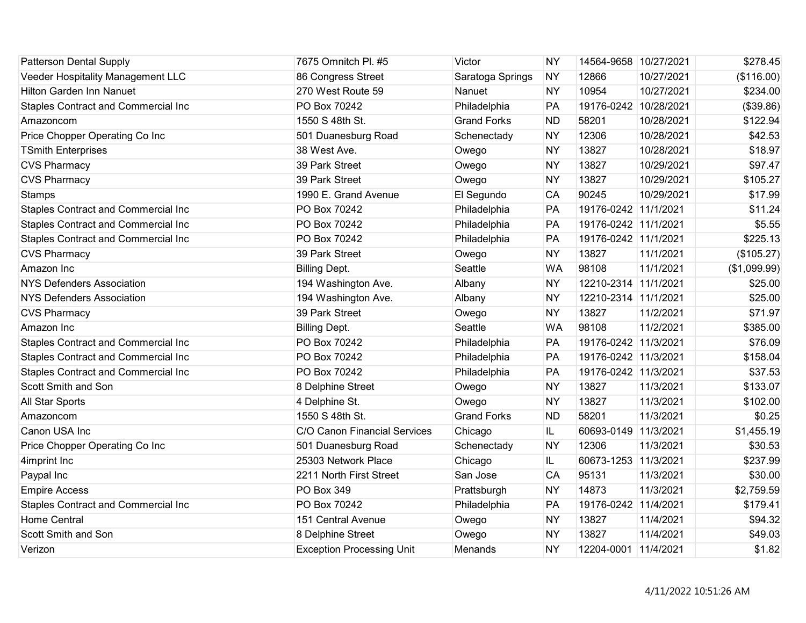| <b>Patterson Dental Supply</b>             | 7675 Omnitch Pl. #5              | Victor             | <b>NY</b> | 14564-9658 10/27/2021 |            | \$278.45     |
|--------------------------------------------|----------------------------------|--------------------|-----------|-----------------------|------------|--------------|
| Veeder Hospitality Management LLC          | 86 Congress Street               | Saratoga Springs   | <b>NY</b> | 12866                 | 10/27/2021 | (\$116.00)   |
| <b>Hilton Garden Inn Nanuet</b>            | 270 West Route 59                | Nanuet             | <b>NY</b> | 10954                 | 10/27/2021 | \$234.00     |
| Staples Contract and Commercial Inc        | PO Box 70242                     | Philadelphia       | PA        | 19176-0242 10/28/2021 |            | (\$39.86)    |
| Amazoncom                                  | 1550 S 48th St.                  | <b>Grand Forks</b> | <b>ND</b> | 58201                 | 10/28/2021 | \$122.94     |
| Price Chopper Operating Co Inc             | 501 Duanesburg Road              | Schenectady        | <b>NY</b> | 12306                 | 10/28/2021 | \$42.53      |
| <b>TSmith Enterprises</b>                  | 38 West Ave.                     | Owego              | <b>NY</b> | 13827                 | 10/28/2021 | \$18.97      |
| <b>CVS Pharmacy</b>                        | 39 Park Street                   | Owego              | <b>NY</b> | 13827                 | 10/29/2021 | \$97.47      |
| <b>CVS Pharmacy</b>                        | 39 Park Street                   | Owego              | <b>NY</b> | 13827                 | 10/29/2021 | \$105.27     |
| <b>Stamps</b>                              | 1990 E. Grand Avenue             | El Segundo         | CA        | 90245                 | 10/29/2021 | \$17.99      |
| <b>Staples Contract and Commercial Inc</b> | PO Box 70242                     | Philadelphia       | PA        | 19176-0242 11/1/2021  |            | \$11.24      |
| Staples Contract and Commercial Inc        | PO Box 70242                     | Philadelphia       | PA        | 19176-0242 11/1/2021  |            | \$5.55       |
| <b>Staples Contract and Commercial Inc</b> | PO Box 70242                     | Philadelphia       | PA        | 19176-0242 11/1/2021  |            | \$225.13     |
| <b>CVS Pharmacy</b>                        | 39 Park Street                   | Owego              | <b>NY</b> | 13827                 | 11/1/2021  | (\$105.27)   |
| Amazon Inc                                 | <b>Billing Dept.</b>             | Seattle            | <b>WA</b> | 98108                 | 11/1/2021  | (\$1,099.99) |
| <b>NYS Defenders Association</b>           | 194 Washington Ave.              | Albany             | <b>NY</b> | 12210-2314 11/1/2021  |            | \$25.00      |
| <b>NYS Defenders Association</b>           | 194 Washington Ave.              | Albany             | <b>NY</b> | 12210-2314 11/1/2021  |            | \$25.00      |
| <b>CVS Pharmacy</b>                        | 39 Park Street                   | Owego              | <b>NY</b> | 13827                 | 11/2/2021  | \$71.97      |
| Amazon Inc                                 | <b>Billing Dept.</b>             | Seattle            | <b>WA</b> | 98108                 | 11/2/2021  | \$385.00     |
| <b>Staples Contract and Commercial Inc</b> | PO Box 70242                     | Philadelphia       | PA        | 19176-0242 11/3/2021  |            | \$76.09      |
| Staples Contract and Commercial Inc        | PO Box 70242                     | Philadelphia       | PA        | 19176-0242 11/3/2021  |            | \$158.04     |
| Staples Contract and Commercial Inc        | PO Box 70242                     | Philadelphia       | PA        | 19176-0242 11/3/2021  |            | \$37.53      |
| Scott Smith and Son                        | 8 Delphine Street                | Owego              | <b>NY</b> | 13827                 | 11/3/2021  | \$133.07     |
| All Star Sports                            | 4 Delphine St.                   | Owego              | <b>NY</b> | 13827                 | 11/3/2021  | \$102.00     |
| Amazoncom                                  | 1550 S 48th St.                  | <b>Grand Forks</b> | <b>ND</b> | 58201                 | 11/3/2021  | \$0.25       |
| Canon USA Inc                              | C/O Canon Financial Services     | Chicago            | IL        | 60693-0149 11/3/2021  |            | \$1,455.19   |
| Price Chopper Operating Co Inc             | 501 Duanesburg Road              | Schenectady        | <b>NY</b> | 12306                 | 11/3/2021  | \$30.53      |
| 4imprint Inc                               | 25303 Network Place              | Chicago            | IL        | 60673-1253 11/3/2021  |            | \$237.99     |
| Paypal Inc                                 | 2211 North First Street          | San Jose           | CA        | 95131                 | 11/3/2021  | \$30.00      |
| <b>Empire Access</b>                       | <b>PO Box 349</b>                | Prattsburgh        | <b>NY</b> | 14873                 | 11/3/2021  | \$2,759.59   |
| <b>Staples Contract and Commercial Inc</b> | PO Box 70242                     | Philadelphia       | PA        | 19176-0242 11/4/2021  |            | \$179.41     |
| <b>Home Central</b>                        | 151 Central Avenue               | Owego              | <b>NY</b> | 13827                 | 11/4/2021  | \$94.32      |
| Scott Smith and Son                        | 8 Delphine Street                | Owego              | <b>NY</b> | 13827                 | 11/4/2021  | \$49.03      |
| Verizon                                    | <b>Exception Processing Unit</b> | Menands            | <b>NY</b> | 12204-0001 11/4/2021  |            | \$1.82       |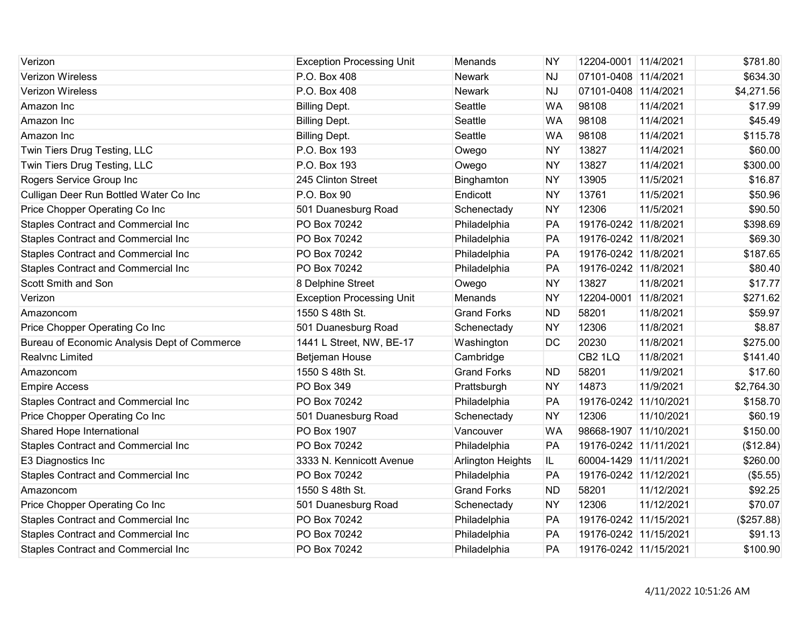| Verizon                                      | <b>Exception Processing Unit</b> | Menands                  | <b>NY</b> | 12204-0001 11/4/2021  |            | \$781.80   |
|----------------------------------------------|----------------------------------|--------------------------|-----------|-----------------------|------------|------------|
| <b>Verizon Wireless</b>                      | P.O. Box 408                     | <b>Newark</b>            | <b>NJ</b> | 07101-0408 11/4/2021  |            | \$634.30   |
| Verizon Wireless                             | P.O. Box 408                     | <b>Newark</b>            | <b>NJ</b> | 07101-0408 11/4/2021  |            | \$4,271.56 |
| Amazon Inc                                   | <b>Billing Dept.</b>             | Seattle                  | <b>WA</b> | 98108                 | 11/4/2021  | \$17.99    |
| Amazon Inc                                   | <b>Billing Dept.</b>             | Seattle                  | <b>WA</b> | 98108                 | 11/4/2021  | \$45.49    |
| Amazon Inc                                   | <b>Billing Dept.</b>             | Seattle                  | <b>WA</b> | 98108                 | 11/4/2021  | \$115.78   |
| Twin Tiers Drug Testing, LLC                 | P.O. Box 193                     | Owego                    | <b>NY</b> | 13827                 | 11/4/2021  | \$60.00    |
| Twin Tiers Drug Testing, LLC                 | P.O. Box 193                     | Owego                    | <b>NY</b> | 13827                 | 11/4/2021  | \$300.00   |
| Rogers Service Group Inc                     | 245 Clinton Street               | Binghamton               | <b>NY</b> | 13905                 | 11/5/2021  | \$16.87    |
| Culligan Deer Run Bottled Water Co Inc       | P.O. Box 90                      | Endicott                 | <b>NY</b> | 13761                 | 11/5/2021  | \$50.96    |
| Price Chopper Operating Co Inc               | 501 Duanesburg Road              | Schenectady              | <b>NY</b> | 12306                 | 11/5/2021  | \$90.50    |
| <b>Staples Contract and Commercial Inc</b>   | PO Box 70242                     | Philadelphia             | PA        | 19176-0242 11/8/2021  |            | \$398.69   |
| <b>Staples Contract and Commercial Inc</b>   | PO Box 70242                     | Philadelphia             | PA        | 19176-0242 11/8/2021  |            | \$69.30    |
| Staples Contract and Commercial Inc          | PO Box 70242                     | Philadelphia             | PA        | 19176-0242 11/8/2021  |            | \$187.65   |
| <b>Staples Contract and Commercial Inc</b>   | PO Box 70242                     | Philadelphia             | PA        | 19176-0242 11/8/2021  |            | \$80.40    |
| Scott Smith and Son                          | 8 Delphine Street                | Owego                    | <b>NY</b> | 13827                 | 11/8/2021  | \$17.77    |
| Verizon                                      | <b>Exception Processing Unit</b> | Menands                  | <b>NY</b> | 12204-0001 11/8/2021  |            | \$271.62   |
| Amazoncom                                    | 1550 S 48th St.                  | <b>Grand Forks</b>       | <b>ND</b> | 58201                 | 11/8/2021  | \$59.97    |
| Price Chopper Operating Co Inc               | 501 Duanesburg Road              | Schenectady              | <b>NY</b> | 12306                 | 11/8/2021  | \$8.87     |
| Bureau of Economic Analysis Dept of Commerce | 1441 L Street, NW, BE-17         | Washington               | DC        | 20230                 | 11/8/2021  | \$275.00   |
| Realvnc Limited                              | Betjeman House                   | Cambridge                |           | CB <sub>2</sub> 1LQ   | 11/8/2021  | \$141.40   |
| Amazoncom                                    | 1550 S 48th St.                  | <b>Grand Forks</b>       | <b>ND</b> | 58201                 | 11/9/2021  | \$17.60    |
| <b>Empire Access</b>                         | PO Box 349                       | Prattsburgh              | <b>NY</b> | 14873                 | 11/9/2021  | \$2,764.30 |
| Staples Contract and Commercial Inc          | PO Box 70242                     | Philadelphia             | PA        | 19176-0242 11/10/2021 |            | \$158.70   |
| Price Chopper Operating Co Inc               | 501 Duanesburg Road              | Schenectady              | <b>NY</b> | 12306                 | 11/10/2021 | \$60.19    |
| Shared Hope International                    | PO Box 1907                      | Vancouver                | <b>WA</b> | 98668-1907 11/10/2021 |            | \$150.00   |
| Staples Contract and Commercial Inc          | PO Box 70242                     | Philadelphia             | PA        | 19176-0242 11/11/2021 |            | (\$12.84)  |
| E3 Diagnostics Inc                           | 3333 N. Kennicott Avenue         | <b>Arlington Heights</b> | IL.       | 60004-1429 11/11/2021 |            | \$260.00   |
| Staples Contract and Commercial Inc          | PO Box 70242                     | Philadelphia             | PA        | 19176-0242 11/12/2021 |            | (\$5.55)   |
| Amazoncom                                    | 1550 S 48th St.                  | <b>Grand Forks</b>       | <b>ND</b> | 58201                 | 11/12/2021 | \$92.25    |
| Price Chopper Operating Co Inc               | 501 Duanesburg Road              | Schenectady              | <b>NY</b> | 12306                 | 11/12/2021 | \$70.07    |
| Staples Contract and Commercial Inc          | PO Box 70242                     | Philadelphia             | PA        | 19176-0242 11/15/2021 |            | (\$257.88) |
| <b>Staples Contract and Commercial Inc</b>   | PO Box 70242                     | Philadelphia             | PA        | 19176-0242 11/15/2021 |            | \$91.13    |
| <b>Staples Contract and Commercial Inc</b>   | PO Box 70242                     | Philadelphia             | PA        | 19176-0242 11/15/2021 |            | \$100.90   |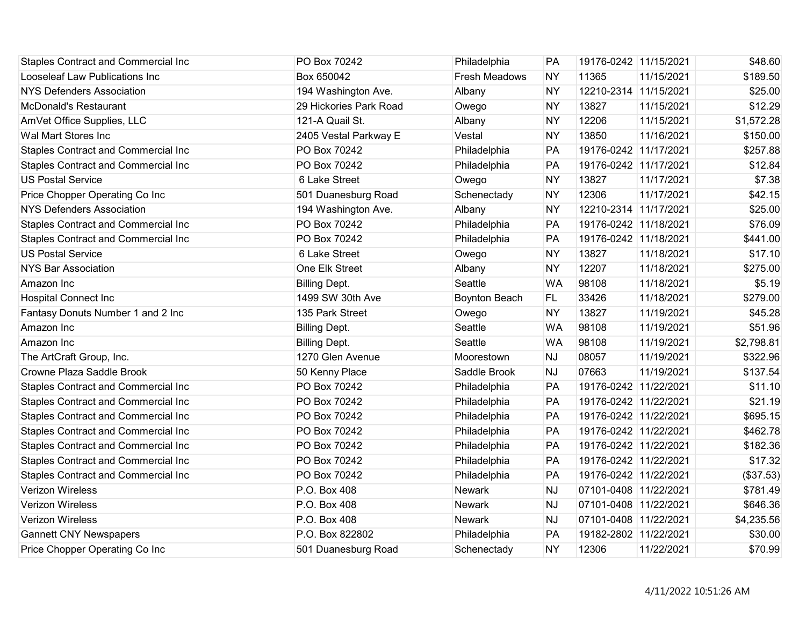| <b>Staples Contract and Commercial Inc</b> | PO Box 70242           | Philadelphia         | PA        | 19176-0242 11/15/2021 |            | \$48.60    |
|--------------------------------------------|------------------------|----------------------|-----------|-----------------------|------------|------------|
| Looseleaf Law Publications Inc             | Box 650042             | <b>Fresh Meadows</b> | <b>NY</b> | 11365                 | 11/15/2021 | \$189.50   |
| <b>NYS Defenders Association</b>           | 194 Washington Ave.    | Albany               | <b>NY</b> | 12210-2314 11/15/2021 |            | \$25.00    |
| <b>McDonald's Restaurant</b>               | 29 Hickories Park Road | Owego                | <b>NY</b> | 13827                 | 11/15/2021 | \$12.29    |
| AmVet Office Supplies, LLC                 | 121-A Quail St.        | Albany               | <b>NY</b> | 12206                 | 11/15/2021 | \$1,572.28 |
| Wal Mart Stores Inc                        | 2405 Vestal Parkway E  | Vestal               | <b>NY</b> | 13850                 | 11/16/2021 | \$150.00   |
| Staples Contract and Commercial Inc        | PO Box 70242           | Philadelphia         | PA        | 19176-0242 11/17/2021 |            | \$257.88   |
| Staples Contract and Commercial Inc        | PO Box 70242           | Philadelphia         | PA        | 19176-0242 11/17/2021 |            | \$12.84    |
| <b>US Postal Service</b>                   | 6 Lake Street          | Owego                | <b>NY</b> | 13827                 | 11/17/2021 | \$7.38     |
| Price Chopper Operating Co Inc             | 501 Duanesburg Road    | Schenectady          | <b>NY</b> | 12306                 | 11/17/2021 | \$42.15    |
| <b>NYS Defenders Association</b>           | 194 Washington Ave.    | Albany               | <b>NY</b> | 12210-2314 11/17/2021 |            | \$25.00    |
| Staples Contract and Commercial Inc        | PO Box 70242           | Philadelphia         | PA        | 19176-0242 11/18/2021 |            | \$76.09    |
| Staples Contract and Commercial Inc        | PO Box 70242           | Philadelphia         | PA        | 19176-0242 11/18/2021 |            | \$441.00   |
| <b>US Postal Service</b>                   | 6 Lake Street          | Owego                | <b>NY</b> | 13827                 | 11/18/2021 | \$17.10    |
| <b>NYS Bar Association</b>                 | One Elk Street         | Albany               | <b>NY</b> | 12207                 | 11/18/2021 | \$275.00   |
| Amazon Inc                                 | <b>Billing Dept.</b>   | Seattle              | <b>WA</b> | 98108                 | 11/18/2021 | \$5.19     |
| <b>Hospital Connect Inc</b>                | 1499 SW 30th Ave       | Boynton Beach        | FL.       | 33426                 | 11/18/2021 | \$279.00   |
| Fantasy Donuts Number 1 and 2 Inc          | 135 Park Street        | Owego                | <b>NY</b> | 13827                 | 11/19/2021 | \$45.28    |
| Amazon Inc                                 | <b>Billing Dept.</b>   | Seattle              | <b>WA</b> | 98108                 | 11/19/2021 | \$51.96    |
| Amazon Inc                                 | <b>Billing Dept.</b>   | Seattle              | <b>WA</b> | 98108                 | 11/19/2021 | \$2,798.81 |
| The ArtCraft Group, Inc.                   | 1270 Glen Avenue       | Moorestown           | <b>NJ</b> | 08057                 | 11/19/2021 | \$322.96   |
| Crowne Plaza Saddle Brook                  | 50 Kenny Place         | Saddle Brook         | <b>NJ</b> | 07663                 | 11/19/2021 | \$137.54   |
| Staples Contract and Commercial Inc        | PO Box 70242           | Philadelphia         | PA        | 19176-0242 11/22/2021 |            | \$11.10    |
| Staples Contract and Commercial Inc        | PO Box 70242           | Philadelphia         | PA        | 19176-0242 11/22/2021 |            | \$21.19    |
| Staples Contract and Commercial Inc        | PO Box 70242           | Philadelphia         | PA        | 19176-0242 11/22/2021 |            | \$695.15   |
| Staples Contract and Commercial Inc        | PO Box 70242           | Philadelphia         | PA        | 19176-0242 11/22/2021 |            | \$462.78   |
| Staples Contract and Commercial Inc        | PO Box 70242           | Philadelphia         | PA        | 19176-0242 11/22/2021 |            | \$182.36   |
| Staples Contract and Commercial Inc        | PO Box 70242           | Philadelphia         | PA        | 19176-0242 11/22/2021 |            | \$17.32    |
| Staples Contract and Commercial Inc        | PO Box 70242           | Philadelphia         | PA        | 19176-0242 11/22/2021 |            | (\$37.53)  |
| Verizon Wireless                           | P.O. Box 408           | <b>Newark</b>        | <b>NJ</b> | 07101-0408 11/22/2021 |            | \$781.49   |
| Verizon Wireless                           | P.O. Box 408           | <b>Newark</b>        | <b>NJ</b> | 07101-0408 11/22/2021 |            | \$646.36   |
| <b>Verizon Wireless</b>                    | P.O. Box 408           | <b>Newark</b>        | <b>NJ</b> | 07101-0408 11/22/2021 |            | \$4,235.56 |
| <b>Gannett CNY Newspapers</b>              | P.O. Box 822802        | Philadelphia         | PA        | 19182-2802 11/22/2021 |            | \$30.00    |
| Price Chopper Operating Co Inc             | 501 Duanesburg Road    | Schenectady          | <b>NY</b> | 12306                 | 11/22/2021 | \$70.99    |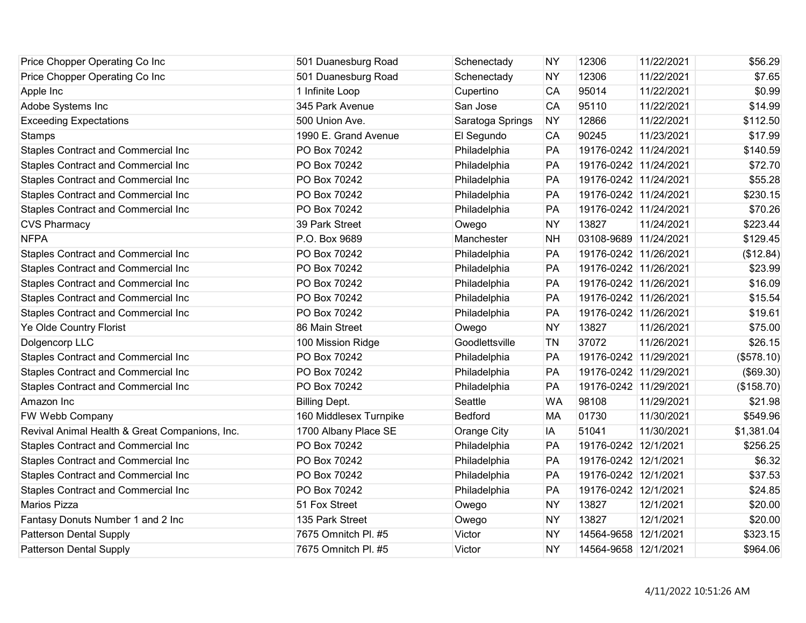| Price Chopper Operating Co Inc                 | 501 Duanesburg Road    | Schenectady        | <b>NY</b> | 12306                 | 11/22/2021 | \$56.29    |
|------------------------------------------------|------------------------|--------------------|-----------|-----------------------|------------|------------|
| Price Chopper Operating Co Inc                 | 501 Duanesburg Road    | Schenectady        | <b>NY</b> | 12306                 | 11/22/2021 | \$7.65     |
| Apple Inc                                      | 1 Infinite Loop        | Cupertino          | CA        | 95014                 | 11/22/2021 | \$0.99     |
| Adobe Systems Inc                              | 345 Park Avenue        | San Jose           | CA        | 95110                 | 11/22/2021 | \$14.99    |
| <b>Exceeding Expectations</b>                  | 500 Union Ave.         | Saratoga Springs   | <b>NY</b> | 12866                 | 11/22/2021 | \$112.50   |
| Stamps                                         | 1990 E. Grand Avenue   | El Segundo         | CA        | 90245                 | 11/23/2021 | \$17.99    |
| Staples Contract and Commercial Inc            | PO Box 70242           | Philadelphia       | PA        | 19176-0242 11/24/2021 |            | \$140.59   |
| Staples Contract and Commercial Inc            | PO Box 70242           | Philadelphia       | PA        | 19176-0242 11/24/2021 |            | \$72.70    |
| Staples Contract and Commercial Inc            | PO Box 70242           | Philadelphia       | PA        | 19176-0242 11/24/2021 |            | \$55.28    |
| Staples Contract and Commercial Inc            | PO Box 70242           | Philadelphia       | PA        | 19176-0242 11/24/2021 |            | \$230.15   |
| Staples Contract and Commercial Inc            | PO Box 70242           | Philadelphia       | PA        | 19176-0242 11/24/2021 |            | \$70.26    |
| <b>CVS Pharmacy</b>                            | 39 Park Street         | Owego              | <b>NY</b> | 13827                 | 11/24/2021 | \$223.44   |
| <b>NFPA</b>                                    | P.O. Box 9689          | Manchester         | <b>NH</b> | 03108-9689 11/24/2021 |            | \$129.45   |
| Staples Contract and Commercial Inc            | PO Box 70242           | Philadelphia       | PA        | 19176-0242 11/26/2021 |            | (\$12.84)  |
| <b>Staples Contract and Commercial Inc</b>     | PO Box 70242           | Philadelphia       | PA        | 19176-0242 11/26/2021 |            | \$23.99    |
| Staples Contract and Commercial Inc            | PO Box 70242           | Philadelphia       | PA        | 19176-0242 11/26/2021 |            | \$16.09    |
| Staples Contract and Commercial Inc            | PO Box 70242           | Philadelphia       | PA        | 19176-0242 11/26/2021 |            | \$15.54    |
| <b>Staples Contract and Commercial Inc</b>     | PO Box 70242           | Philadelphia       | PA        | 19176-0242 11/26/2021 |            | \$19.61    |
| Ye Olde Country Florist                        | 86 Main Street         | Owego              | <b>NY</b> | 13827                 | 11/26/2021 | \$75.00    |
| Dolgencorp LLC                                 | 100 Mission Ridge      | Goodlettsville     | <b>TN</b> | 37072                 | 11/26/2021 | \$26.15    |
| Staples Contract and Commercial Inc            | PO Box 70242           | Philadelphia       | PA        | 19176-0242 11/29/2021 |            | (\$578.10) |
| Staples Contract and Commercial Inc            | PO Box 70242           | Philadelphia       | PA        | 19176-0242 11/29/2021 |            | (\$69.30)  |
| Staples Contract and Commercial Inc            | PO Box 70242           | Philadelphia       | PA        | 19176-0242 11/29/2021 |            | (\$158.70) |
| Amazon Inc                                     | <b>Billing Dept.</b>   | Seattle            | <b>WA</b> | 98108                 | 11/29/2021 | \$21.98    |
| FW Webb Company                                | 160 Middlesex Turnpike | <b>Bedford</b>     | <b>MA</b> | 01730                 | 11/30/2021 | \$549.96   |
| Revival Animal Health & Great Companions, Inc. | 1700 Albany Place SE   | <b>Orange City</b> | IA        | 51041                 | 11/30/2021 | \$1,381.04 |
| Staples Contract and Commercial Inc            | PO Box 70242           | Philadelphia       | PA        | 19176-0242 12/1/2021  |            | \$256.25   |
| Staples Contract and Commercial Inc            | PO Box 70242           | Philadelphia       | PA        | 19176-0242 12/1/2021  |            | \$6.32     |
| <b>Staples Contract and Commercial Inc</b>     | PO Box 70242           | Philadelphia       | PA        | 19176-0242 12/1/2021  |            | \$37.53    |
| <b>Staples Contract and Commercial Inc</b>     | PO Box 70242           | Philadelphia       | PA        | 19176-0242 12/1/2021  |            | \$24.85    |
| <b>Marios Pizza</b>                            | 51 Fox Street          | Owego              | <b>NY</b> | 13827                 | 12/1/2021  | \$20.00    |
| Fantasy Donuts Number 1 and 2 Inc              | 135 Park Street        | Owego              | <b>NY</b> | 13827                 | 12/1/2021  | \$20.00    |
| <b>Patterson Dental Supply</b>                 | 7675 Omnitch Pl. #5    | Victor             | <b>NY</b> | 14564-9658 12/1/2021  |            | \$323.15   |
| <b>Patterson Dental Supply</b>                 | 7675 Omnitch Pl. #5    | Victor             | <b>NY</b> | 14564-9658 12/1/2021  |            | \$964.06   |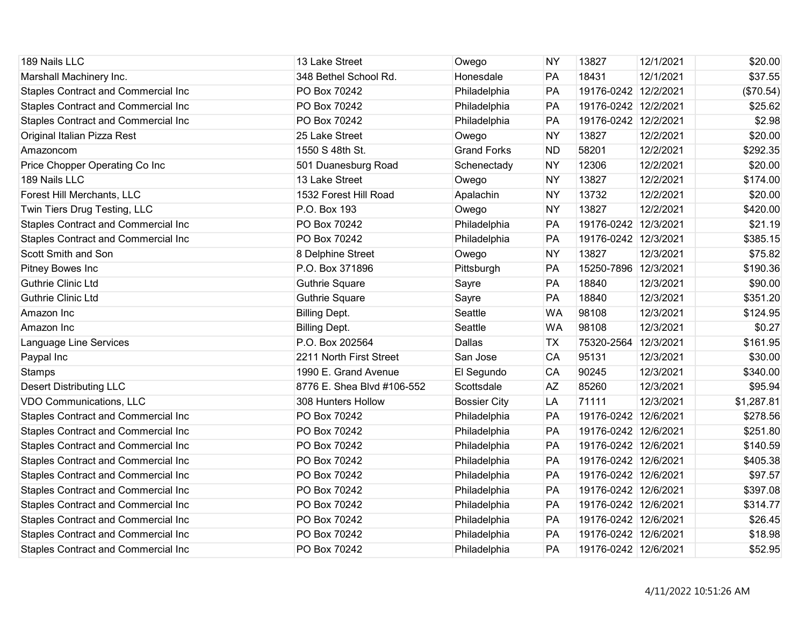| 189 Nails LLC                              | 13 Lake Street             | Owego               | <b>NY</b> | 13827                | 12/1/2021 | \$20.00    |
|--------------------------------------------|----------------------------|---------------------|-----------|----------------------|-----------|------------|
| Marshall Machinery Inc.                    | 348 Bethel School Rd.      | Honesdale           | PA        | 18431                | 12/1/2021 | \$37.55    |
| Staples Contract and Commercial Inc        | PO Box 70242               | Philadelphia        | PA        | 19176-0242 12/2/2021 |           | (\$70.54)  |
| Staples Contract and Commercial Inc        | PO Box 70242               | Philadelphia        | PA        | 19176-0242 12/2/2021 |           | \$25.62    |
| Staples Contract and Commercial Inc        | PO Box 70242               | Philadelphia        | PA        | 19176-0242 12/2/2021 |           | \$2.98     |
| Original Italian Pizza Rest                | 25 Lake Street             | Owego               | <b>NY</b> | 13827                | 12/2/2021 | \$20.00    |
| Amazoncom                                  | 1550 S 48th St.            | <b>Grand Forks</b>  | <b>ND</b> | 58201                | 12/2/2021 | \$292.35   |
| Price Chopper Operating Co Inc             | 501 Duanesburg Road        | Schenectady         | <b>NY</b> | 12306                | 12/2/2021 | \$20.00    |
| 189 Nails LLC                              | 13 Lake Street             | Owego               | <b>NY</b> | 13827                | 12/2/2021 | \$174.00   |
| Forest Hill Merchants, LLC                 | 1532 Forest Hill Road      | Apalachin           | <b>NY</b> | 13732                | 12/2/2021 | \$20.00    |
| Twin Tiers Drug Testing, LLC               | P.O. Box 193               | Owego               | <b>NY</b> | 13827                | 12/2/2021 | \$420.00   |
| Staples Contract and Commercial Inc        | PO Box 70242               | Philadelphia        | PA        | 19176-0242 12/3/2021 |           | \$21.19    |
| Staples Contract and Commercial Inc        | PO Box 70242               | Philadelphia        | PA        | 19176-0242 12/3/2021 |           | \$385.15   |
| Scott Smith and Son                        | 8 Delphine Street          | Owego               | <b>NY</b> | 13827                | 12/3/2021 | \$75.82    |
| Pitney Bowes Inc                           | P.O. Box 371896            | Pittsburgh          | PA        | 15250-7896 12/3/2021 |           | \$190.36   |
| <b>Guthrie Clinic Ltd</b>                  | <b>Guthrie Square</b>      | Sayre               | PA        | 18840                | 12/3/2021 | \$90.00    |
| <b>Guthrie Clinic Ltd</b>                  | <b>Guthrie Square</b>      | Sayre               | PA        | 18840                | 12/3/2021 | \$351.20   |
| Amazon Inc                                 | <b>Billing Dept.</b>       | Seattle             | <b>WA</b> | 98108                | 12/3/2021 | \$124.95   |
| Amazon Inc                                 | <b>Billing Dept.</b>       | Seattle             | <b>WA</b> | 98108                | 12/3/2021 | \$0.27     |
| Language Line Services                     | P.O. Box 202564            | Dallas              | <b>TX</b> | 75320-2564 12/3/2021 |           | \$161.95   |
| Paypal Inc                                 | 2211 North First Street    | San Jose            | CA        | 95131                | 12/3/2021 | \$30.00    |
| Stamps                                     | 1990 E. Grand Avenue       | El Segundo          | CA        | 90245                | 12/3/2021 | \$340.00   |
| <b>Desert Distributing LLC</b>             | 8776 E. Shea Blvd #106-552 | Scottsdale          | <b>AZ</b> | 85260                | 12/3/2021 | \$95.94    |
| VDO Communications, LLC                    | 308 Hunters Hollow         | <b>Bossier City</b> | LA        | 71111                | 12/3/2021 | \$1,287.81 |
| Staples Contract and Commercial Inc        | PO Box 70242               | Philadelphia        | PA        | 19176-0242 12/6/2021 |           | \$278.56   |
| Staples Contract and Commercial Inc        | PO Box 70242               | Philadelphia        | PA        | 19176-0242 12/6/2021 |           | \$251.80   |
| Staples Contract and Commercial Inc        | PO Box 70242               | Philadelphia        | PA        | 19176-0242 12/6/2021 |           | \$140.59   |
| <b>Staples Contract and Commercial Inc</b> | PO Box 70242               | Philadelphia        | PA        | 19176-0242 12/6/2021 |           | \$405.38   |
| Staples Contract and Commercial Inc        | PO Box 70242               | Philadelphia        | PA        | 19176-0242 12/6/2021 |           | \$97.57    |
| Staples Contract and Commercial Inc        | PO Box 70242               | Philadelphia        | PA        | 19176-0242 12/6/2021 |           | \$397.08   |
| Staples Contract and Commercial Inc        | PO Box 70242               | Philadelphia        | PA        | 19176-0242 12/6/2021 |           | \$314.77   |
| <b>Staples Contract and Commercial Inc</b> | PO Box 70242               | Philadelphia        | PA        | 19176-0242 12/6/2021 |           | \$26.45    |
| Staples Contract and Commercial Inc        | PO Box 70242               | Philadelphia        | PA        | 19176-0242 12/6/2021 |           | \$18.98    |
| <b>Staples Contract and Commercial Inc</b> | PO Box 70242               | Philadelphia        | PA        | 19176-0242 12/6/2021 |           | \$52.95    |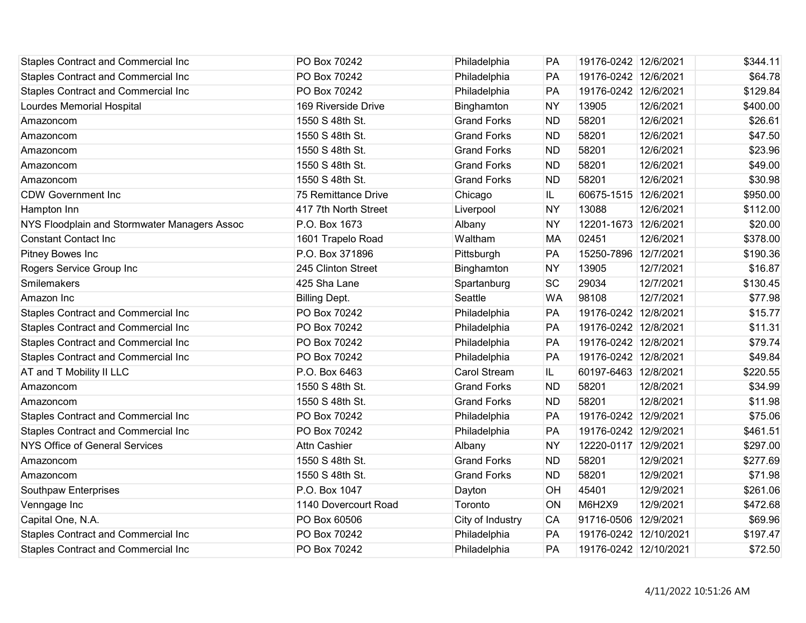| <b>Staples Contract and Commercial Inc</b>   | PO Box 70242         | Philadelphia        | PA        | 19176-0242 12/6/2021  |           | \$344.11 |
|----------------------------------------------|----------------------|---------------------|-----------|-----------------------|-----------|----------|
| <b>Staples Contract and Commercial Inc</b>   | PO Box 70242         | Philadelphia        | PA        | 19176-0242 12/6/2021  |           | \$64.78  |
| Staples Contract and Commercial Inc          | PO Box 70242         | Philadelphia        | PA        | 19176-0242 12/6/2021  |           | \$129.84 |
| Lourdes Memorial Hospital                    | 169 Riverside Drive  | Binghamton          | <b>NY</b> | 13905                 | 12/6/2021 | \$400.00 |
| Amazoncom                                    | 1550 S 48th St.      | <b>Grand Forks</b>  | <b>ND</b> | 58201                 | 12/6/2021 | \$26.61  |
| Amazoncom                                    | 1550 S 48th St.      | <b>Grand Forks</b>  | <b>ND</b> | 58201                 | 12/6/2021 | \$47.50  |
| Amazoncom                                    | 1550 S 48th St.      | <b>Grand Forks</b>  | <b>ND</b> | 58201                 | 12/6/2021 | \$23.96  |
| Amazoncom                                    | 1550 S 48th St.      | <b>Grand Forks</b>  | <b>ND</b> | 58201                 | 12/6/2021 | \$49.00  |
| Amazoncom                                    | 1550 S 48th St.      | <b>Grand Forks</b>  | <b>ND</b> | 58201                 | 12/6/2021 | \$30.98  |
| <b>CDW Government Inc</b>                    | 75 Remittance Drive  | Chicago             | IL        | 60675-1515 12/6/2021  |           | \$950.00 |
| Hampton Inn                                  | 417 7th North Street | Liverpool           | <b>NY</b> | 13088                 | 12/6/2021 | \$112.00 |
| NYS Floodplain and Stormwater Managers Assoc | P.O. Box 1673        | Albany              | <b>NY</b> | 12201-1673 12/6/2021  |           | \$20.00  |
| <b>Constant Contact Inc</b>                  | 1601 Trapelo Road    | Waltham             | <b>MA</b> | 02451                 | 12/6/2021 | \$378.00 |
| Pitney Bowes Inc                             | P.O. Box 371896      | Pittsburgh          | PA        | 15250-7896 12/7/2021  |           | \$190.36 |
| Rogers Service Group Inc                     | 245 Clinton Street   | Binghamton          | <b>NY</b> | 13905                 | 12/7/2021 | \$16.87  |
| Smilemakers                                  | 425 Sha Lane         | Spartanburg         | SC        | 29034                 | 12/7/2021 | \$130.45 |
| Amazon Inc                                   | <b>Billing Dept.</b> | Seattle             | <b>WA</b> | 98108                 | 12/7/2021 | \$77.98  |
| Staples Contract and Commercial Inc          | PO Box 70242         | Philadelphia        | PA        | 19176-0242 12/8/2021  |           | \$15.77  |
| Staples Contract and Commercial Inc          | PO Box 70242         | Philadelphia        | PA        | 19176-0242 12/8/2021  |           | \$11.31  |
| Staples Contract and Commercial Inc          | PO Box 70242         | Philadelphia        | PA        | 19176-0242 12/8/2021  |           | \$79.74  |
| <b>Staples Contract and Commercial Inc</b>   | PO Box 70242         | Philadelphia        | PA        | 19176-0242 12/8/2021  |           | \$49.84  |
| AT and T Mobility II LLC                     | P.O. Box 6463        | <b>Carol Stream</b> | IL.       | 60197-6463 12/8/2021  |           | \$220.55 |
| Amazoncom                                    | 1550 S 48th St.      | <b>Grand Forks</b>  | <b>ND</b> | 58201                 | 12/8/2021 | \$34.99  |
| Amazoncom                                    | 1550 S 48th St.      | <b>Grand Forks</b>  | <b>ND</b> | 58201                 | 12/8/2021 | \$11.98  |
| <b>Staples Contract and Commercial Inc</b>   | PO Box 70242         | Philadelphia        | PA        | 19176-0242 12/9/2021  |           | \$75.06  |
| Staples Contract and Commercial Inc          | PO Box 70242         | Philadelphia        | PA        | 19176-0242 12/9/2021  |           | \$461.51 |
| <b>NYS Office of General Services</b>        | <b>Attn Cashier</b>  | Albany              | <b>NY</b> | 12220-0117 12/9/2021  |           | \$297.00 |
| Amazoncom                                    | 1550 S 48th St.      | <b>Grand Forks</b>  | <b>ND</b> | 58201                 | 12/9/2021 | \$277.69 |
| Amazoncom                                    | 1550 S 48th St.      | <b>Grand Forks</b>  | <b>ND</b> | 58201                 | 12/9/2021 | \$71.98  |
| Southpaw Enterprises                         | P.O. Box 1047        | Dayton              | OH        | 45401                 | 12/9/2021 | \$261.06 |
| Venngage Inc                                 | 1140 Dovercourt Road | Toronto             | ON        | M6H2X9                | 12/9/2021 | \$472.68 |
| Capital One, N.A.                            | PO Box 60506         | City of Industry    | CA        | 91716-0506 12/9/2021  |           | \$69.96  |
| Staples Contract and Commercial Inc          | PO Box 70242         | Philadelphia        | PA        | 19176-0242 12/10/2021 |           | \$197.47 |
| <b>Staples Contract and Commercial Inc</b>   | PO Box 70242         | Philadelphia        | PA        | 19176-0242 12/10/2021 |           | \$72.50  |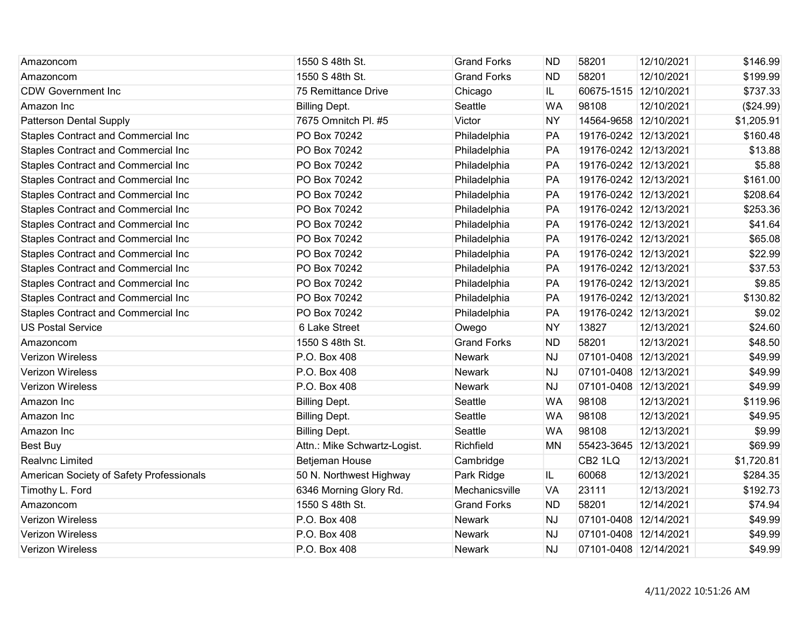| Amazoncom                                  | 1550 S 48th St.              | <b>Grand Forks</b> | <b>ND</b> | 58201                 | 12/10/2021 | \$146.99   |
|--------------------------------------------|------------------------------|--------------------|-----------|-----------------------|------------|------------|
| Amazoncom                                  | 1550 S 48th St.              | <b>Grand Forks</b> | <b>ND</b> | 58201                 | 12/10/2021 | \$199.99   |
| <b>CDW Government Inc</b>                  | 75 Remittance Drive          | Chicago            | IL.       | 60675-1515 12/10/2021 |            | \$737.33   |
| Amazon Inc                                 | <b>Billing Dept.</b>         | Seattle            | <b>WA</b> | 98108                 | 12/10/2021 | (\$24.99)  |
| <b>Patterson Dental Supply</b>             | 7675 Omnitch Pl. #5          | Victor             | <b>NY</b> | 14564-9658 12/10/2021 |            | \$1,205.91 |
| <b>Staples Contract and Commercial Inc</b> | PO Box 70242                 | Philadelphia       | PA        | 19176-0242 12/13/2021 |            | \$160.48   |
| <b>Staples Contract and Commercial Inc</b> | PO Box 70242                 | Philadelphia       | PA        | 19176-0242 12/13/2021 |            | \$13.88    |
| <b>Staples Contract and Commercial Inc</b> | PO Box 70242                 | Philadelphia       | PA        | 19176-0242 12/13/2021 |            | \$5.88     |
| <b>Staples Contract and Commercial Inc</b> | PO Box 70242                 | Philadelphia       | PA        | 19176-0242 12/13/2021 |            | \$161.00   |
| <b>Staples Contract and Commercial Inc</b> | PO Box 70242                 | Philadelphia       | PA        | 19176-0242 12/13/2021 |            | \$208.64   |
| <b>Staples Contract and Commercial Inc</b> | PO Box 70242                 | Philadelphia       | PA        | 19176-0242 12/13/2021 |            | \$253.36   |
| <b>Staples Contract and Commercial Inc</b> | PO Box 70242                 | Philadelphia       | PA        | 19176-0242 12/13/2021 |            | \$41.64    |
| <b>Staples Contract and Commercial Inc</b> | PO Box 70242                 | Philadelphia       | PA        | 19176-0242 12/13/2021 |            | \$65.08    |
| <b>Staples Contract and Commercial Inc</b> | PO Box 70242                 | Philadelphia       | PA        | 19176-0242 12/13/2021 |            | \$22.99    |
| <b>Staples Contract and Commercial Inc</b> | PO Box 70242                 | Philadelphia       | PA        | 19176-0242 12/13/2021 |            | \$37.53    |
| <b>Staples Contract and Commercial Inc</b> | PO Box 70242                 | Philadelphia       | PA        | 19176-0242 12/13/2021 |            | \$9.85     |
| <b>Staples Contract and Commercial Inc</b> | PO Box 70242                 | Philadelphia       | PA        | 19176-0242 12/13/2021 |            | \$130.82   |
| <b>Staples Contract and Commercial Inc</b> | PO Box 70242                 | Philadelphia       | PA        | 19176-0242 12/13/2021 |            | \$9.02     |
| <b>US Postal Service</b>                   | 6 Lake Street                | Owego              | <b>NY</b> | 13827                 | 12/13/2021 | \$24.60    |
| Amazoncom                                  | 1550 S 48th St.              | <b>Grand Forks</b> | <b>ND</b> | 58201                 | 12/13/2021 | \$48.50    |
| <b>Verizon Wireless</b>                    | P.O. Box 408                 | <b>Newark</b>      | <b>NJ</b> | 07101-0408 12/13/2021 |            | \$49.99    |
| <b>Verizon Wireless</b>                    | P.O. Box 408                 | Newark             | <b>NJ</b> | 07101-0408 12/13/2021 |            | \$49.99    |
| <b>Verizon Wireless</b>                    | P.O. Box 408                 | <b>Newark</b>      | <b>NJ</b> | 07101-0408 12/13/2021 |            | \$49.99    |
| Amazon Inc                                 | <b>Billing Dept.</b>         | Seattle            | <b>WA</b> | 98108                 | 12/13/2021 | \$119.96   |
| Amazon Inc                                 | <b>Billing Dept.</b>         | Seattle            | <b>WA</b> | 98108                 | 12/13/2021 | \$49.95    |
| Amazon Inc                                 | <b>Billing Dept.</b>         | Seattle            | <b>WA</b> | 98108                 | 12/13/2021 | \$9.99     |
| Best Buy                                   | Attn.: Mike Schwartz-Logist. | Richfield          | <b>MN</b> | 55423-3645 12/13/2021 |            | \$69.99    |
| <b>Realvnc Limited</b>                     | Betjeman House               | Cambridge          |           | CB2 1LQ               | 12/13/2021 | \$1,720.81 |
| American Society of Safety Professionals   | 50 N. Northwest Highway      | Park Ridge         | IL.       | 60068                 | 12/13/2021 | \$284.35   |
| Timothy L. Ford                            | 6346 Morning Glory Rd.       | Mechanicsville     | <b>VA</b> | 23111                 | 12/13/2021 | \$192.73   |
| Amazoncom                                  | 1550 S 48th St.              | <b>Grand Forks</b> | <b>ND</b> | 58201                 | 12/14/2021 | \$74.94    |
| <b>Verizon Wireless</b>                    | P.O. Box 408                 | Newark             | <b>NJ</b> | 07101-0408 12/14/2021 |            | \$49.99    |
| <b>Verizon Wireless</b>                    | P.O. Box 408                 | <b>Newark</b>      | <b>NJ</b> | 07101-0408 12/14/2021 |            | \$49.99    |
| <b>Verizon Wireless</b>                    | P.O. Box 408                 | <b>Newark</b>      | <b>NJ</b> | 07101-0408 12/14/2021 |            | \$49.99    |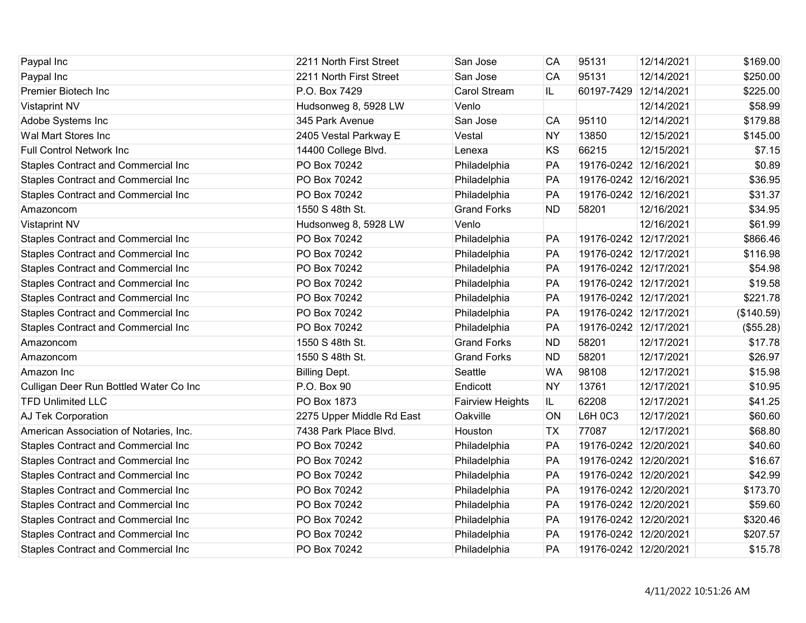| Paypal Inc                                 | 2211 North First Street   | San Jose            | CA        | 95131                 | 12/14/2021 | \$169.00   |
|--------------------------------------------|---------------------------|---------------------|-----------|-----------------------|------------|------------|
| Paypal Inc                                 | 2211 North First Street   | San Jose            | CA        | 95131                 | 12/14/2021 | \$250.00   |
| Premier Biotech Inc                        | P.O. Box 7429             | <b>Carol Stream</b> | IL.       | 60197-7429 12/14/2021 |            | \$225.00   |
| <b>Vistaprint NV</b>                       | Hudsonweg 8, 5928 LW      | Venlo               |           |                       | 12/14/2021 | \$58.99    |
| Adobe Systems Inc                          | 345 Park Avenue           | San Jose            | CA        | 95110                 | 12/14/2021 | \$179.88   |
| Wal Mart Stores Inc                        | 2405 Vestal Parkway E     | Vestal              | <b>NY</b> | 13850                 | 12/15/2021 | \$145.00   |
| <b>Full Control Network Inc.</b>           | 14400 College Blvd.       | Lenexa              | KS        | 66215                 | 12/15/2021 | \$7.15     |
| Staples Contract and Commercial Inc        | PO Box 70242              | Philadelphia        | PA        | 19176-0242 12/16/2021 |            | \$0.89     |
| Staples Contract and Commercial Inc        | PO Box 70242              | Philadelphia        | PA        | 19176-0242 12/16/2021 |            | \$36.95    |
| <b>Staples Contract and Commercial Inc</b> | PO Box 70242              | Philadelphia        | PA        | 19176-0242 12/16/2021 |            | \$31.37    |
| Amazoncom                                  | 1550 S 48th St.           | <b>Grand Forks</b>  | <b>ND</b> | 58201                 | 12/16/2021 | \$34.95    |
| <b>Vistaprint NV</b>                       | Hudsonweg 8, 5928 LW      | Venlo               |           |                       | 12/16/2021 | \$61.99    |
| Staples Contract and Commercial Inc        | PO Box 70242              | Philadelphia        | PA        | 19176-0242 12/17/2021 |            | \$866.46   |
| Staples Contract and Commercial Inc        | PO Box 70242              | Philadelphia        | PA        | 19176-0242 12/17/2021 |            | \$116.98   |
| Staples Contract and Commercial Inc        | PO Box 70242              | Philadelphia        | PA        | 19176-0242 12/17/2021 |            | \$54.98    |
| Staples Contract and Commercial Inc        | PO Box 70242              | Philadelphia        | PA        | 19176-0242 12/17/2021 |            | \$19.58    |
| Staples Contract and Commercial Inc        | PO Box 70242              | Philadelphia        | PA        | 19176-0242 12/17/2021 |            | \$221.78   |
| Staples Contract and Commercial Inc        | PO Box 70242              | Philadelphia        | PA        | 19176-0242 12/17/2021 |            | (\$140.59) |
| Staples Contract and Commercial Inc        | PO Box 70242              | Philadelphia        | PA        | 19176-0242 12/17/2021 |            | (\$55.28)  |
| Amazoncom                                  | 1550 S 48th St.           | <b>Grand Forks</b>  | <b>ND</b> | 58201                 | 12/17/2021 | \$17.78    |
| Amazoncom                                  | 1550 S 48th St.           | <b>Grand Forks</b>  | <b>ND</b> | 58201                 | 12/17/2021 | \$26.97    |
| Amazon Inc                                 | <b>Billing Dept.</b>      | Seattle             | <b>WA</b> | 98108                 | 12/17/2021 | \$15.98    |
| Culligan Deer Run Bottled Water Co Inc     | P.O. Box 90               | Endicott            | <b>NY</b> | 13761                 | 12/17/2021 | \$10.95    |
| <b>TFD Unlimited LLC</b>                   | PO Box 1873               | Fairview Heights    | IL.       | 62208                 | 12/17/2021 | \$41.25    |
| AJ Tek Corporation                         | 2275 Upper Middle Rd East | Oakville            | ON        | L6H 0C3               | 12/17/2021 | \$60.60    |
| American Association of Notaries, Inc.     | 7438 Park Place Blvd.     | Houston             | <b>TX</b> | 77087                 | 12/17/2021 | \$68.80    |
| Staples Contract and Commercial Inc        | PO Box 70242              | Philadelphia        | PA        | 19176-0242 12/20/2021 |            | \$40.60    |
| Staples Contract and Commercial Inc        | PO Box 70242              | Philadelphia        | PA        | 19176-0242 12/20/2021 |            | \$16.67    |
| Staples Contract and Commercial Inc        | PO Box 70242              | Philadelphia        | PA        | 19176-0242 12/20/2021 |            | \$42.99    |
| Staples Contract and Commercial Inc        | PO Box 70242              | Philadelphia        | PA        | 19176-0242 12/20/2021 |            | \$173.70   |
| Staples Contract and Commercial Inc        | PO Box 70242              | Philadelphia        | PA        | 19176-0242 12/20/2021 |            | \$59.60    |
| <b>Staples Contract and Commercial Inc</b> | PO Box 70242              | Philadelphia        | PA        | 19176-0242 12/20/2021 |            | \$320.46   |
| Staples Contract and Commercial Inc        | PO Box 70242              | Philadelphia        | PA        | 19176-0242 12/20/2021 |            | \$207.57   |
| <b>Staples Contract and Commercial Inc</b> | PO Box 70242              | Philadelphia        | PA        | 19176-0242 12/20/2021 |            | \$15.78    |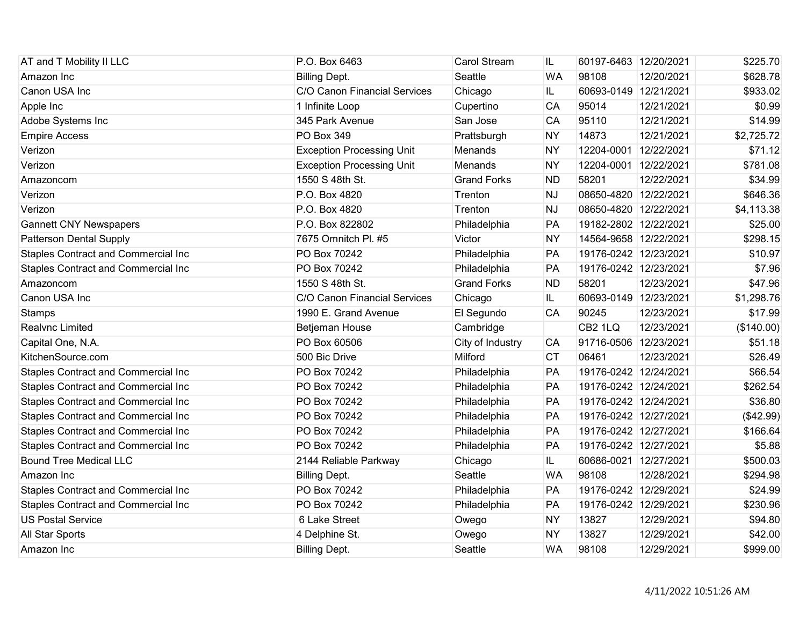| AT and T Mobility II LLC                   | P.O. Box 6463                    | <b>Carol Stream</b> | IL.       | 60197-6463 12/20/2021 |            | \$225.70   |
|--------------------------------------------|----------------------------------|---------------------|-----------|-----------------------|------------|------------|
| Amazon Inc                                 | <b>Billing Dept.</b>             | Seattle             | <b>WA</b> | 98108                 | 12/20/2021 | \$628.78   |
| Canon USA Inc                              | C/O Canon Financial Services     | Chicago             | IL.       | 60693-0149 12/21/2021 |            | \$933.02   |
| Apple Inc                                  | 1 Infinite Loop                  | Cupertino           | CA        | 95014                 | 12/21/2021 | \$0.99     |
| Adobe Systems Inc                          | 345 Park Avenue                  | San Jose            | CA        | 95110                 | 12/21/2021 | \$14.99    |
| <b>Empire Access</b>                       | <b>PO Box 349</b>                | Prattsburgh         | <b>NY</b> | 14873                 | 12/21/2021 | \$2,725.72 |
| Verizon                                    | <b>Exception Processing Unit</b> | Menands             | <b>NY</b> | 12204-0001 12/22/2021 |            | \$71.12    |
| Verizon                                    | <b>Exception Processing Unit</b> | Menands             | <b>NY</b> | 12204-0001 12/22/2021 |            | \$781.08   |
| Amazoncom                                  | 1550 S 48th St.                  | <b>Grand Forks</b>  | <b>ND</b> | 58201                 | 12/22/2021 | \$34.99    |
| Verizon                                    | P.O. Box 4820                    | Trenton             | <b>NJ</b> | 08650-4820 12/22/2021 |            | \$646.36   |
| Verizon                                    | P.O. Box 4820                    | Trenton             | <b>NJ</b> | 08650-4820 12/22/2021 |            | \$4,113.38 |
| <b>Gannett CNY Newspapers</b>              | P.O. Box 822802                  | Philadelphia        | PA        | 19182-2802 12/22/2021 |            | \$25.00    |
| <b>Patterson Dental Supply</b>             | 7675 Omnitch Pl. #5              | Victor              | <b>NY</b> | 14564-9658 12/22/2021 |            | \$298.15   |
| Staples Contract and Commercial Inc        | PO Box 70242                     | Philadelphia        | PA        | 19176-0242 12/23/2021 |            | \$10.97    |
| Staples Contract and Commercial Inc        | PO Box 70242                     | Philadelphia        | PA        | 19176-0242 12/23/2021 |            | \$7.96     |
| Amazoncom                                  | 1550 S 48th St.                  | <b>Grand Forks</b>  | <b>ND</b> | 58201                 | 12/23/2021 | \$47.96    |
| Canon USA Inc                              | C/O Canon Financial Services     | Chicago             | IL        | 60693-0149 12/23/2021 |            | \$1,298.76 |
| <b>Stamps</b>                              | 1990 E. Grand Avenue             | El Segundo          | CA        | 90245                 | 12/23/2021 | \$17.99    |
| Realvnc Limited                            | Betjeman House                   | Cambridge           |           | CB <sub>2</sub> 1LQ   | 12/23/2021 | (\$140.00) |
| Capital One, N.A.                          | PO Box 60506                     | City of Industry    | <b>CA</b> | 91716-0506 12/23/2021 |            | \$51.18    |
| KitchenSource.com                          | 500 Bic Drive                    | Milford             | <b>CT</b> | 06461                 | 12/23/2021 | \$26.49    |
| Staples Contract and Commercial Inc        | PO Box 70242                     | Philadelphia        | PA        | 19176-0242 12/24/2021 |            | \$66.54    |
| <b>Staples Contract and Commercial Inc</b> | PO Box 70242                     | Philadelphia        | PA        | 19176-0242 12/24/2021 |            | \$262.54   |
| <b>Staples Contract and Commercial Inc</b> | PO Box 70242                     | Philadelphia        | PA        | 19176-0242 12/24/2021 |            | \$36.80    |
| Staples Contract and Commercial Inc        | PO Box 70242                     | Philadelphia        | PA        | 19176-0242 12/27/2021 |            | ( \$42.99) |
| <b>Staples Contract and Commercial Inc</b> | PO Box 70242                     | Philadelphia        | PA        | 19176-0242 12/27/2021 |            | \$166.64   |
| <b>Staples Contract and Commercial Inc</b> | PO Box 70242                     | Philadelphia        | PA        | 19176-0242 12/27/2021 |            | \$5.88     |
| <b>Bound Tree Medical LLC</b>              | 2144 Reliable Parkway            | Chicago             | IL        | 60686-0021 12/27/2021 |            | \$500.03   |
| Amazon Inc                                 | <b>Billing Dept.</b>             | Seattle             | <b>WA</b> | 98108                 | 12/28/2021 | \$294.98   |
| <b>Staples Contract and Commercial Inc</b> | PO Box 70242                     | Philadelphia        | PA        | 19176-0242 12/29/2021 |            | \$24.99    |
| Staples Contract and Commercial Inc        | PO Box 70242                     | Philadelphia        | PA        | 19176-0242 12/29/2021 |            | \$230.96   |
| <b>US Postal Service</b>                   | 6 Lake Street                    | Owego               | <b>NY</b> | 13827                 | 12/29/2021 | \$94.80    |
| All Star Sports                            | 4 Delphine St.                   | Owego               | <b>NY</b> | 13827                 | 12/29/2021 | \$42.00    |
| Amazon Inc                                 | <b>Billing Dept.</b>             | Seattle             | <b>WA</b> | 98108                 | 12/29/2021 | \$999.00   |